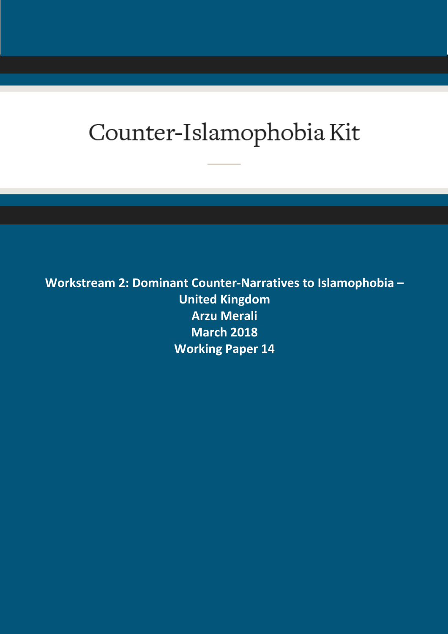# Counter-Islamophobia Kit

**Workstream 2: Dominant Counter-Narratives to Islamophobia – United Kingdom Arzu Merali March 2018 Working Paper 14**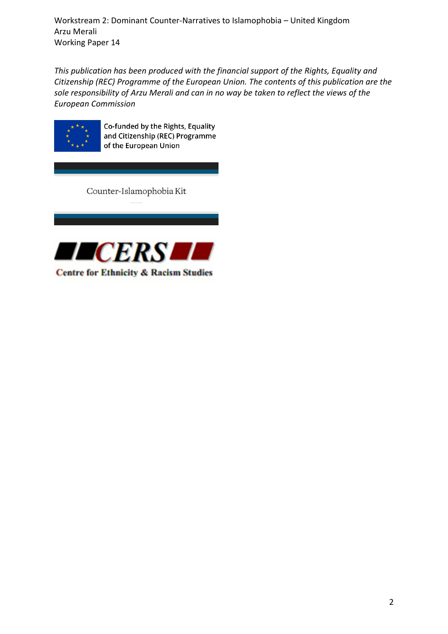*This publication has been produced with the financial support of the Rights, Equality and Citizenship (REC) Programme of the European Union. The contents of this publication are the sole responsibility of Arzu Merali and can in no way be taken to reflect the views of the European Commission*



Co-funded by the Rights, Equality and Citizenship (REC) Programme of the European Union

Counter-Islamophobia Kit

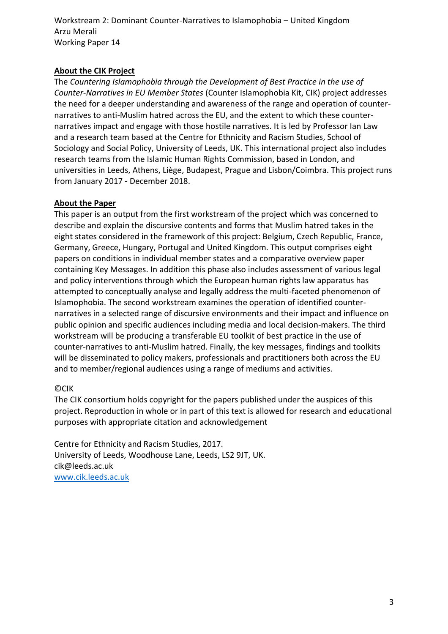## **About the CIK Project**

The *Countering Islamophobia through the Development of Best Practice in the use of Counter-Narratives in EU Member States* (Counter Islamophobia Kit, CIK) project addresses the need for a deeper understanding and awareness of the range and operation of counternarratives to anti-Muslim hatred across the EU, and the extent to which these counternarratives impact and engage with those hostile narratives. It is led by Professor Ian Law and a research team based at the Centre for Ethnicity and Racism Studies, School of Sociology and Social Policy, University of Leeds, UK. This international project also includes research teams from the Islamic Human Rights Commission, based in London, and universities in Leeds, Athens, Liège, Budapest, Prague and Lisbon/Coimbra. This project runs from January 2017 - December 2018.

## **About the Paper**

This paper is an output from the first workstream of the project which was concerned to describe and explain the discursive contents and forms that Muslim hatred takes in the eight states considered in the framework of this project: Belgium, Czech Republic, France, Germany, Greece, Hungary, Portugal and United Kingdom. This output comprises eight papers on conditions in individual member states and a comparative overview paper containing Key Messages. In addition this phase also includes assessment of various legal and policy interventions through which the European human rights law apparatus has attempted to conceptually analyse and legally address the multi-faceted phenomenon of Islamophobia. The second workstream examines the operation of identified counternarratives in a selected range of discursive environments and their impact and influence on public opinion and specific audiences including media and local decision-makers. The third workstream will be producing a transferable EU toolkit of best practice in the use of counter-narratives to anti-Muslim hatred. Finally, the key messages, findings and toolkits will be disseminated to policy makers, professionals and practitioners both across the EU and to member/regional audiences using a range of mediums and activities.

## ©CIK

The CIK consortium holds copyright for the papers published under the auspices of this project. Reproduction in whole or in part of this text is allowed for research and educational purposes with appropriate citation and acknowledgement

Centre for Ethnicity and Racism Studies, 2017. University of Leeds, Woodhouse Lane, Leeds, LS2 9JT, UK. cik@leeds.ac.uk [www.cik.leeds.ac.uk](http://www.cik.leeds.ac.uk/)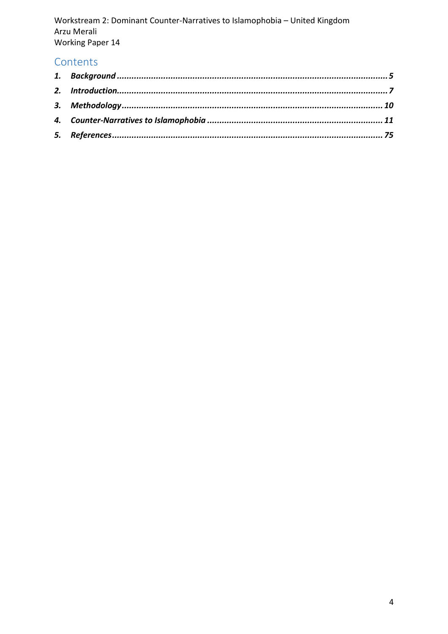## Contents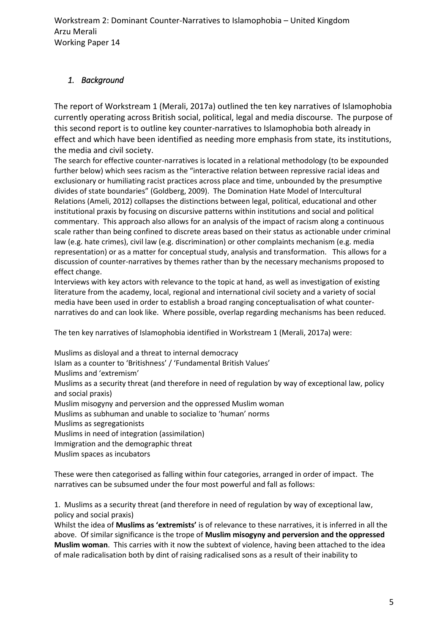## <span id="page-4-0"></span>*1. Background*

The report of Workstream 1 (Merali, 2017a) outlined the ten key narratives of Islamophobia currently operating across British social, political, legal and media discourse. The purpose of this second report is to outline key counter-narratives to Islamophobia both already in effect and which have been identified as needing more emphasis from state, its institutions, the media and civil society.

The search for effective counter-narratives is located in a relational methodology (to be expounded further below) which sees racism as the "interactive relation between repressive racial ideas and exclusionary or humiliating racist practices across place and time, unbounded by the presumptive divides of state boundaries" (Goldberg, 2009). The Domination Hate Model of Intercultural Relations (Ameli, 2012) collapses the distinctions between legal, political, educational and other institutional praxis by focusing on discursive patterns within institutions and social and political commentary. This approach also allows for an analysis of the impact of racism along a continuous scale rather than being confined to discrete areas based on their status as actionable under criminal law (e.g. hate crimes), civil law (e.g. discrimination) or other complaints mechanism (e.g. media representation) or as a matter for conceptual study, analysis and transformation. This allows for a discussion of counter-narratives by themes rather than by the necessary mechanisms proposed to effect change.

Interviews with key actors with relevance to the topic at hand, as well as investigation of existing literature from the academy, local, regional and international civil society and a variety of social media have been used in order to establish a broad ranging conceptualisation of what counternarratives do and can look like. Where possible, overlap regarding mechanisms has been reduced.

The ten key narratives of Islamophobia identified in Workstream 1 (Merali, 2017a) were:

Muslims as disloyal and a threat to internal democracy

Islam as a counter to 'Britishness' / 'Fundamental British Values'

Muslims and 'extremism'

Muslims as a security threat (and therefore in need of regulation by way of exceptional law, policy and social praxis)

Muslim misogyny and perversion and the oppressed Muslim woman

Muslims as subhuman and unable to socialize to 'human' norms

Muslims as segregationists

Muslims in need of integration (assimilation)

Immigration and the demographic threat

Muslim spaces as incubators

These were then categorised as falling within four categories, arranged in order of impact. The narratives can be subsumed under the four most powerful and fall as follows:

1. Muslims as a security threat (and therefore in need of regulation by way of exceptional law, policy and social praxis)

Whilst the idea of **Muslims as 'extremists'** is of relevance to these narratives, it is inferred in all the above. Of similar significance is the trope of **Muslim misogyny and perversion and the oppressed Muslim woman**. This carries with it now the subtext of violence, having been attached to the idea of male radicalisation both by dint of raising radicalised sons as a result of their inability to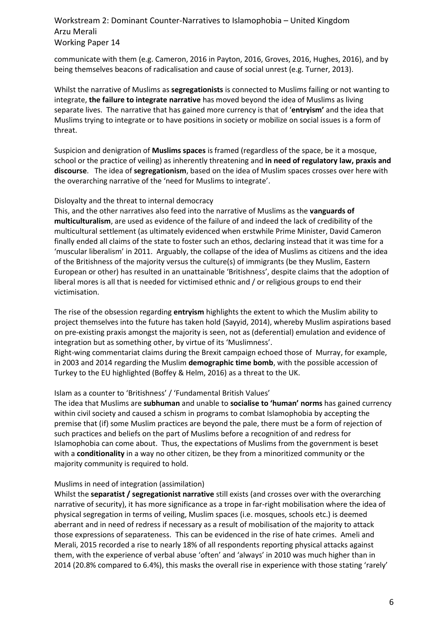communicate with them (e.g. Cameron, 2016 in Payton, 2016, Groves, 2016, Hughes, 2016), and by being themselves beacons of radicalisation and cause of social unrest (e.g. Turner, 2013).

Whilst the narrative of Muslims as **segregationists** is connected to Muslims failing or not wanting to integrate, **the failure to integrate narrative** has moved beyond the idea of Muslims as living separate lives. The narrative that has gained more currency is that of '**entryism'** and the idea that Muslims trying to integrate or to have positions in society or mobilize on social issues is a form of threat.

Suspicion and denigration of **Muslims spaces** is framed (regardless of the space, be it a mosque, school or the practice of veiling) as inherently threatening and **in need of regulatory law, praxis and discourse**. The idea of **segregationism**, based on the idea of Muslim spaces crosses over here with the overarching narrative of the 'need for Muslims to integrate'.

#### Disloyalty and the threat to internal democracy

This, and the other narratives also feed into the narrative of Muslims as the **vanguards of multiculturalism**, are used as evidence of the failure of and indeed the lack of credibility of the multicultural settlement (as ultimately evidenced when erstwhile Prime Minister, David Cameron finally ended all claims of the state to foster such an ethos, declaring instead that it was time for a 'muscular liberalism' in 2011. Arguably, the collapse of the idea of Muslims as citizens and the idea of the Britishness of the majority versus the culture(s) of immigrants (be they Muslim, Eastern European or other) has resulted in an unattainable 'Britishness', despite claims that the adoption of liberal mores is all that is needed for victimised ethnic and / or religious groups to end their victimisation.

The rise of the obsession regarding **entryism** highlights the extent to which the Muslim ability to project themselves into the future has taken hold (Sayyid, 2014), whereby Muslim aspirations based on pre-existing praxis amongst the majority is seen, not as (deferential) emulation and evidence of integration but as something other, by virtue of its 'Muslimness'.

Right-wing commentariat claims during the Brexit campaign echoed those of Murray, for example, in 2003 and 2014 regarding the Muslim **demographic time bomb**, with the possible accession of Turkey to the EU highlighted (Boffey & Helm, 2016) as a threat to the UK.

#### Islam as a counter to 'Britishness' / 'Fundamental British Values'

The idea that Muslims are **subhuman** and unable to **socialise to 'human' norms** has gained currency within civil society and caused a schism in programs to combat Islamophobia by accepting the premise that (if) some Muslim practices are beyond the pale, there must be a form of rejection of such practices and beliefs on the part of Muslims before a recognition of and redress for Islamophobia can come about. Thus, the expectations of Muslims from the government is beset with a **conditionality** in a way no other citizen, be they from a minoritized community or the majority community is required to hold.

#### Muslims in need of integration (assimilation)

Whilst the **separatist / segregationist narrative** still exists (and crosses over with the overarching narrative of security), it has more significance as a trope in far-right mobilisation where the idea of physical segregation in terms of veiling, Muslim spaces (i.e. mosques, schools etc.) is deemed aberrant and in need of redress if necessary as a result of mobilisation of the majority to attack those expressions of separateness. This can be evidenced in the rise of hate crimes. Ameli and Merali, 2015 recorded a rise to nearly 18% of all respondents reporting physical attacks against them, with the experience of verbal abuse 'often' and 'always' in 2010 was much higher than in 2014 (20.8% compared to 6.4%), this masks the overall rise in experience with those stating 'rarely'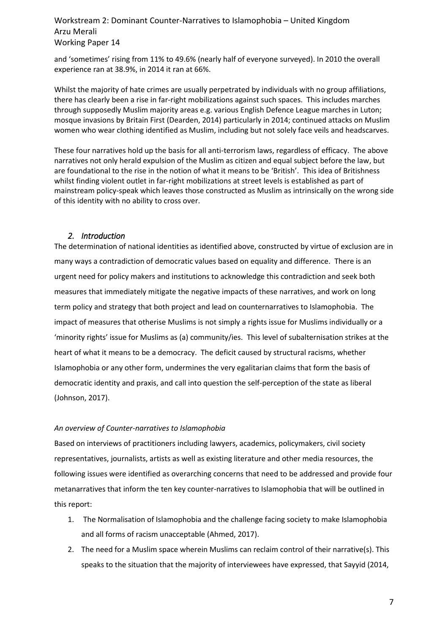and 'sometimes' rising from 11% to 49.6% (nearly half of everyone surveyed). In 2010 the overall experience ran at 38.9%, in 2014 it ran at 66%.

Whilst the majority of hate crimes are usually perpetrated by individuals with no group affiliations, there has clearly been a rise in far-right mobilizations against such spaces. This includes marches through supposedly Muslim majority areas e.g. various English Defence League marches in Luton; mosque invasions by Britain First (Dearden, 2014) particularly in 2014; continued attacks on Muslim women who wear clothing identified as Muslim, including but not solely face veils and headscarves.

These four narratives hold up the basis for all anti-terrorism laws, regardless of efficacy. The above narratives not only herald expulsion of the Muslim as citizen and equal subject before the law, but are foundational to the rise in the notion of what it means to be 'British'. This idea of Britishness whilst finding violent outlet in far-right mobilizations at street levels is established as part of mainstream policy-speak which leaves those constructed as Muslim as intrinsically on the wrong side of this identity with no ability to cross over.

#### <span id="page-6-0"></span>*2. Introduction*

The determination of national identities as identified above, constructed by virtue of exclusion are in many ways a contradiction of democratic values based on equality and difference. There is an urgent need for policy makers and institutions to acknowledge this contradiction and seek both measures that immediately mitigate the negative impacts of these narratives, and work on long term policy and strategy that both project and lead on counternarratives to Islamophobia. The impact of measures that otherise Muslims is not simply a rights issue for Muslims individually or a 'minority rights' issue for Muslims as (a) community/ies. This level of subalternisation strikes at the heart of what it means to be a democracy. The deficit caused by structural racisms, whether Islamophobia or any other form, undermines the very egalitarian claims that form the basis of democratic identity and praxis, and call into question the self-perception of the state as liberal (Johnson, 2017).

#### *An overview of Counter-narratives to Islamophobia*

Based on interviews of practitioners including lawyers, academics, policymakers, civil society representatives, journalists, artists as well as existing literature and other media resources, the following issues were identified as overarching concerns that need to be addressed and provide four metanarratives that inform the ten key counter-narratives to Islamophobia that will be outlined in this report:

- 1. The Normalisation of Islamophobia and the challenge facing society to make Islamophobia and all forms of racism unacceptable (Ahmed, 2017).
- 2. The need for a Muslim space wherein Muslims can reclaim control of their narrative(s). This speaks to the situation that the majority of interviewees have expressed, that Sayyid (2014,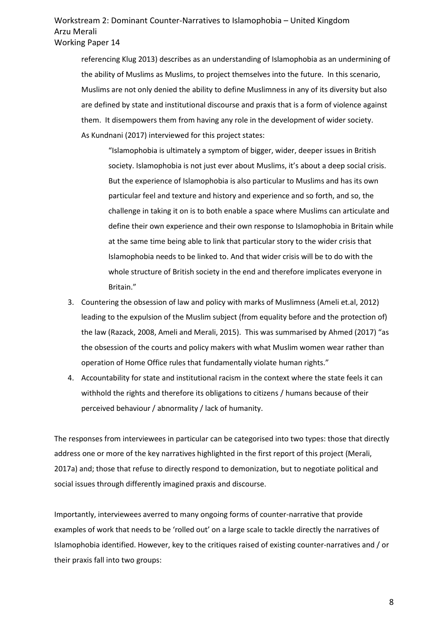referencing Klug 2013) describes as an understanding of Islamophobia as an undermining of the ability of Muslims as Muslims, to project themselves into the future. In this scenario, Muslims are not only denied the ability to define Muslimness in any of its diversity but also are defined by state and institutional discourse and praxis that is a form of violence against them. It disempowers them from having any role in the development of wider society. As Kundnani (2017) interviewed for this project states:

"Islamophobia is ultimately a symptom of bigger, wider, deeper issues in British society. Islamophobia is not just ever about Muslims, it's about a deep social crisis. But the experience of Islamophobia is also particular to Muslims and has its own particular feel and texture and history and experience and so forth, and so, the challenge in taking it on is to both enable a space where Muslims can articulate and define their own experience and their own response to Islamophobia in Britain while at the same time being able to link that particular story to the wider crisis that Islamophobia needs to be linked to. And that wider crisis will be to do with the whole structure of British society in the end and therefore implicates everyone in Britain."

- 3. Countering the obsession of law and policy with marks of Muslimness (Ameli et.al, 2012) leading to the expulsion of the Muslim subject (from equality before and the protection of) the law (Razack, 2008, Ameli and Merali, 2015). This was summarised by Ahmed (2017) "as the obsession of the courts and policy makers with what Muslim women wear rather than operation of Home Office rules that fundamentally violate human rights."
- 4. Accountability for state and institutional racism in the context where the state feels it can withhold the rights and therefore its obligations to citizens / humans because of their perceived behaviour / abnormality / lack of humanity.

The responses from interviewees in particular can be categorised into two types: those that directly address one or more of the key narratives highlighted in the first report of this project (Merali, 2017a) and; those that refuse to directly respond to demonization, but to negotiate political and social issues through differently imagined praxis and discourse.

Importantly, interviewees averred to many ongoing forms of counter-narrative that provide examples of work that needs to be 'rolled out' on a large scale to tackle directly the narratives of Islamophobia identified. However, key to the critiques raised of existing counter-narratives and / or their praxis fall into two groups: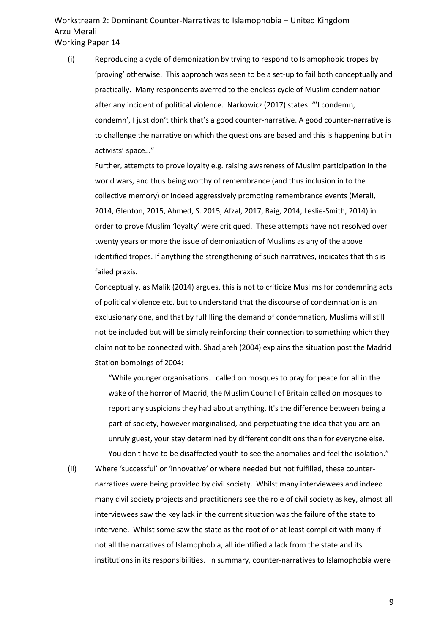(i) Reproducing a cycle of demonization by trying to respond to Islamophobic tropes by 'proving' otherwise. This approach was seen to be a set-up to fail both conceptually and practically. Many respondents averred to the endless cycle of Muslim condemnation after any incident of political violence. Narkowicz (2017) states: "'I condemn, I condemn', I just don't think that's a good counter-narrative. A good counter-narrative is to challenge the narrative on which the questions are based and this is happening but in activists' space…"

Further, attempts to prove loyalty e.g. raising awareness of Muslim participation in the world wars, and thus being worthy of remembrance (and thus inclusion in to the collective memory) or indeed aggressively promoting remembrance events (Merali, 2014, Glenton, 2015, Ahmed, S. 2015, Afzal, 2017, Baig, 2014, Leslie-Smith, 2014) in order to prove Muslim 'loyalty' were critiqued. These attempts have not resolved over twenty years or more the issue of demonization of Muslims as any of the above identified tropes. If anything the strengthening of such narratives, indicates that this is failed praxis.

Conceptually, as Malik (2014) argues, this is not to criticize Muslims for condemning acts of political violence etc. but to understand that the discourse of condemnation is an exclusionary one, and that by fulfilling the demand of condemnation, Muslims will still not be included but will be simply reinforcing their connection to something which they claim not to be connected with. Shadjareh (2004) explains the situation post the Madrid Station bombings of 2004:

"While younger organisations… called on mosques to pray for peace for all in the wake of the horror of Madrid, the Muslim Council of Britain called on mosques to report any suspicions they had about anything. It's the difference between being a part of society, however marginalised, and perpetuating the idea that you are an unruly guest, your stay determined by different conditions than for everyone else. You don't have to be disaffected youth to see the anomalies and feel the isolation."

(ii) Where 'successful' or 'innovative' or where needed but not fulfilled, these counternarratives were being provided by civil society. Whilst many interviewees and indeed many civil society projects and practitioners see the role of civil society as key, almost all interviewees saw the key lack in the current situation was the failure of the state to intervene. Whilst some saw the state as the root of or at least complicit with many if not all the narratives of Islamophobia, all identified a lack from the state and its institutions in its responsibilities. In summary, counter-narratives to Islamophobia were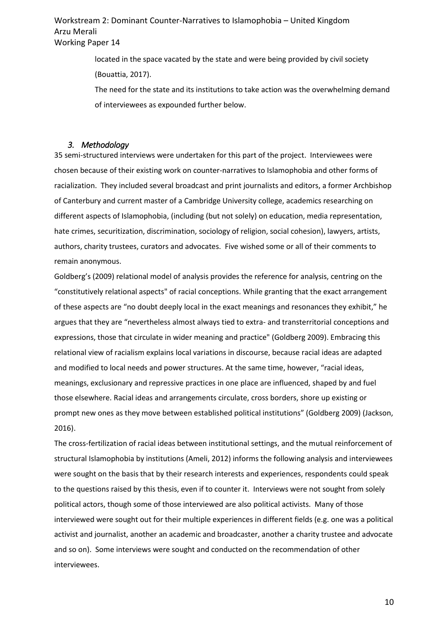> located in the space vacated by the state and were being provided by civil society (Bouattia, 2017).

The need for the state and its institutions to take action was the overwhelming demand of interviewees as expounded further below.

#### <span id="page-9-0"></span>*3. Methodology*

35 semi-structured interviews were undertaken for this part of the project. Interviewees were chosen because of their existing work on counter-narratives to Islamophobia and other forms of racialization. They included several broadcast and print journalists and editors, a former Archbishop of Canterbury and current master of a Cambridge University college, academics researching on different aspects of Islamophobia, (including (but not solely) on education, media representation, hate crimes, securitization, discrimination, sociology of religion, social cohesion), lawyers, artists, authors, charity trustees, curators and advocates. Five wished some or all of their comments to remain anonymous.

Goldberg's (2009) relational model of analysis provides the reference for analysis, centring on the "constitutively relational aspects" of racial conceptions. While granting that the exact arrangement of these aspects are "no doubt deeply local in the exact meanings and resonances they exhibit," he argues that they are "nevertheless almost always tied to extra- and transterritorial conceptions and expressions, those that circulate in wider meaning and practice" (Goldberg 2009). Embracing this relational view of racialism explains local variations in discourse, because racial ideas are adapted and modified to local needs and power structures. At the same time, however, "racial ideas, meanings, exclusionary and repressive practices in one place are influenced, shaped by and fuel those elsewhere. Racial ideas and arrangements circulate, cross borders, shore up existing or prompt new ones as they move between established political institutions" (Goldberg 2009) (Jackson, 2016).

The cross-fertilization of racial ideas between institutional settings, and the mutual reinforcement of structural Islamophobia by institutions (Ameli, 2012) informs the following analysis and interviewees were sought on the basis that by their research interests and experiences, respondents could speak to the questions raised by this thesis, even if to counter it. Interviews were not sought from solely political actors, though some of those interviewed are also political activists. Many of those interviewed were sought out for their multiple experiences in different fields (e.g. one was a political activist and journalist, another an academic and broadcaster, another a charity trustee and advocate and so on). Some interviews were sought and conducted on the recommendation of other interviewees.

10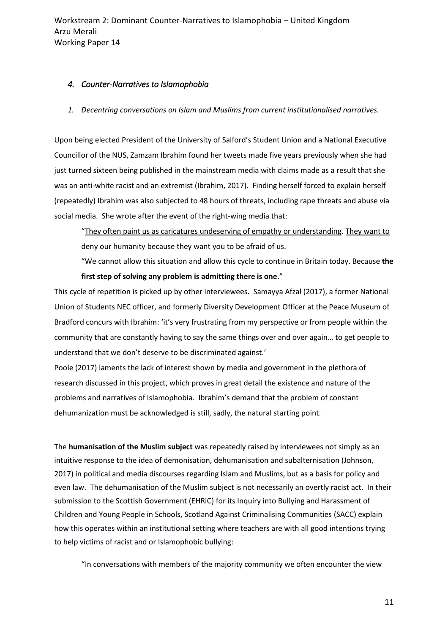#### <span id="page-10-0"></span>*4. Counter-Narratives to Islamophobia*

*1. Decentring conversations on Islam and Muslims from current institutionalised narratives.*

Upon being elected President of the University of Salford's Student Union and a National Executive Councillor of the NUS, Zamzam Ibrahim found her tweets made five years previously when she had just turned sixteen being published in the mainstream media with claims made as a result that she was an anti-white racist and an extremist (Ibrahim, 2017). Finding herself forced to explain herself (repeatedly) Ibrahim was also subjected to 48 hours of threats, including rape threats and abuse via social media. She wrote after the event of the right-wing media that:

"They often paint us as caricatures undeserving of empathy or understanding. They want to deny our humanity because they want you to be afraid of us.

"We cannot allow this situation and allow this cycle to continue in Britain today. Because **the first step of solving any problem is admitting there is one**."

This cycle of repetition is picked up by other interviewees. Samayya Afzal (2017), a former National Union of Students NEC officer, and formerly Diversity Development Officer at the Peace Museum of Bradford concurs with Ibrahim: 'it's very frustrating from my perspective or from people within the community that are constantly having to say the same things over and over again… to get people to understand that we don't deserve to be discriminated against.'

Poole (2017) laments the lack of interest shown by media and government in the plethora of research discussed in this project, which proves in great detail the existence and nature of the problems and narratives of Islamophobia. Ibrahim's demand that the problem of constant dehumanization must be acknowledged is still, sadly, the natural starting point.

The **humanisation of the Muslim subject** was repeatedly raised by interviewees not simply as an intuitive response to the idea of demonisation, dehumanisation and subalternisation (Johnson, 2017) in political and media discourses regarding Islam and Muslims, but as a basis for policy and even law. The dehumanisation of the Muslim subject is not necessarily an overtly racist act. In their submission to the Scottish Government (EHRiC) for its Inquiry into Bullying and Harassment of Children and Young People in Schools, Scotland Against Criminalising Communities (SACC) explain how this operates within an institutional setting where teachers are with all good intentions trying to help victims of racist and or Islamophobic bullying:

"In conversations with members of the majority community we often encounter the view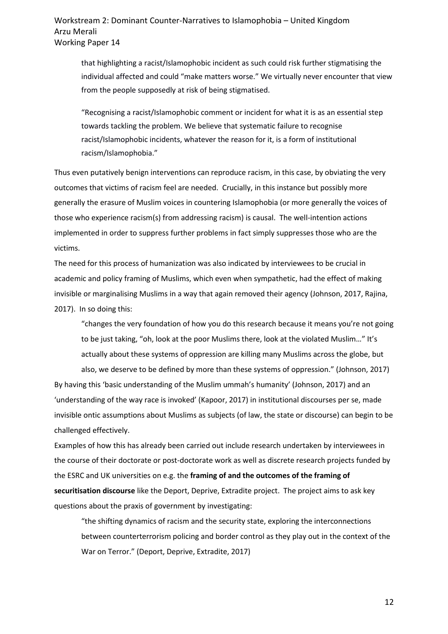that highlighting a racist/Islamophobic incident as such could risk further stigmatising the individual affected and could "make matters worse." We virtually never encounter that view from the people supposedly at risk of being stigmatised.

"Recognising a racist/Islamophobic comment or incident for what it is as an essential step towards tackling the problem. We believe that systematic failure to recognise racist/Islamophobic incidents, whatever the reason for it, is a form of institutional racism/Islamophobia."

Thus even putatively benign interventions can reproduce racism, in this case, by obviating the very outcomes that victims of racism feel are needed. Crucially, in this instance but possibly more generally the erasure of Muslim voices in countering Islamophobia (or more generally the voices of those who experience racism(s) from addressing racism) is causal. The well-intention actions implemented in order to suppress further problems in fact simply suppresses those who are the victims.

The need for this process of humanization was also indicated by interviewees to be crucial in academic and policy framing of Muslims, which even when sympathetic, had the effect of making invisible or marginalising Muslims in a way that again removed their agency (Johnson, 2017, Rajina, 2017). In so doing this:

"changes the very foundation of how you do this research because it means you're not going to be just taking, "oh, look at the poor Muslims there, look at the violated Muslim…" It's actually about these systems of oppression are killing many Muslims across the globe, but

also, we deserve to be defined by more than these systems of oppression." (Johnson, 2017) By having this 'basic understanding of the Muslim ummah's humanity' (Johnson, 2017) and an 'understanding of the way race is invoked' (Kapoor, 2017) in institutional discourses per se, made invisible ontic assumptions about Muslims as subjects (of law, the state or discourse) can begin to be challenged effectively.

Examples of how this has already been carried out include research undertaken by interviewees in the course of their doctorate or post-doctorate work as well as discrete research projects funded by the ESRC and UK universities on e.g. the **framing of and the outcomes of the framing of securitisation discourse** like the Deport, Deprive, Extradite project. The project aims to ask key questions about the praxis of government by investigating:

"the shifting dynamics of racism and the security state, exploring the interconnections between counterterrorism policing and border control as they play out in the context of the War on Terror." (Deport, Deprive, Extradite, 2017)

12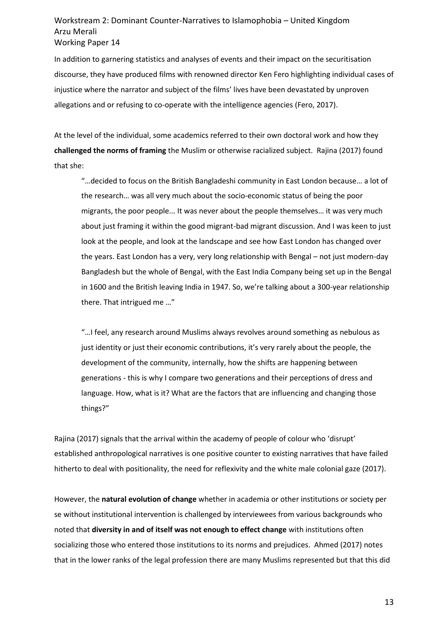In addition to garnering statistics and analyses of events and their impact on the securitisation discourse, they have produced films with renowned director Ken Fero highlighting individual cases of injustice where the narrator and subject of the films' lives have been devastated by unproven allegations and or refusing to co-operate with the intelligence agencies (Fero, 2017).

At the level of the individual, some academics referred to their own doctoral work and how they **challenged the norms of framing** the Muslim or otherwise racialized subject. Rajina (2017) found that she:

"…decided to focus on the British Bangladeshi community in East London because… a lot of the research… was all very much about the socio-economic status of being the poor migrants, the poor people... It was never about the people themselves… it was very much about just framing it within the good migrant-bad migrant discussion. And I was keen to just look at the people, and look at the landscape and see how East London has changed over the years. East London has a very, very long relationship with Bengal – not just modern-day Bangladesh but the whole of Bengal, with the East India Company being set up in the Bengal in 1600 and the British leaving India in 1947. So, we're talking about a 300-year relationship there. That intrigued me …"

"…I feel, any research around Muslims always revolves around something as nebulous as just identity or just their economic contributions, it's very rarely about the people, the development of the community, internally, how the shifts are happening between generations - this is why I compare two generations and their perceptions of dress and language. How, what is it? What are the factors that are influencing and changing those things?"

Rajina (2017) signals that the arrival within the academy of people of colour who 'disrupt' established anthropological narratives is one positive counter to existing narratives that have failed hitherto to deal with positionality, the need for reflexivity and the white male colonial gaze (2017).

However, the **natural evolution of change** whether in academia or other institutions or society per se without institutional intervention is challenged by interviewees from various backgrounds who noted that **diversity in and of itself was not enough to effect change** with institutions often socializing those who entered those institutions to its norms and prejudices. Ahmed (2017) notes that in the lower ranks of the legal profession there are many Muslims represented but that this did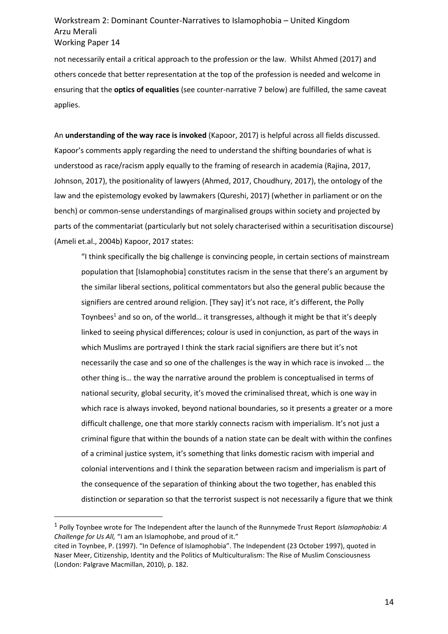not necessarily entail a critical approach to the profession or the law. Whilst Ahmed (2017) and others concede that better representation at the top of the profession is needed and welcome in ensuring that the **optics of equalities** (see counter-narrative 7 below) are fulfilled, the same caveat applies.

An **understanding of the way race is invoked** (Kapoor, 2017) is helpful across all fields discussed. Kapoor's comments apply regarding the need to understand the shifting boundaries of what is understood as race/racism apply equally to the framing of research in academia (Rajina, 2017, Johnson, 2017), the positionality of lawyers (Ahmed, 2017, Choudhury, 2017), the ontology of the law and the epistemology evoked by lawmakers (Qureshi, 2017) (whether in parliament or on the bench) or common-sense understandings of marginalised groups within society and projected by parts of the commentariat (particularly but not solely characterised within a securitisation discourse) (Ameli et.al., 2004b) Kapoor, 2017 states:

"I think specifically the big challenge is convincing people, in certain sections of mainstream population that [Islamophobia] constitutes racism in the sense that there's an argument by the similar liberal sections, political commentators but also the general public because the signifiers are centred around religion. [They say] it's not race, it's different, the Polly Toynbees<sup>1</sup> and so on, of the world... it transgresses, although it might be that it's deeply linked to seeing physical differences; colour is used in conjunction, as part of the ways in which Muslims are portrayed I think the stark racial signifiers are there but it's not necessarily the case and so one of the challenges is the way in which race is invoked … the other thing is… the way the narrative around the problem is conceptualised in terms of national security, global security, it's moved the criminalised threat, which is one way in which race is always invoked, beyond national boundaries, so it presents a greater or a more difficult challenge, one that more starkly connects racism with imperialism. It's not just a criminal figure that within the bounds of a nation state can be dealt with within the confines of a criminal justice system, it's something that links domestic racism with imperial and colonial interventions and I think the separation between racism and imperialism is part of the consequence of the separation of thinking about the two together, has enabled this distinction or separation so that the terrorist suspect is not necessarily a figure that we think

<sup>1</sup> Polly Toynbee wrote for The Independent after the launch of the Runnymede Trust Report *Islamophobia: A Challenge for Us All,* "I am an Islamophobe, and proud of it."

cited in Toynbee, P. (1997). "In Defence of Islamophobia". The Independent (23 October 1997), quoted in Naser Meer, Citizenship, Identity and the Politics of Multiculturalism: The Rise of Muslim Consciousness (London: Palgrave Macmillan, 2010), p. 182.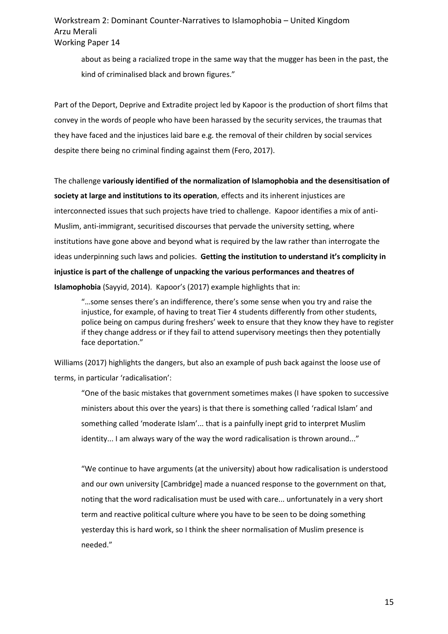about as being a racialized trope in the same way that the mugger has been in the past, the kind of criminalised black and brown figures."

Part of the Deport, Deprive and Extradite project led by Kapoor is the production of short films that convey in the words of people who have been harassed by the security services, the traumas that they have faced and the injustices laid bare e.g. the removal of their children by social services despite there being no criminal finding against them (Fero, 2017).

The challenge **variously identified of the normalization of Islamophobia and the desensitisation of society at large and institutions to its operation**, effects and its inherent injustices are interconnected issues that such projects have tried to challenge. Kapoor identifies a mix of anti-Muslim, anti-immigrant, securitised discourses that pervade the university setting, where institutions have gone above and beyond what is required by the law rather than interrogate the ideas underpinning such laws and policies. **Getting the institution to understand it's complicity in injustice is part of the challenge of unpacking the various performances and theatres of Islamophobia** (Sayyid, 2014). Kapoor's (2017) example highlights that in:

"…some senses there's an indifference, there's some sense when you try and raise the injustice, for example, of having to treat Tier 4 students differently from other students, police being on campus during freshers' week to ensure that they know they have to register if they change address or if they fail to attend supervisory meetings then they potentially face deportation."

Williams (2017) highlights the dangers, but also an example of push back against the loose use of terms, in particular 'radicalisation':

"One of the basic mistakes that government sometimes makes (I have spoken to successive ministers about this over the years) is that there is something called 'radical Islam' and something called 'moderate Islam'... that is a painfully inept grid to interpret Muslim identity... I am always wary of the way the word radicalisation is thrown around..."

"We continue to have arguments (at the university) about how radicalisation is understood and our own university [Cambridge] made a nuanced response to the government on that, noting that the word radicalisation must be used with care... unfortunately in a very short term and reactive political culture where you have to be seen to be doing something yesterday this is hard work, so I think the sheer normalisation of Muslim presence is needed."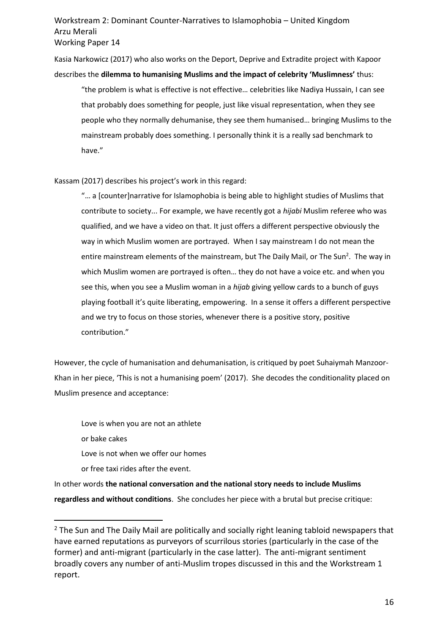Kasia Narkowicz (2017) who also works on the Deport, Deprive and Extradite project with Kapoor describes the **dilemma to humanising Muslims and the impact of celebrity 'Muslimness'** thus:

"the problem is what is effective is not effective… celebrities like Nadiya Hussain, I can see that probably does something for people, just like visual representation, when they see people who they normally dehumanise, they see them humanised… bringing Muslims to the mainstream probably does something. I personally think it is a really sad benchmark to have."

Kassam (2017) describes his project's work in this regard:

"… a [counter]narrative for Islamophobia is being able to highlight studies of Muslims that contribute to society... For example, we have recently got a *hijabi* Muslim referee who was qualified, and we have a video on that. It just offers a different perspective obviously the way in which Muslim women are portrayed. When I say mainstream I do not mean the entire mainstream elements of the mainstream, but The Daily Mail, or The Sun<sup>2</sup>. The way in which Muslim women are portrayed is often… they do not have a voice etc. and when you see this, when you see a Muslim woman in a *hijab* giving yellow cards to a bunch of guys playing football it's quite liberating, empowering. In a sense it offers a different perspective and we try to focus on those stories, whenever there is a positive story, positive contribution."

However, the cycle of humanisation and dehumanisation, is critiqued by poet Suhaiymah Manzoor-Khan in her piece, 'This is not a humanising poem' (2017). She decodes the conditionality placed on Muslim presence and acceptance:

Love is when you are not an athlete or bake cakes Love is not when we offer our homes or free taxi rides after the event.

 $\overline{a}$ 

In other words **the national conversation and the national story needs to include Muslims regardless and without conditions**. She concludes her piece with a brutal but precise critique:

 $2$  The Sun and The Daily Mail are politically and socially right leaning tabloid newspapers that have earned reputations as purveyors of scurrilous stories (particularly in the case of the former) and anti-migrant (particularly in the case latter). The anti-migrant sentiment broadly covers any number of anti-Muslim tropes discussed in this and the Workstream 1 report.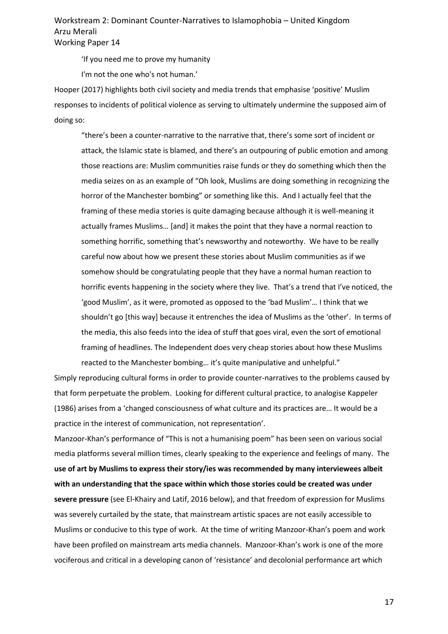'If you need me to prove my humanity

I'm not the one who's not human.'

Hooper (2017) highlights both civil society and media trends that emphasise 'positive' Muslim responses to incidents of political violence as serving to ultimately undermine the supposed aim of doing so:

"there's been a counter-narrative to the narrative that, there's some sort of incident or attack, the Islamic state is blamed, and there's an outpouring of public emotion and among those reactions are: Muslim communities raise funds or they do something which then the media seizes on as an example of "Oh look, Muslims are doing something in recognizing the horror of the Manchester bombing" or something like this. And I actually feel that the framing of these media stories is quite damaging because although it is well-meaning it actually frames Muslims… [and] it makes the point that they have a normal reaction to something horrific, something that's newsworthy and noteworthy. We have to be really careful now about how we present these stories about Muslim communities as if we somehow should be congratulating people that they have a normal human reaction to horrific events happening in the society where they live. That's a trend that I've noticed, the 'good Muslim', as it were, promoted as opposed to the 'bad Muslim'… I think that we shouldn't go [this way] because it entrenches the idea of Muslims as the 'other'. In terms of the media, this also feeds into the idea of stuff that goes viral, even the sort of emotional framing of headlines. The Independent does very cheap stories about how these Muslims reacted to the Manchester bombing… it's quite manipulative and unhelpful."

Simply reproducing cultural forms in order to provide counter-narratives to the problems caused by that form perpetuate the problem. Looking for different cultural practice, to analogise Kappeler (1986) arises from a 'changed consciousness of what culture and its practices are… It would be a practice in the interest of communication, not representation'.

Manzoor-Khan's performance of "This is not a humanising poem" has been seen on various social media platforms several million times, clearly speaking to the experience and feelings of many. The **use of art by Muslims to express their story/ies was recommended by many interviewees albeit with an understanding that the space within which those stories could be created was under severe pressure** (see El-Khairy and Latif, 2016 below), and that freedom of expression for Muslims was severely curtailed by the state, that mainstream artistic spaces are not easily accessible to Muslims or conducive to this type of work. At the time of writing Manzoor-Khan's poem and work have been profiled on mainstream arts media channels. Manzoor-Khan's work is one of the more vociferous and critical in a developing canon of 'resistance' and decolonial performance art which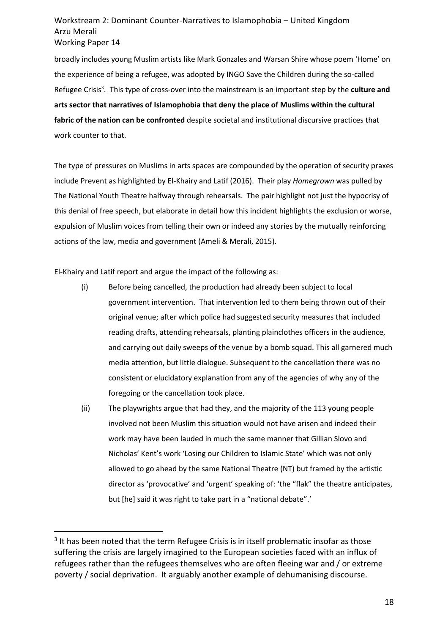broadly includes young Muslim artists like Mark Gonzales and Warsan Shire whose poem 'Home' on the experience of being a refugee, was adopted by INGO Save the Children during the so-called Refugee Crisis<sup>3</sup>. This type of cross-over into the mainstream is an important step by the **culture and arts sector that narratives of Islamophobia that deny the place of Muslims within the cultural fabric of the nation can be confronted** despite societal and institutional discursive practices that work counter to that.

The type of pressures on Muslims in arts spaces are compounded by the operation of security praxes include Prevent as highlighted by El-Khairy and Latif (2016). Their play *Homegrown* was pulled by The National Youth Theatre halfway through rehearsals. The pair highlight not just the hypocrisy of this denial of free speech, but elaborate in detail how this incident highlights the exclusion or worse, expulsion of Muslim voices from telling their own or indeed any stories by the mutually reinforcing actions of the law, media and government (Ameli & Merali, 2015).

El-Khairy and Latif report and argue the impact of the following as:

- (i) Before being cancelled, the production had already been subject to local government intervention. That intervention led to them being thrown out of their original venue; after which police had suggested security measures that included reading drafts, attending rehearsals, planting plainclothes officers in the audience, and carrying out daily sweeps of the venue by a bomb squad. This all garnered much media attention, but little dialogue. Subsequent to the cancellation there was no consistent or elucidatory explanation from any of the agencies of why any of the foregoing or the cancellation took place.
- (ii) The playwrights argue that had they, and the majority of the 113 young people involved not been Muslim this situation would not have arisen and indeed their work may have been lauded in much the same manner that Gillian Slovo and Nicholas' Kent's work 'Losing our Children to Islamic State' which was not only allowed to go ahead by the same National Theatre (NT) but framed by the artistic director as 'provocative' and 'urgent' speaking of: 'the "flak" the theatre anticipates, but [he] said it was right to take part in a "national debate".'

<sup>&</sup>lt;sup>3</sup> It has been noted that the term Refugee Crisis is in itself problematic insofar as those suffering the crisis are largely imagined to the European societies faced with an influx of refugees rather than the refugees themselves who are often fleeing war and / or extreme poverty / social deprivation. It arguably another example of dehumanising discourse.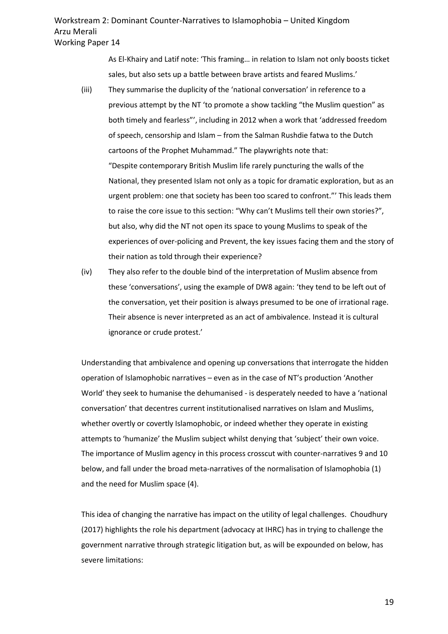As El-Khairy and Latif note: 'This framing… in relation to [Islam](https://www.theguardian.com/world/islam) not only boosts ticket sales, but also sets up a battle between brave artists and feared Muslims.'

- (iii) They summarise the duplicity of the 'national conversation' in reference to a previous attempt by the NT 'to promote a show tackling "the Muslim question" as both timely and fearless"', including in 2012 when a work that 'addressed freedom of speech, censorship and Islam – from the Salman Rushdie fatwa to the Dutch cartoons of the Prophet Muhammad." The playwrights note that: "Despite contemporary British Muslim life rarely puncturing the walls of the National, they presented Islam not only as a topic for dramatic exploration, but as an urgent problem: one that society has been too scared to confront."' This leads them to raise the core issue to this section: "Why can't Muslims tell their own stories?", but also, why did the NT not open its space to young Muslims to speak of the experiences of over-policing and Prevent, the key issues facing them and the story of their nation as told through their experience?
- (iv) They also refer to the double bind of the interpretation of Muslim absence from these 'conversations', using the example of DW8 again: 'they tend to be left out of the conversation, yet their position is always presumed to be one of irrational rage. Their absence is never interpreted as an act of ambivalence. Instead it is cultural ignorance or crude protest.'

Understanding that ambivalence and opening up conversations that interrogate the hidden operation of Islamophobic narratives – even as in the case of NT's production 'Another World' they seek to humanise the dehumanised - is desperately needed to have a 'national conversation' that decentres current institutionalised narratives on Islam and Muslims, whether overtly or covertly Islamophobic, or indeed whether they operate in existing attempts to 'humanize' the Muslim subject whilst denying that 'subject' their own voice. The importance of Muslim agency in this process crosscut with counter-narratives 9 and 10 below, and fall under the broad meta-narratives of the normalisation of Islamophobia (1) and the need for Muslim space (4).

This idea of changing the narrative has impact on the utility of legal challenges. Choudhury (2017) highlights the role his department (advocacy at IHRC) has in trying to challenge the government narrative through strategic litigation but, as will be expounded on below, has severe limitations: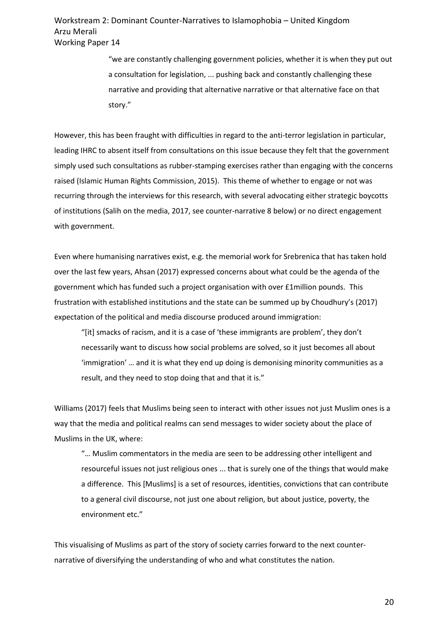> "we are constantly challenging government policies, whether it is when they put out a consultation for legislation, ... pushing back and constantly challenging these narrative and providing that alternative narrative or that alternative face on that story."

However, this has been fraught with difficulties in regard to the anti-terror legislation in particular, leading IHRC to absent itself from consultations on this issue because they felt that the government simply used such consultations as rubber-stamping exercises rather than engaging with the concerns raised (Islamic Human Rights Commission, 2015). This theme of whether to engage or not was recurring through the interviews for this research, with several advocating either strategic boycotts of institutions (Salih on the media, 2017, see counter-narrative 8 below) or no direct engagement with government.

Even where humanising narratives exist, e.g. the memorial work for Srebrenica that has taken hold over the last few years, Ahsan (2017) expressed concerns about what could be the agenda of the government which has funded such a project organisation with over £1million pounds. This frustration with established institutions and the state can be summed up by Choudhury's (2017) expectation of the political and media discourse produced around immigration:

"[it] smacks of racism, and it is a case of 'these immigrants are problem', they don't necessarily want to discuss how social problems are solved, so it just becomes all about 'immigration' … and it is what they end up doing is demonising minority communities as a result, and they need to stop doing that and that it is."

Williams (2017) feels that Muslims being seen to interact with other issues not just Muslim ones is a way that the media and political realms can send messages to wider society about the place of Muslims in the UK, where:

"… Muslim commentators in the media are seen to be addressing other intelligent and resourceful issues not just religious ones ... that is surely one of the things that would make a difference. This [Muslims] is a set of resources, identities, convictions that can contribute to a general civil discourse, not just one about religion, but about justice, poverty, the environment etc."

This visualising of Muslims as part of the story of society carries forward to the next counternarrative of diversifying the understanding of who and what constitutes the nation.

20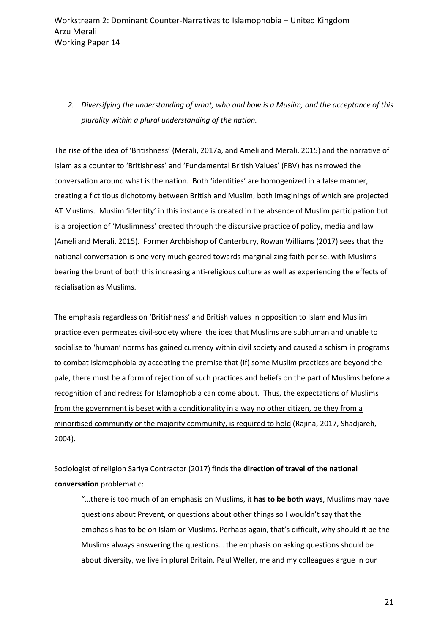*2. Diversifying the understanding of what, who and how is a Muslim, and the acceptance of this plurality within a plural understanding of the nation.* 

The rise of the idea of 'Britishness' (Merali, 2017a, and Ameli and Merali, 2015) and the narrative of Islam as a counter to 'Britishness' and 'Fundamental British Values' (FBV) has narrowed the conversation around what is the nation. Both 'identities' are homogenized in a false manner, creating a fictitious dichotomy between British and Muslim, both imaginings of which are projected AT Muslims. Muslim 'identity' in this instance is created in the absence of Muslim participation but is a projection of 'Muslimness' created through the discursive practice of policy, media and law (Ameli and Merali, 2015). Former Archbishop of Canterbury, Rowan Williams (2017) sees that the national conversation is one very much geared towards marginalizing faith per se, with Muslims bearing the brunt of both this increasing anti-religious culture as well as experiencing the effects of racialisation as Muslims.

The emphasis regardless on 'Britishness' and British values in opposition to Islam and Muslim practice even permeates civil-society where the idea that Muslims are subhuman and unable to socialise to 'human' norms has gained currency within civil society and caused a schism in programs to combat Islamophobia by accepting the premise that (if) some Muslim practices are beyond the pale, there must be a form of rejection of such practices and beliefs on the part of Muslims before a recognition of and redress for Islamophobia can come about. Thus, the expectations of Muslims from the government is beset with a conditionality in a way no other citizen, be they from a minoritised community or the majority community, is required to hold (Rajina, 2017, Shadjareh, 2004).

Sociologist of religion Sariya Contractor (2017) finds the **direction of travel of the national conversation** problematic:

"…there is too much of an emphasis on Muslims, it **has to be both ways**, Muslims may have questions about Prevent, or questions about other things so I wouldn't say that the emphasis has to be on Islam or Muslims. Perhaps again, that's difficult, why should it be the Muslims always answering the questions… the emphasis on asking questions should be about diversity, we live in plural Britain. Paul Weller, me and my colleagues argue in our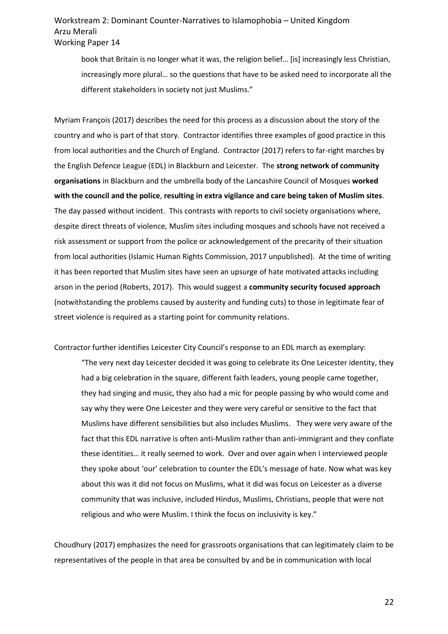book that Britain is no longer what it was, the religion belief… [is] increasingly less Christian, increasingly more plural… so the questions that have to be asked need to incorporate all the different stakeholders in society not just Muslims."

Myriam François (2017) describes the need for this process as a discussion about the story of the country and who is part of that story. Contractor identifies three examples of good practice in this from local authorities and the Church of England. Contractor (2017) refers to far-right marches by the English Defence League (EDL) in Blackburn and Leicester. The **strong network of community organisations** in Blackburn and the umbrella body of the Lancashire Council of Mosques **worked with the council and the police**, **resulting in extra vigilance and care being taken of Muslim sites**. The day passed without incident. This contrasts with reports to civil society organisations where, despite direct threats of violence, Muslim sites including mosques and schools have not received a risk assessment or support from the police or acknowledgement of the precarity of their situation from local authorities (Islamic Human Rights Commission, 2017 unpublished). At the time of writing it has been reported that Muslim sites have seen an upsurge of hate motivated attacks including arson in the period (Roberts, 2017). This would suggest a **community security focused approach** (notwithstanding the problems caused by austerity and funding cuts) to those in legitimate fear of street violence is required as a starting point for community relations.

Contractor further identifies Leicester City Council's response to an EDL march as exemplary:

"The very next day Leicester decided it was going to celebrate its One Leicester identity, they had a big celebration in the square, different faith leaders, young people came together, they had singing and music, they also had a mic for people passing by who would come and say why they were One Leicester and they were very careful or sensitive to the fact that Muslims have different sensibilities but also includes Muslims. They were very aware of the fact that this EDL narrative is often anti-Muslim rather than anti-immigrant and they conflate these identities… it really seemed to work. Over and over again when I interviewed people they spoke about 'our' celebration to counter the EDL's message of hate. Now what was key about this was it did not focus on Muslims, what it did was focus on Leicester as a diverse community that was inclusive, included Hindus, Muslims, Christians, people that were not religious and who were Muslim. I think the focus on inclusivity is key."

Choudhury (2017) emphasizes the need for grassroots organisations that can legitimately claim to be representatives of the people in that area be consulted by and be in communication with local

22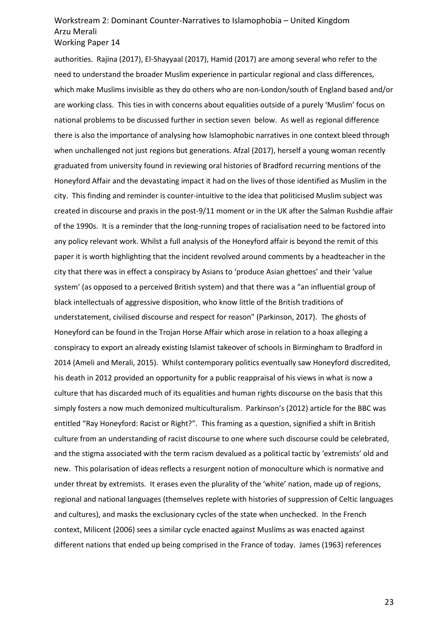authorities. Rajina (2017), El-Shayyaal (2017), Hamid (2017) are among several who refer to the need to understand the broader Muslim experience in particular regional and class differences, which make Muslims invisible as they do others who are non-London/south of England based and/or are working class. This ties in with concerns about equalities outside of a purely 'Muslim' focus on national problems to be discussed further in section seven below. As well as regional difference there is also the importance of analysing how Islamophobic narratives in one context bleed through when unchallenged not just regions but generations. Afzal (2017), herself a young woman recently graduated from university found in reviewing oral histories of Bradford recurring mentions of the Honeyford Affair and the devastating impact it had on the lives of those identified as Muslim in the city. This finding and reminder is counter-intuitive to the idea that politicised Muslim subject was created in discourse and praxis in the post-9/11 moment or in the UK after the Salman Rushdie affair of the 1990s. It is a reminder that the long-running tropes of racialisation need to be factored into any policy relevant work. Whilst a full analysis of the Honeyford affair is beyond the remit of this paper it is worth highlighting that the incident revolved around comments by a headteacher in the city that there was in effect a conspiracy by Asians to 'produce Asian ghettoes' and their 'value system' (as opposed to a perceived British system) and that there was a "an influential group of black intellectuals of aggressive disposition, who know little of the British traditions of understatement, civilised discourse and respect for reason" (Parkinson, 2017). The ghosts of Honeyford can be found in the Trojan Horse Affair which arose in relation to a hoax alleging a conspiracy to export an already existing Islamist takeover of schools in Birmingham to Bradford in 2014 (Ameli and Merali, 2015). Whilst contemporary politics eventually saw Honeyford discredited, his death in 2012 provided an opportunity for a public reappraisal of his views in what is now a culture that has discarded much of its equalities and human rights discourse on the basis that this simply fosters a now much demonized multiculturalism. Parkinson's (2012) article for the BBC was entitled "Ray Honeyford: Racist or Right?". This framing as a question, signified a shift in British culture from an understanding of racist discourse to one where such discourse could be celebrated, and the stigma associated with the term racism devalued as a political tactic by 'extremists' old and new. This polarisation of ideas reflects a resurgent notion of monoculture which is normative and under threat by extremists. It erases even the plurality of the 'white' nation, made up of regions, regional and national languages (themselves replete with histories of suppression of Celtic languages and cultures), and masks the exclusionary cycles of the state when unchecked. In the French context, Milicent (2006) sees a similar cycle enacted against Muslims as was enacted against different nations that ended up being comprised in the France of today. James (1963) references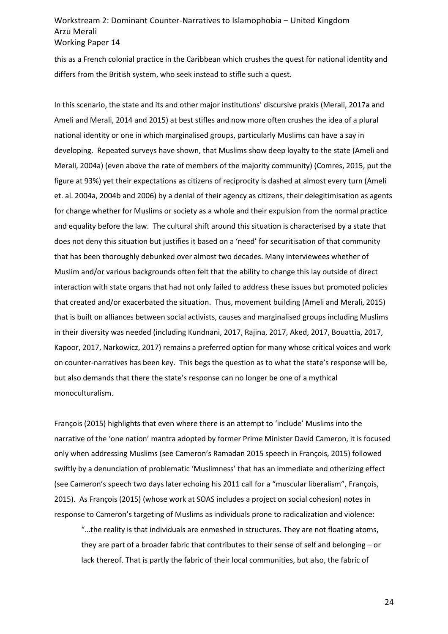this as a French colonial practice in the Caribbean which crushes the quest for national identity and differs from the British system, who seek instead to stifle such a quest.

In this scenario, the state and its and other major institutions' discursive praxis (Merali, 2017a and Ameli and Merali, 2014 and 2015) at best stifles and now more often crushes the idea of a plural national identity or one in which marginalised groups, particularly Muslims can have a say in developing. Repeated surveys have shown, that Muslims show deep loyalty to the state (Ameli and Merali, 2004a) (even above the rate of members of the majority community) (Comres, 2015, put the figure at 93%) yet their expectations as citizens of reciprocity is dashed at almost every turn (Ameli et. al. 2004a, 2004b and 2006) by a denial of their agency as citizens, their delegitimisation as agents for change whether for Muslims or society as a whole and their expulsion from the normal practice and equality before the law. The cultural shift around this situation is characterised by a state that does not deny this situation but justifies it based on a 'need' for securitisation of that community that has been thoroughly debunked over almost two decades. Many interviewees whether of Muslim and/or various backgrounds often felt that the ability to change this lay outside of direct interaction with state organs that had not only failed to address these issues but promoted policies that created and/or exacerbated the situation. Thus, movement building (Ameli and Merali, 2015) that is built on alliances between social activists, causes and marginalised groups including Muslims in their diversity was needed (including Kundnani, 2017, Rajina, 2017, Aked, 2017, Bouattia, 2017, Kapoor, 2017, Narkowicz, 2017) remains a preferred option for many whose critical voices and work on counter-narratives has been key. This begs the question as to what the state's response will be, but also demands that there the state's response can no longer be one of a mythical monoculturalism.

François (2015) highlights that even where there is an attempt to 'include' Muslims into the narrative of the 'one nation' mantra adopted by former Prime Minister David Cameron, it is focused only when addressing Muslims (see Cameron's Ramadan 2015 speech in François, 2015) followed swiftly by a denunciation of problematic 'Muslimness' that has an immediate and otherizing effect (see Cameron's speech two days later echoing his 2011 call for a "muscular liberalism", François, 2015). As François (2015) (whose work at SOAS includes a project on social cohesion) notes in response to Cameron's targeting of Muslims as individuals prone to radicalization and violence:

"…the reality is that individuals are enmeshed in structures. They are not floating atoms, they are part of a broader fabric that contributes to their sense of self and belonging – or lack thereof. That is partly the fabric of their local communities, but also, the fabric of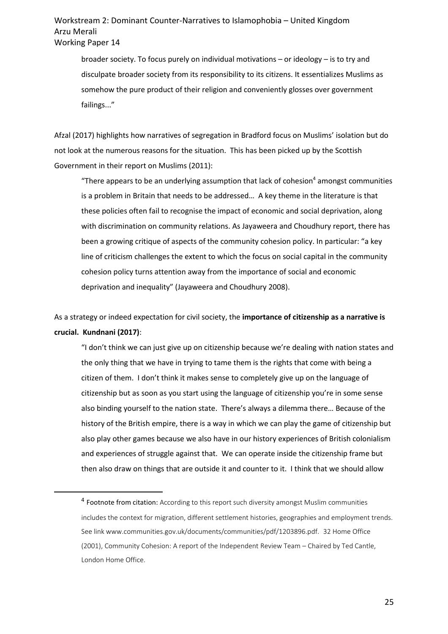broader society. To focus purely on individual motivations – or ideology – is to try and disculpate broader society from its responsibility to its citizens. It essentializes Muslims as somehow the pure product of their religion and conveniently glosses over government failings..."

Afzal (2017) highlights how narratives of segregation in Bradford focus on Muslims' isolation but do not look at the numerous reasons for the situation. This has been picked up by the Scottish Government in their report on Muslims (2011):

"There appears to be an underlying assumption that lack of cohesion<sup>4</sup> amongst communities is a problem in Britain that needs to be addressed… A key theme in the literature is that these policies often fail to recognise the impact of economic and social deprivation, along with discrimination on community relations. As Jayaweera and Choudhury report, there has been a growing critique of aspects of the community cohesion policy. In particular: "a key line of criticism challenges the extent to which the focus on social capital in the community cohesion policy turns attention away from the importance of social and economic deprivation and inequality" (Jayaweera and Choudhury 2008).

As a strategy or indeed expectation for civil society, the **importance of citizenship as a narrative is crucial. Kundnani (2017)**:

"I don't think we can just give up on citizenship because we're dealing with nation states and the only thing that we have in trying to tame them is the rights that come with being a citizen of them. I don't think it makes sense to completely give up on the language of citizenship but as soon as you start using the language of citizenship you're in some sense also binding yourself to the nation state. There's always a dilemma there… Because of the history of the British empire, there is a way in which we can play the game of citizenship but also play other games because we also have in our history experiences of British colonialism and experiences of struggle against that. We can operate inside the citizenship frame but then also draw on things that are outside it and counter to it. I think that we should allow

l

<sup>&</sup>lt;sup>4</sup> Footnote from citation: According to this report such diversity amongst Muslim communities includes the context for migration, different settlement histories, geographies and employment trends. See link www.communities.gov.uk/documents/communities/pdf/1203896.pdf. 32 Home Office (2001), Community Cohesion: A report of the Independent Review Team – Chaired by Ted Cantle, London Home Office.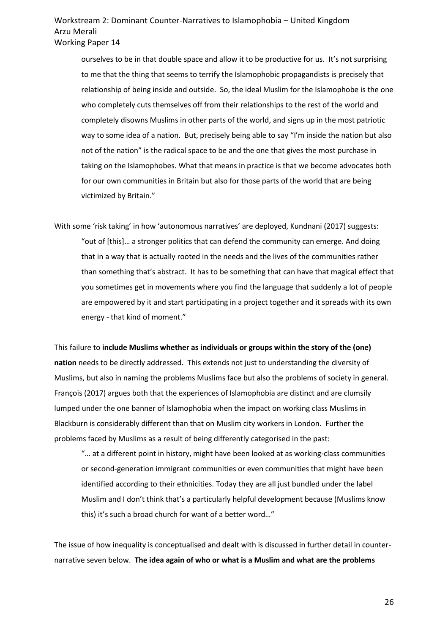ourselves to be in that double space and allow it to be productive for us. It's not surprising to me that the thing that seems to terrify the Islamophobic propagandists is precisely that relationship of being inside and outside. So, the ideal Muslim for the Islamophobe is the one who completely cuts themselves off from their relationships to the rest of the world and completely disowns Muslims in other parts of the world, and signs up in the most patriotic way to some idea of a nation. But, precisely being able to say "I'm inside the nation but also not of the nation" is the radical space to be and the one that gives the most purchase in taking on the Islamophobes. What that means in practice is that we become advocates both for our own communities in Britain but also for those parts of the world that are being victimized by Britain."

With some 'risk taking' in how 'autonomous narratives' are deployed, Kundnani (2017) suggests: "out of [this]… a stronger politics that can defend the community can emerge. And doing that in a way that is actually rooted in the needs and the lives of the communities rather than something that's abstract. It has to be something that can have that magical effect that you sometimes get in movements where you find the language that suddenly a lot of people are empowered by it and start participating in a project together and it spreads with its own energy - that kind of moment."

This failure to **include Muslims whether as individuals or groups within the story of the (one) nation** needs to be directly addressed. This extends not just to understanding the diversity of Muslims, but also in naming the problems Muslims face but also the problems of society in general. François (2017) argues both that the experiences of Islamophobia are distinct and are clumsily lumped under the one banner of Islamophobia when the impact on working class Muslims in Blackburn is considerably different than that on Muslim city workers in London. Further the problems faced by Muslims as a result of being differently categorised in the past:

"… at a different point in history, might have been looked at as working-class communities or second-generation immigrant communities or even communities that might have been identified according to their ethnicities. Today they are all just bundled under the label Muslim and I don't think that's a particularly helpful development because (Muslims know this) it's such a broad church for want of a better word…"

The issue of how inequality is conceptualised and dealt with is discussed in further detail in counternarrative seven below. **The idea again of who or what is a Muslim and what are the problems**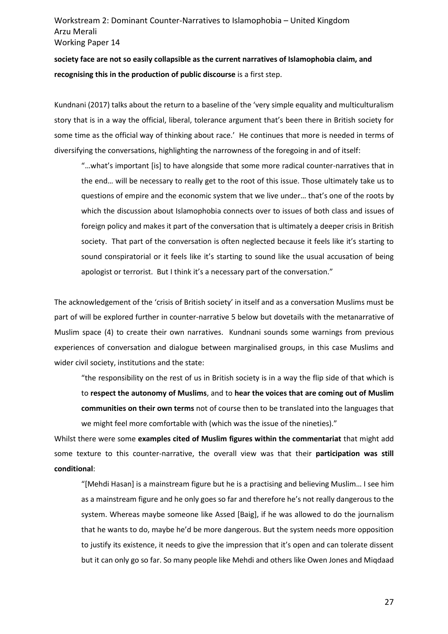**society face are not so easily collapsible as the current narratives of Islamophobia claim, and recognising this in the production of public discourse** is a first step.

Kundnani (2017) talks about the return to a baseline of the 'very simple equality and multiculturalism story that is in a way the official, liberal, tolerance argument that's been there in British society for some time as the official way of thinking about race.' He continues that more is needed in terms of diversifying the conversations, highlighting the narrowness of the foregoing in and of itself:

"…what's important [is] to have alongside that some more radical counter-narratives that in the end… will be necessary to really get to the root of this issue. Those ultimately take us to questions of empire and the economic system that we live under… that's one of the roots by which the discussion about Islamophobia connects over to issues of both class and issues of foreign policy and makes it part of the conversation that is ultimately a deeper crisis in British society. That part of the conversation is often neglected because it feels like it's starting to sound conspiratorial or it feels like it's starting to sound like the usual accusation of being apologist or terrorist. But I think it's a necessary part of the conversation."

The acknowledgement of the 'crisis of British society' in itself and as a conversation Muslims must be part of will be explored further in counter-narrative 5 below but dovetails with the metanarrative of Muslim space (4) to create their own narratives. Kundnani sounds some warnings from previous experiences of conversation and dialogue between marginalised groups, in this case Muslims and wider civil society, institutions and the state:

"the responsibility on the rest of us in British society is in a way the flip side of that which is to **respect the autonomy of Muslims**, and to **hear the voices that are coming out of Muslim communities on their own terms** not of course then to be translated into the languages that we might feel more comfortable with (which was the issue of the nineties)."

Whilst there were some **examples cited of Muslim figures within the commentariat** that might add some texture to this counter-narrative, the overall view was that their **participation was still conditional**:

"[Mehdi Hasan] is a mainstream figure but he is a practising and believing Muslim… I see him as a mainstream figure and he only goes so far and therefore he's not really dangerous to the system. Whereas maybe someone like Assed [Baig], if he was allowed to do the journalism that he wants to do, maybe he'd be more dangerous. But the system needs more opposition to justify its existence, it needs to give the impression that it's open and can tolerate dissent but it can only go so far. So many people like Mehdi and others like Owen Jones and Miqdaad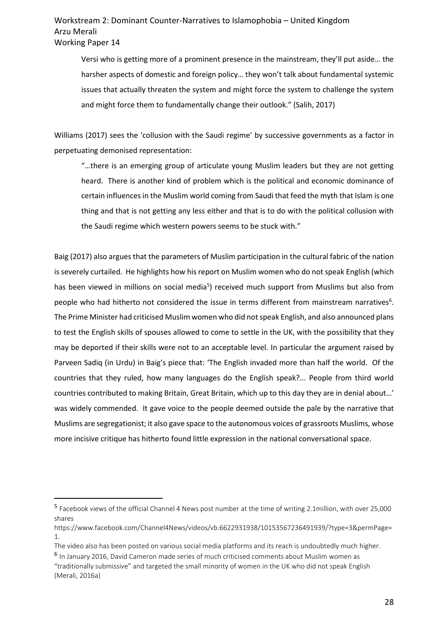Versi who is getting more of a prominent presence in the mainstream, they'll put aside… the harsher aspects of domestic and foreign policy… they won't talk about fundamental systemic issues that actually threaten the system and might force the system to challenge the system and might force them to fundamentally change their outlook." (Salih, 2017)

Williams (2017) sees the 'collusion with the Saudi regime' by successive governments as a factor in perpetuating demonised representation:

"…there is an emerging group of articulate young Muslim leaders but they are not getting heard. There is another kind of problem which is the political and economic dominance of certain influences in the Muslim world coming from Saudi that feed the myth that Islam is one thing and that is not getting any less either and that is to do with the political collusion with the Saudi regime which western powers seems to be stuck with."

Baig (2017) also argues that the parameters of Muslim participation in the cultural fabric of the nation is severely curtailed. He highlights how his report on Muslim women who do not speak English (which has been viewed in millions on social media<sup>5</sup>) received much support from Muslims but also from people who had hitherto not considered the issue in terms different from mainstream narratives<sup>6</sup>. The Prime Minister had criticised Muslim women who did not speak English, and also announced plans to test the English skills of spouses allowed to come to settle in the UK, with the possibility that they may be deported if their skills were not to an acceptable level. In particular the argument raised by Parveen Sadiq (in Urdu) in Baig's piece that: 'The English invaded more than half the world. Of the countries that they ruled, how many languages do the English speak?... People from third world countries contributed to making Britain, Great Britain, which up to this day they are in denial about…' was widely commended. It gave voice to the people deemed outside the pale by the narrative that Muslims are segregationist; it also gave space to the autonomous voices of grassroots Muslims, whose more incisive critique has hitherto found little expression in the national conversational space.

<sup>5</sup> Facebook views of the official Channel 4 News post number at the time of writing 2.1million, with over 25,000 shares

https://www.facebook.com/Channel4News/videos/vb.6622931938/10153567236491939/?type=3&permPage= 1.

The video also has been posted on various social media platforms and its reach is undoubtedly much higher.

<sup>6</sup> In January 2016, David Cameron made series of much criticised comments about Muslim women as "traditionally submissive" and targeted the small minority of women in the UK who did not speak English (Merali, 2016a)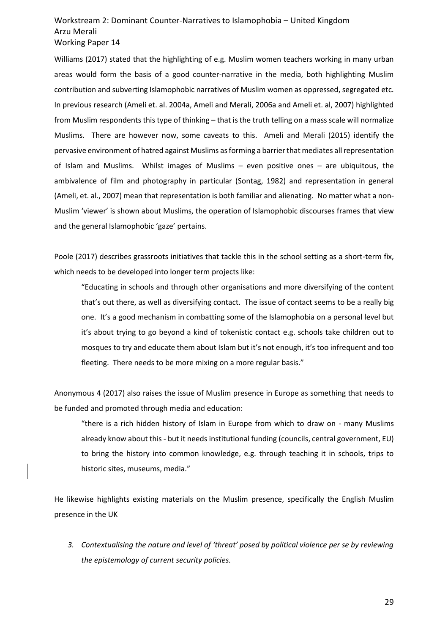Williams (2017) stated that the highlighting of e.g. Muslim women teachers working in many urban areas would form the basis of a good counter-narrative in the media, both highlighting Muslim contribution and subverting Islamophobic narratives of Muslim women as oppressed, segregated etc. In previous research (Ameli et. al. 2004a, Ameli and Merali, 2006a and Ameli et. al, 2007) highlighted from Muslim respondents this type of thinking – that is the truth telling on a mass scale will normalize Muslims. There are however now, some caveats to this. Ameli and Merali (2015) identify the pervasive environment of hatred against Muslims as forming a barrier that mediates all representation of Islam and Muslims. Whilst images of Muslims – even positive ones – are ubiquitous, the ambivalence of film and photography in particular (Sontag, 1982) and representation in general (Ameli, et. al., 2007) mean that representation is both familiar and alienating. No matter what a non-Muslim 'viewer' is shown about Muslims, the operation of Islamophobic discourses frames that view and the general Islamophobic 'gaze' pertains.

Poole (2017) describes grassroots initiatives that tackle this in the school setting as a short-term fix, which needs to be developed into longer term projects like:

"Educating in schools and through other organisations and more diversifying of the content that's out there, as well as diversifying contact. The issue of contact seems to be a really big one. It's a good mechanism in combatting some of the Islamophobia on a personal level but it's about trying to go beyond a kind of tokenistic contact e.g. schools take children out to mosques to try and educate them about Islam but it's not enough, it's too infrequent and too fleeting. There needs to be more mixing on a more regular basis."

Anonymous 4 (2017) also raises the issue of Muslim presence in Europe as something that needs to be funded and promoted through media and education:

"there is a rich hidden history of Islam in Europe from which to draw on - many Muslims already know about this - but it needs institutional funding (councils, central government, EU) to bring the history into common knowledge, e.g. through teaching it in schools, trips to historic sites, museums, media."

He likewise highlights existing materials on the Muslim presence, specifically the English Muslim presence in the UK

*3. Contextualising the nature and level of 'threat' posed by political violence per se by reviewing the epistemology of current security policies.*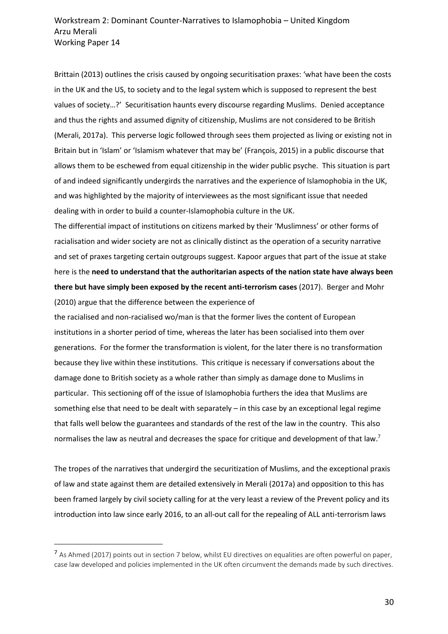Brittain (2013) outlines the crisis caused by ongoing securitisation praxes: 'what have been the costs in the UK and the US, to society and to the legal system which is supposed to represent the best values of society…?' Securitisation haunts every discourse regarding Muslims. Denied acceptance and thus the rights and assumed dignity of citizenship, Muslims are not considered to be British (Merali, 2017a). This perverse logic followed through sees them projected as living or existing not in Britain but in 'Islam' or 'Islamism whatever that may be' (François, 2015) in a public discourse that allows them to be eschewed from equal citizenship in the wider public psyche. This situation is part of and indeed significantly undergirds the narratives and the experience of Islamophobia in the UK, and was highlighted by the majority of interviewees as the most significant issue that needed dealing with in order to build a counter-Islamophobia culture in the UK.

The differential impact of institutions on citizens marked by their 'Muslimness' or other forms of racialisation and wider society are not as clinically distinct as the operation of a security narrative and set of praxes targeting certain outgroups suggest. Kapoor argues that part of the issue at stake here is the **need to understand that the authoritarian aspects of the nation state have always been there but have simply been exposed by the recent anti-terrorism cases** (2017). Berger and Mohr (2010) argue that the difference between the experience of

the racialised and non-racialised wo/man is that the former lives the content of European institutions in a shorter period of time, whereas the later has been socialised into them over generations. For the former the transformation is violent, for the later there is no transformation because they live within these institutions. This critique is necessary if conversations about the damage done to British society as a whole rather than simply as damage done to Muslims in particular. This sectioning off of the issue of Islamophobia furthers the idea that Muslims are something else that need to be dealt with separately – in this case by an exceptional legal regime that falls well below the guarantees and standards of the rest of the law in the country. This also normalises the law as neutral and decreases the space for critique and development of that law.<sup>7</sup>

The tropes of the narratives that undergird the securitization of Muslims, and the exceptional praxis of law and state against them are detailed extensively in Merali (2017a) and opposition to this has been framed largely by civil society calling for at the very least a review of the Prevent policy and its introduction into law since early 2016, to an all-out call for the repealing of ALL anti-terrorism laws

<sup>&</sup>lt;sup>7</sup> As Ahmed (2017) points out in section 7 below, whilst EU directives on equalities are often powerful on paper, case law developed and policies implemented in the UK often circumvent the demands made by such directives.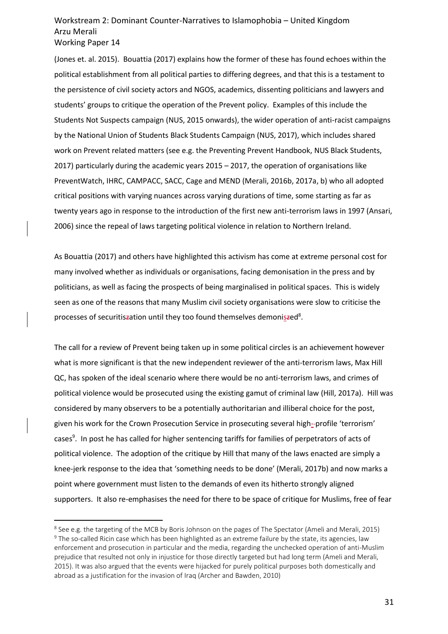(Jones et. al. 2015). Bouattia (2017) explains how the former of these has found echoes within the political establishment from all political parties to differing degrees, and that this is a testament to the persistence of civil society actors and NGOS, academics, dissenting politicians and lawyers and students' groups to critique the operation of the Prevent policy. Examples of this include the Students Not Suspects campaign (NUS, 2015 onwards), the wider operation of anti-racist campaigns by the National Union of Students Black Students Campaign (NUS, 2017), which includes shared work on Prevent related matters (see e.g. the Preventing Prevent Handbook, NUS Black Students, 2017) particularly during the academic years 2015 – 2017, the operation of organisations like PreventWatch, IHRC, CAMPACC, SACC, Cage and MEND (Merali, 2016b, 2017a, b) who all adopted critical positions with varying nuances across varying durations of time, some starting as far as twenty years ago in response to the introduction of the first new anti-terrorism laws in 1997 (Ansari, 2006) since the repeal of laws targeting political violence in relation to Northern Ireland.

As Bouattia (2017) and others have highlighted this activism has come at extreme personal cost for many involved whether as individuals or organisations, facing demonisation in the press and by politicians, as well as facing the prospects of being marginalised in political spaces. This is widely seen as one of the reasons that many Muslim civil society organisations were slow to criticise the processes of securitis<del>z</del>ation until they too found themselves demoni<u>s</u>zed<sup>8</sup>.

The call for a review of Prevent being taken up in some political circles is an achievement however what is more significant is that the new independent reviewer of the anti-terrorism laws, Max Hill QC, has spoken of the ideal scenario where there would be no anti-terrorism laws, and crimes of political violence would be prosecuted using the existing gamut of criminal law (Hill, 2017a). Hill was considered by many observers to be a potentially authoritarian and illiberal choice for the post, given his work for the Crown Prosecution Service in prosecuting several high--profile 'terrorism' cases<sup>9</sup>. In post he has called for higher sentencing tariffs for families of perpetrators of acts of political violence. The adoption of the critique by Hill that many of the laws enacted are simply a knee-jerk response to the idea that 'something needs to be done' (Merali, 2017b) and now marks a point where government must listen to the demands of even its hitherto strongly aligned supporters. It also re-emphasises the need for there to be space of critique for Muslims, free of fear

<sup>8</sup> See e.g. the targeting of the MCB by Boris Johnson on the pages of The Spectator (Ameli and Merali, 2015) <sup>9</sup> The so-called Ricin case which has been highlighted as an extreme failure by the state, its agencies, law enforcement and prosecution in particular and the media, regarding the unchecked operation of anti-Muslim prejudice that resulted not only in injustice for those directly targeted but had long term (Ameli and Merali, 2015). It was also argued that the events were hijacked for purely political purposes both domestically and abroad as a justification for the invasion of Iraq (Archer and Bawden, 2010)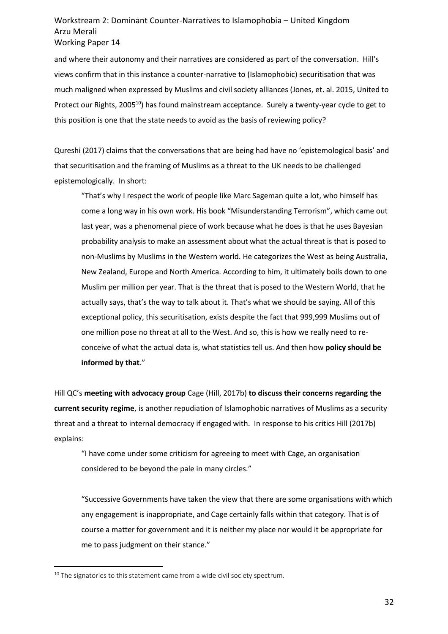and where their autonomy and their narratives are considered as part of the conversation. Hill's views confirm that in this instance a counter-narrative to (Islamophobic) securitisation that was much maligned when expressed by Muslims and civil society alliances (Jones, et. al. 2015, United to Protect our Rights, 2005<sup>10</sup>) has found mainstream acceptance. Surely a twenty-year cycle to get to this position is one that the state needs to avoid as the basis of reviewing policy?

Qureshi (2017) claims that the conversations that are being had have no 'epistemological basis' and that securitisation and the framing of Muslims as a threat to the UK needs to be challenged epistemologically. In short:

"That's why I respect the work of people like Marc Sageman quite a lot, who himself has come a long way in his own work. His book "Misunderstanding Terrorism", which came out last year, was a phenomenal piece of work because what he does is that he uses Bayesian probability analysis to make an assessment about what the actual threat is that is posed to non-Muslims by Muslims in the Western world. He categorizes the West as being Australia, New Zealand, Europe and North America. According to him, it ultimately boils down to one Muslim per million per year. That is the threat that is posed to the Western World, that he actually says, that's the way to talk about it. That's what we should be saying. All of this exceptional policy, this securitisation, exists despite the fact that 999,999 Muslims out of one million pose no threat at all to the West. And so, this is how we really need to reconceive of what the actual data is, what statistics tell us. And then how **policy should be informed by that**."

Hill QC's **meeting with advocacy group** Cage (Hill, 2017b) **to discuss their concerns regarding the current security regime**, is another repudiation of Islamophobic narratives of Muslims as a security threat and a threat to internal democracy if engaged with. In response to his critics Hill (2017b) explains:

"I have come under some criticism for agreeing to meet with Cage, an organisation considered to be beyond the pale in many circles."

"Successive Governments have taken the view that there are some organisations with which any engagement is inappropriate, and Cage certainly falls within that category. That is of course a matter for government and it is neither my place nor would it be appropriate for me to pass judgment on their stance."

 $10$  The signatories to this statement came from a wide civil society spectrum.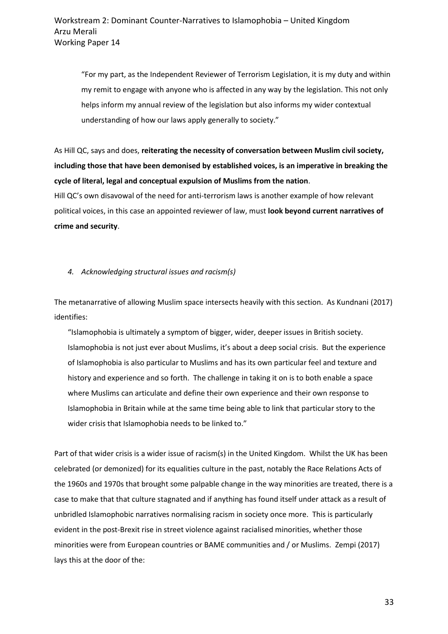"For my part, as the Independent Reviewer of Terrorism Legislation, it is my duty and within my remit to engage with anyone who is affected in any way by the legislation. This not only helps inform my annual review of the legislation but also informs my wider contextual understanding of how our laws apply generally to society."

As Hill QC, says and does, **reiterating the necessity of conversation between Muslim civil society, including those that have been demonised by established voices, is an imperative in breaking the cycle of literal, legal and conceptual expulsion of Muslims from the nation**.

Hill QC's own disavowal of the need for anti-terrorism laws is another example of how relevant political voices, in this case an appointed reviewer of law, must **look beyond current narratives of crime and security**.

#### *4. Acknowledging structural issues and racism(s)*

The metanarrative of allowing Muslim space intersects heavily with this section. As Kundnani (2017) identifies:

"Islamophobia is ultimately a symptom of bigger, wider, deeper issues in British society. Islamophobia is not just ever about Muslims, it's about a deep social crisis. But the experience of Islamophobia is also particular to Muslims and has its own particular feel and texture and history and experience and so forth. The challenge in taking it on is to both enable a space where Muslims can articulate and define their own experience and their own response to Islamophobia in Britain while at the same time being able to link that particular story to the wider crisis that Islamophobia needs to be linked to."

Part of that wider crisis is a wider issue of racism(s) in the United Kingdom. Whilst the UK has been celebrated (or demonized) for its equalities culture in the past, notably the Race Relations Acts of the 1960s and 1970s that brought some palpable change in the way minorities are treated, there is a case to make that that culture stagnated and if anything has found itself under attack as a result of unbridled Islamophobic narratives normalising racism in society once more. This is particularly evident in the post-Brexit rise in street violence against racialised minorities, whether those minorities were from European countries or BAME communities and / or Muslims. Zempi (2017) lays this at the door of the: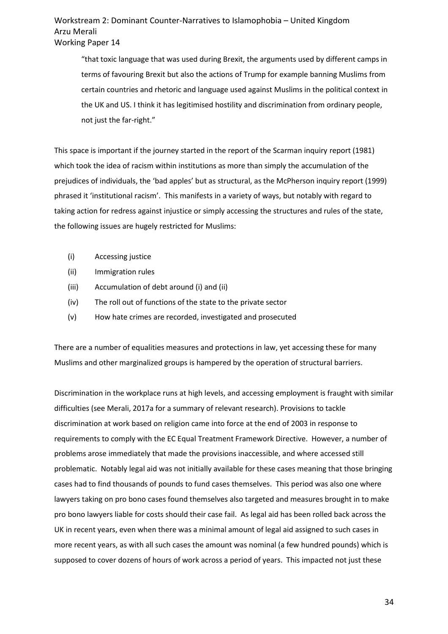"that toxic language that was used during Brexit, the arguments used by different camps in terms of favouring Brexit but also the actions of Trump for example banning Muslims from certain countries and rhetoric and language used against Muslims in the political context in the UK and US. I think it has legitimised hostility and discrimination from ordinary people, not just the far-right."

This space is important if the journey started in the report of the Scarman inquiry report (1981) which took the idea of racism within institutions as more than simply the accumulation of the prejudices of individuals, the 'bad apples' but as structural, as the McPherson inquiry report (1999) phrased it 'institutional racism'. This manifests in a variety of ways, but notably with regard to taking action for redress against injustice or simply accessing the structures and rules of the state, the following issues are hugely restricted for Muslims:

- (i) Accessing justice
- (ii) Immigration rules
- (iii) Accumulation of debt around (i) and (ii)
- (iv) The roll out of functions of the state to the private sector
- (v) How hate crimes are recorded, investigated and prosecuted

There are a number of equalities measures and protections in law, yet accessing these for many Muslims and other marginalized groups is hampered by the operation of structural barriers.

Discrimination in the workplace runs at high levels, and accessing employment is fraught with similar difficulties (see Merali, 2017a for a summary of relevant research). Provisions to tackle discrimination at work based on religion came into force at the end of 2003 in response to requirements to comply with the EC Equal Treatment Framework Directive. However, a number of problems arose immediately that made the provisions inaccessible, and where accessed still problematic. Notably legal aid was not initially available for these cases meaning that those bringing cases had to find thousands of pounds to fund cases themselves. This period was also one where lawyers taking on pro bono cases found themselves also targeted and measures brought in to make pro bono lawyers liable for costs should their case fail. As legal aid has been rolled back across the UK in recent years, even when there was a minimal amount of legal aid assigned to such cases in more recent years, as with all such cases the amount was nominal (a few hundred pounds) which is supposed to cover dozens of hours of work across a period of years. This impacted not just these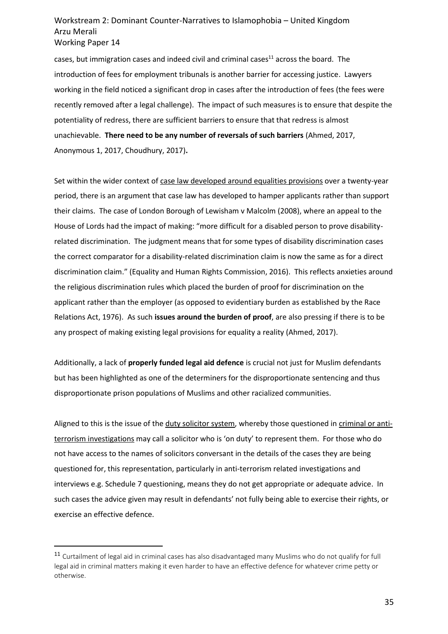cases, but immigration cases and indeed civil and criminal cases<sup>11</sup> across the board. The introduction of fees for employment tribunals is another barrier for accessing justice. Lawyers working in the field noticed a significant drop in cases after the introduction of fees (the fees were recently removed after a legal challenge). The impact of such measures is to ensure that despite the potentiality of redress, there are sufficient barriers to ensure that that redress is almost unachievable. **There need to be any number of reversals of such barriers** (Ahmed, 2017, Anonymous 1, 2017, Choudhury, 2017)**.**

Set within the wider context of case law developed around equalities provisions over a twenty-year period, there is an argument that case law has developed to hamper applicants rather than support their claims. The case of London Borough of Lewisham v Malcolm (2008), where an appeal to the House of Lords had the impact of making: "more difficult for a disabled person to prove disabilityrelated discrimination. The judgment means that for some types of disability discrimination cases the correct comparator for a disability-related discrimination claim is now the same as for a direct discrimination claim." (Equality and Human Rights Commission, 2016). This reflects anxieties around the religious discrimination rules which placed the burden of proof for discrimination on the applicant rather than the employer (as opposed to evidentiary burden as established by the Race Relations Act, 1976). As such **issues around the burden of proof**, are also pressing if there is to be any prospect of making existing legal provisions for equality a reality (Ahmed, 2017).

Additionally, a lack of **properly funded legal aid defence** is crucial not just for Muslim defendants but has been highlighted as one of the determiners for the disproportionate sentencing and thus disproportionate prison populations of Muslims and other racialized communities.

Aligned to this is the issue of the duty solicitor system, whereby those questioned in criminal or antiterrorism investigations may call a solicitor who is 'on duty' to represent them. For those who do not have access to the names of solicitors conversant in the details of the cases they are being questioned for, this representation, particularly in anti-terrorism related investigations and interviews e.g. Schedule 7 questioning, means they do not get appropriate or adequate advice. In such cases the advice given may result in defendants' not fully being able to exercise their rights, or exercise an effective defence.

<sup>11</sup> Curtailment of legal aid in criminal cases has also disadvantaged many Muslims who do not qualify for full legal aid in criminal matters making it even harder to have an effective defence for whatever crime petty or otherwise.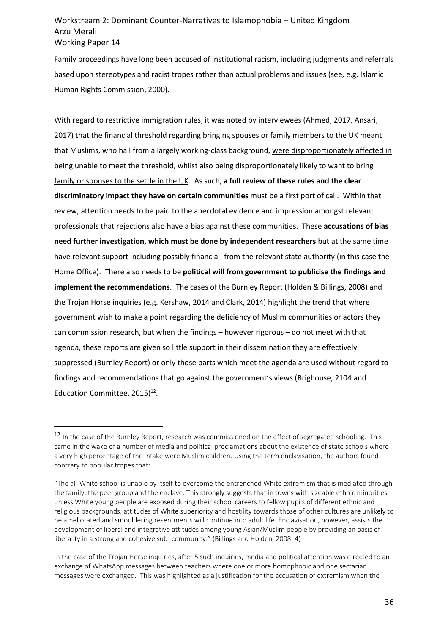Family proceedings have long been accused of institutional racism, including judgments and referrals based upon stereotypes and racist tropes rather than actual problems and issues (see, e.g. Islamic Human Rights Commission, 2000).

With regard to restrictive immigration rules, it was noted by interviewees (Ahmed, 2017, Ansari, 2017) that the financial threshold regarding bringing spouses or family members to the UK meant that Muslims, who hail from a largely working-class background, were disproportionately affected in being unable to meet the threshold, whilst also being disproportionately likely to want to bring family or spouses to the settle in the UK. As such, **a full review of these rules and the clear discriminatory impact they have on certain communities** must be a first port of call. Within that review, attention needs to be paid to the anecdotal evidence and impression amongst relevant professionals that rejections also have a bias against these communities. These **accusations of bias need further investigation, which must be done by independent researchers** but at the same time have relevant support including possibly financial, from the relevant state authority (in this case the Home Office). There also needs to be **political will from government to publicise the findings and implement the recommendations**. The cases of the Burnley Report (Holden & Billings, 2008) and the Trojan Horse inquiries (e.g. Kershaw, 2014 and Clark, 2014) highlight the trend that where government wish to make a point regarding the deficiency of Muslim communities or actors they can commission research, but when the findings – however rigorous – do not meet with that agenda, these reports are given so little support in their dissemination they are effectively suppressed (Burnley Report) or only those parts which meet the agenda are used without regard to findings and recommendations that go against the government's views (Brighouse, 2104 and Education Committee, 2015)<sup>12</sup>.

<sup>&</sup>lt;sup>12</sup> In the case of the Burnley Report, research was commissioned on the effect of segregated schooling. This came in the wake of a number of media and political proclamations about the existence of state schools where a very high percentage of the intake were Muslim children. Using the term enclavisation, the authors found contrary to popular tropes that:

<sup>&</sup>quot;The all-White school is unable by itself to overcome the entrenched White extremism that is mediated through the family, the peer group and the enclave. This strongly suggests that in towns with sizeable ethnic minorities, unless White young people are exposed during their school careers to fellow pupils of different ethnic and religious backgrounds, attitudes of White superiority and hostility towards those of other cultures are unlikely to be ameliorated and smouldering resentments will continue into adult life. Enclavisation, however, assists the development of liberal and integrative attitudes among young Asian/Muslim people by providing an oasis of liberality in a strong and cohesive sub- community." (Billings and Holden, 2008: 4)

In the case of the Trojan Horse inquiries, after 5 such inquiries, media and political attention was directed to an exchange of WhatsApp messages between teachers where one or more homophobic and one sectarian messages were exchanged. This was highlighted as a justification for the accusation of extremism when the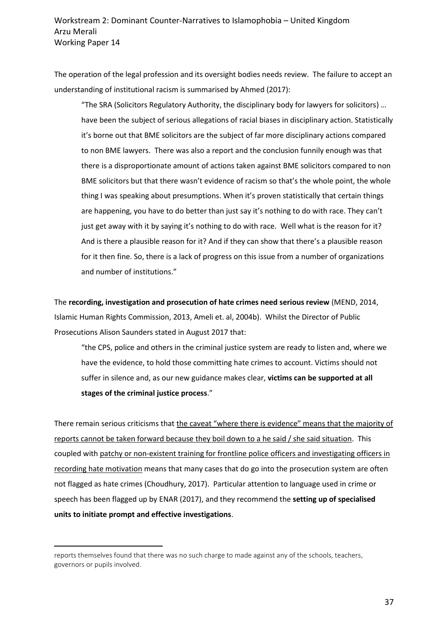The operation of the legal profession and its oversight bodies needs review. The failure to accept an understanding of institutional racism is summarised by Ahmed (2017):

"The SRA (Solicitors Regulatory Authority, the disciplinary body for lawyers for solicitors) … have been the subject of serious allegations of racial biases in disciplinary action. Statistically it's borne out that BME solicitors are the subject of far more disciplinary actions compared to non BME lawyers. There was also a report and the conclusion funnily enough was that there is a disproportionate amount of actions taken against BME solicitors compared to non BME solicitors but that there wasn't evidence of racism so that's the whole point, the whole thing I was speaking about presumptions. When it's proven statistically that certain things are happening, you have to do better than just say it's nothing to do with race. They can't just get away with it by saying it's nothing to do with race. Well what is the reason for it? And is there a plausible reason for it? And if they can show that there's a plausible reason for it then fine. So, there is a lack of progress on this issue from a number of organizations and number of institutions."

The **recording, investigation and prosecution of hate crimes need serious review** (MEND, 2014, Islamic Human Rights Commission, 2013, Ameli et. al, 2004b). Whilst the Director of Public Prosecutions Alison Saunders stated in August 2017 that:

"the CPS, police and others in the criminal justice system are ready to listen and, where we have the evidence, to hold those committing hate crimes to account. Victims should not suffer in silence and, as our new guidance makes clear, **victims can be supported at all stages of the criminal justice process**."

There remain serious criticisms that the caveat "where there is evidence" means that the majority of reports cannot be taken forward because they boil down to a he said / she said situation. This coupled with patchy or non-existent training for frontline police officers and investigating officers in recording hate motivation means that many cases that do go into the prosecution system are often not flagged as hate crimes (Choudhury, 2017). Particular attention to language used in crime or speech has been flagged up by ENAR (2017), and they recommend the **setting up of specialised units to initiate prompt and effective investigations**.

 $\overline{a}$ 

reports themselves found that there was no such charge to made against any of the schools, teachers, governors or pupils involved.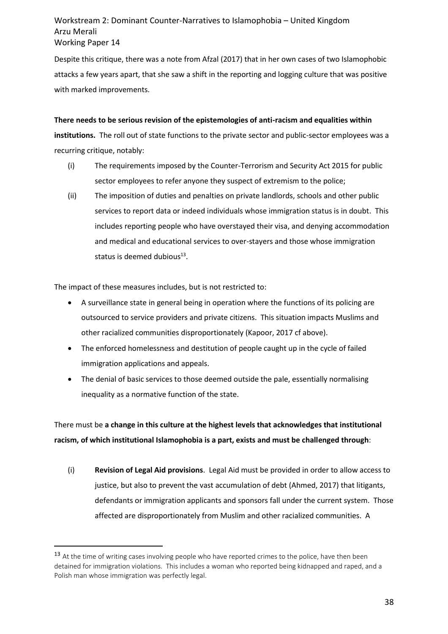Despite this critique, there was a note from Afzal (2017) that in her own cases of two Islamophobic attacks a few years apart, that she saw a shift in the reporting and logging culture that was positive with marked improvements.

**There needs to be serious revision of the epistemologies of anti-racism and equalities within institutions.** The roll out of state functions to the private sector and public-sector employees was a recurring critique, notably:

- (i) The requirements imposed by the Counter-Terrorism and Security Act 2015 for public sector employees to refer anyone they suspect of extremism to the police;
- (ii) The imposition of duties and penalties on private landlords, schools and other public services to report data or indeed individuals whose immigration status is in doubt. This includes reporting people who have overstayed their visa, and denying accommodation and medical and educational services to over-stayers and those whose immigration status is deemed dubious $^{13}$ .

The impact of these measures includes, but is not restricted to:

 $\overline{a}$ 

- A surveillance state in general being in operation where the functions of its policing are outsourced to service providers and private citizens. This situation impacts Muslims and other racialized communities disproportionately (Kapoor, 2017 cf above).
- The enforced homelessness and destitution of people caught up in the cycle of failed immigration applications and appeals.
- The denial of basic services to those deemed outside the pale, essentially normalising inequality as a normative function of the state.

There must be **a change in this culture at the highest levels that acknowledges that institutional racism, of which institutional Islamophobia is a part, exists and must be challenged through**:

(i) **Revision of Legal Aid provisions**. Legal Aid must be provided in order to allow access to justice, but also to prevent the vast accumulation of debt (Ahmed, 2017) that litigants, defendants or immigration applicants and sponsors fall under the current system. Those affected are disproportionately from Muslim and other racialized communities. A

<sup>&</sup>lt;sup>13</sup> At the time of writing cases involving people who have reported crimes to the police, have then been detained for immigration violations. This includes a woman who reported being kidnapped and raped, and a Polish man whose immigration was perfectly legal.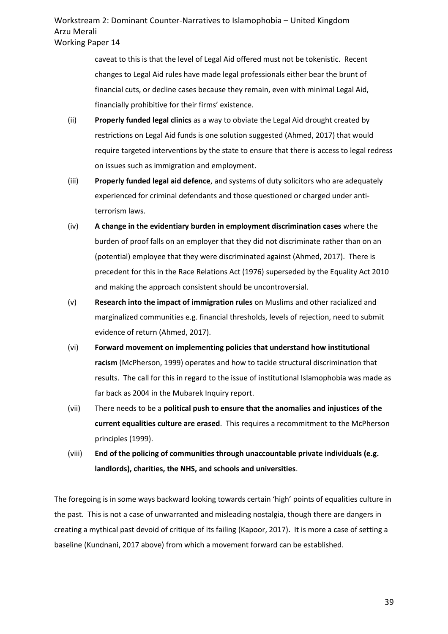caveat to this is that the level of Legal Aid offered must not be tokenistic. Recent changes to Legal Aid rules have made legal professionals either bear the brunt of financial cuts, or decline cases because they remain, even with minimal Legal Aid, financially prohibitive for their firms' existence.

- (ii) **Properly funded legal clinics** as a way to obviate the Legal Aid drought created by restrictions on Legal Aid funds is one solution suggested (Ahmed, 2017) that would require targeted interventions by the state to ensure that there is access to legal redress on issues such as immigration and employment.
- (iii) **Properly funded legal aid defence**, and systems of duty solicitors who are adequately experienced for criminal defendants and those questioned or charged under antiterrorism laws.
- (iv) **A change in the evidentiary burden in employment discrimination cases** where the burden of proof falls on an employer that they did not discriminate rather than on an (potential) employee that they were discriminated against (Ahmed, 2017). There is precedent for this in the Race Relations Act (1976) superseded by the Equality Act 2010 and making the approach consistent should be uncontroversial.
- (v) **Research into the impact of immigration rules** on Muslims and other racialized and marginalized communities e.g. financial thresholds, levels of rejection, need to submit evidence of return (Ahmed, 2017).
- (vi) **Forward movement on implementing policies that understand how institutional racism** (McPherson, 1999) operates and how to tackle structural discrimination that results. The call for this in regard to the issue of institutional Islamophobia was made as far back as 2004 in the Mubarek Inquiry report.
- (vii) There needs to be a **political push to ensure that the anomalies and injustices of the current equalities culture are erased**. This requires a recommitment to the McPherson principles (1999).
- (viii) **End of the policing of communities through unaccountable private individuals (e.g. landlords), charities, the NHS, and schools and universities**.

The foregoing is in some ways backward looking towards certain 'high' points of equalities culture in the past. This is not a case of unwarranted and misleading nostalgia, though there are dangers in creating a mythical past devoid of critique of its failing (Kapoor, 2017). It is more a case of setting a baseline (Kundnani, 2017 above) from which a movement forward can be established.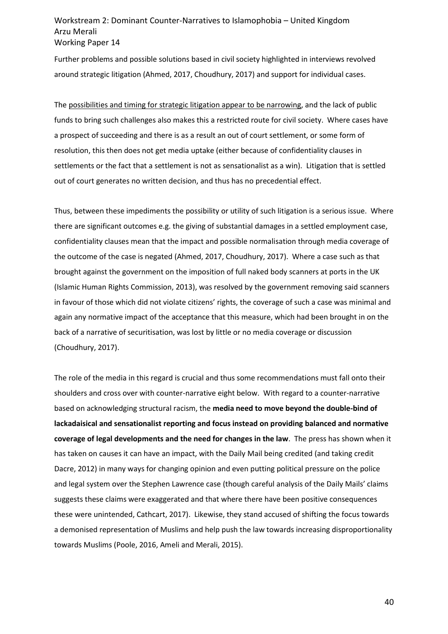Further problems and possible solutions based in civil society highlighted in interviews revolved around strategic litigation (Ahmed, 2017, Choudhury, 2017) and support for individual cases.

The possibilities and timing for strategic litigation appear to be narrowing, and the lack of public funds to bring such challenges also makes this a restricted route for civil society. Where cases have a prospect of succeeding and there is as a result an out of court settlement, or some form of resolution, this then does not get media uptake (either because of confidentiality clauses in settlements or the fact that a settlement is not as sensationalist as a win). Litigation that is settled out of court generates no written decision, and thus has no precedential effect.

Thus, between these impediments the possibility or utility of such litigation is a serious issue. Where there are significant outcomes e.g. the giving of substantial damages in a settled employment case, confidentiality clauses mean that the impact and possible normalisation through media coverage of the outcome of the case is negated (Ahmed, 2017, Choudhury, 2017). Where a case such as that brought against the government on the imposition of full naked body scanners at ports in the UK (Islamic Human Rights Commission, 2013), was resolved by the government removing said scanners in favour of those which did not violate citizens' rights, the coverage of such a case was minimal and again any normative impact of the acceptance that this measure, which had been brought in on the back of a narrative of securitisation, was lost by little or no media coverage or discussion (Choudhury, 2017).

The role of the media in this regard is crucial and thus some recommendations must fall onto their shoulders and cross over with counter-narrative eight below. With regard to a counter-narrative based on acknowledging structural racism, the **media need to move beyond the double-bind of lackadaisical and sensationalist reporting and focus instead on providing balanced and normative coverage of legal developments and the need for changes in the law**. The press has shown when it has taken on causes it can have an impact, with the Daily Mail being credited (and taking credit Dacre, 2012) in many ways for changing opinion and even putting political pressure on the police and legal system over the Stephen Lawrence case (though careful analysis of the Daily Mails' claims suggests these claims were exaggerated and that where there have been positive consequences these were unintended, Cathcart, 2017). Likewise, they stand accused of shifting the focus towards a demonised representation of Muslims and help push the law towards increasing disproportionality towards Muslims (Poole, 2016, Ameli and Merali, 2015).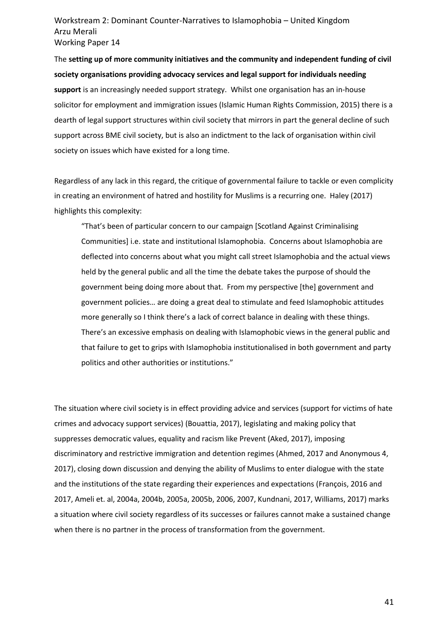The **setting up of more community initiatives and the community and independent funding of civil society organisations providing advocacy services and legal support for individuals needing support** is an increasingly needed support strategy. Whilst one organisation has an in-house solicitor for employment and immigration issues (Islamic Human Rights Commission, 2015) there is a dearth of legal support structures within civil society that mirrors in part the general decline of such support across BME civil society, but is also an indictment to the lack of organisation within civil society on issues which have existed for a long time.

Regardless of any lack in this regard, the critique of governmental failure to tackle or even complicity in creating an environment of hatred and hostility for Muslims is a recurring one. Haley (2017) highlights this complexity:

"That's been of particular concern to our campaign [Scotland Against Criminalising Communities] i.e. state and institutional Islamophobia. Concerns about Islamophobia are deflected into concerns about what you might call street Islamophobia and the actual views held by the general public and all the time the debate takes the purpose of should the government being doing more about that. From my perspective [the] government and government policies… are doing a great deal to stimulate and feed Islamophobic attitudes more generally so I think there's a lack of correct balance in dealing with these things. There's an excessive emphasis on dealing with Islamophobic views in the general public and that failure to get to grips with Islamophobia institutionalised in both government and party politics and other authorities or institutions."

The situation where civil society is in effect providing advice and services (support for victims of hate crimes and advocacy support services) (Bouattia, 2017), legislating and making policy that suppresses democratic values, equality and racism like Prevent (Aked, 2017), imposing discriminatory and restrictive immigration and detention regimes (Ahmed, 2017 and Anonymous 4, 2017), closing down discussion and denying the ability of Muslims to enter dialogue with the state and the institutions of the state regarding their experiences and expectations (François, 2016 and 2017, Ameli et. al, 2004a, 2004b, 2005a, 2005b, 2006, 2007, Kundnani, 2017, Williams, 2017) marks a situation where civil society regardless of its successes or failures cannot make a sustained change when there is no partner in the process of transformation from the government.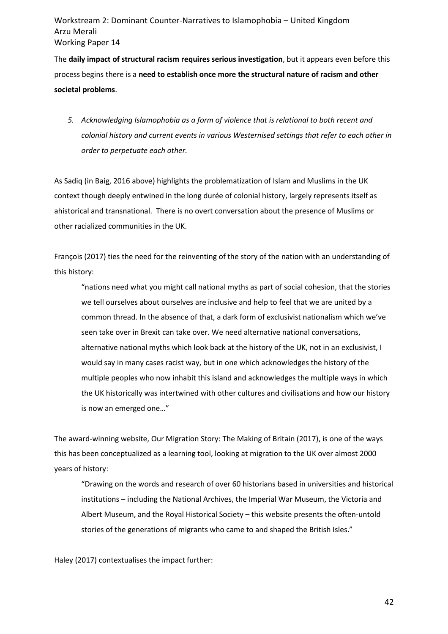The **daily impact of structural racism requires serious investigation**, but it appears even before this process begins there is a **need to establish once more the structural nature of racism and other societal problems**.

*5. Acknowledging Islamophobia as a form of violence that is relational to both recent and colonial history and current events in various Westernised settings that refer to each other in order to perpetuate each other.*

As Sadiq (in Baig, 2016 above) highlights the problematization of Islam and Muslims in the UK context though deeply entwined in the long durée of colonial history, largely represents itself as ahistorical and transnational. There is no overt conversation about the presence of Muslims or other racialized communities in the UK.

François (2017) ties the need for the reinventing of the story of the nation with an understanding of this history:

"nations need what you might call national myths as part of social cohesion, that the stories we tell ourselves about ourselves are inclusive and help to feel that we are united by a common thread. In the absence of that, a dark form of exclusivist nationalism which we've seen take over in Brexit can take over. We need alternative national conversations, alternative national myths which look back at the history of the UK, not in an exclusivist, I would say in many cases racist way, but in one which acknowledges the history of the multiple peoples who now inhabit this island and acknowledges the multiple ways in which the UK historically was intertwined with other cultures and civilisations and how our history is now an emerged one…"

The award-winning website, Our Migration Story: The Making of Britain (2017), is one of the ways this has been conceptualized as a learning tool, looking at migration to the UK over almost 2000 years of history:

"Drawing on the words and research of over 60 historians based in universities and historical institutions – including the National Archives, the Imperial War Museum, the Victoria and Albert Museum, and the Royal Historical Society – this website presents the often-untold stories of the generations of migrants who came to and shaped the British Isles."

Haley (2017) contextualises the impact further:

42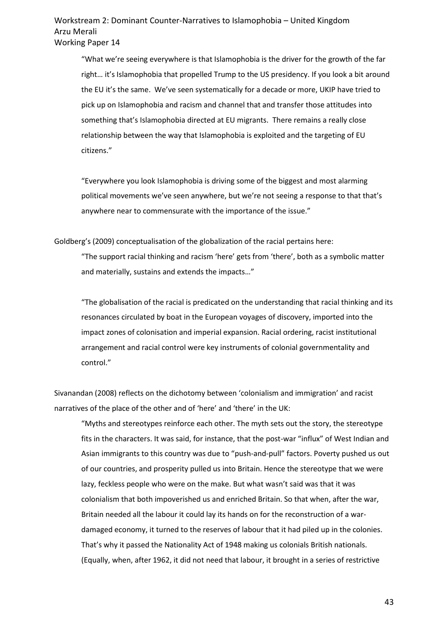"What we're seeing everywhere is that Islamophobia is the driver for the growth of the far right… it's Islamophobia that propelled Trump to the US presidency. If you look a bit around the EU it's the same. We've seen systematically for a decade or more, UKIP have tried to pick up on Islamophobia and racism and channel that and transfer those attitudes into something that's Islamophobia directed at EU migrants. There remains a really close relationship between the way that Islamophobia is exploited and the targeting of EU citizens."

"Everywhere you look Islamophobia is driving some of the biggest and most alarming political movements we've seen anywhere, but we're not seeing a response to that that's anywhere near to commensurate with the importance of the issue."

Goldberg's (2009) conceptualisation of the globalization of the racial pertains here:

"The support racial thinking and racism 'here' gets from 'there', both as a symbolic matter and materially, sustains and extends the impacts…"

"The globalisation of the racial is predicated on the understanding that racial thinking and its resonances circulated by boat in the European voyages of discovery, imported into the impact zones of colonisation and imperial expansion. Racial ordering, racist institutional arrangement and racial control were key instruments of colonial governmentality and control."

Sivanandan (2008) reflects on the dichotomy between 'colonialism and immigration' and racist narratives of the place of the other and of 'here' and 'there' in the UK:

"Myths and stereotypes reinforce each other. The myth sets out the story, the stereotype fits in the characters. It was said, for instance, that the post-war "influx" of West Indian and Asian immigrants to this country was due to "push-and-pull" factors. Poverty pushed us out of our countries, and prosperity pulled us into Britain. Hence the stereotype that we were lazy, feckless people who were on the make. But what wasn't said was that it was colonialism that both impoverished us and enriched Britain. So that when, after the war, Britain needed all the labour it could lay its hands on for the reconstruction of a wardamaged economy, it turned to the reserves of labour that it had piled up in the colonies. That's why it passed the Nationality Act of 1948 making us colonials British nationals. (Equally, when, after 1962, it did not need that labour, it brought in a series of restrictive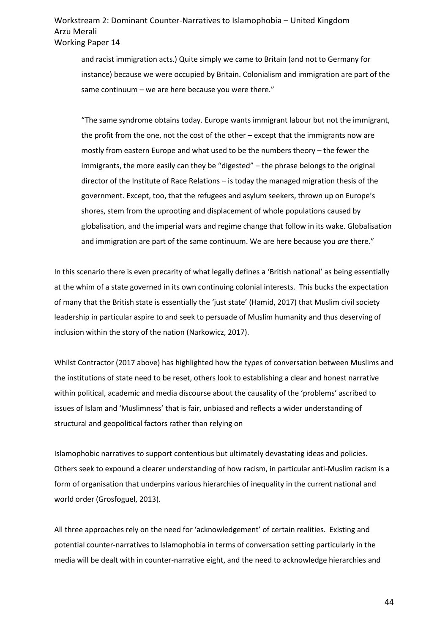and racist immigration acts.) Quite simply we came to Britain (and not to Germany for instance) because we were occupied by Britain. Colonialism and immigration are part of the same continuum – we are here because you were there."

"The same syndrome obtains today. Europe wants immigrant labour but not the immigrant, the profit from the one, not the cost of the other – except that the immigrants now are mostly from eastern Europe and what used to be the numbers theory – the fewer the immigrants, the more easily can they be "digested" – the phrase belongs to the original director of the Institute of Race Relations – is today the managed migration thesis of the government. Except, too, that the refugees and asylum seekers, thrown up on Europe's shores, stem from the uprooting and displacement of whole populations caused by globalisation, and the imperial wars and regime change that follow in its wake. Globalisation and immigration are part of the same continuum. We are here because you *are* there."

In this scenario there is even precarity of what legally defines a 'British national' as being essentially at the whim of a state governed in its own continuing colonial interests. This bucks the expectation of many that the British state is essentially the 'just state' (Hamid, 2017) that Muslim civil society leadership in particular aspire to and seek to persuade of Muslim humanity and thus deserving of inclusion within the story of the nation (Narkowicz, 2017).

Whilst Contractor (2017 above) has highlighted how the types of conversation between Muslims and the institutions of state need to be reset, others look to establishing a clear and honest narrative within political, academic and media discourse about the causality of the 'problems' ascribed to issues of Islam and 'Muslimness' that is fair, unbiased and reflects a wider understanding of structural and geopolitical factors rather than relying on

Islamophobic narratives to support contentious but ultimately devastating ideas and policies. Others seek to expound a clearer understanding of how racism, in particular anti-Muslim racism is a form of organisation that underpins various hierarchies of inequality in the current national and world order (Grosfoguel, 2013).

All three approaches rely on the need for 'acknowledgement' of certain realities. Existing and potential counter-narratives to Islamophobia in terms of conversation setting particularly in the media will be dealt with in counter-narrative eight, and the need to acknowledge hierarchies and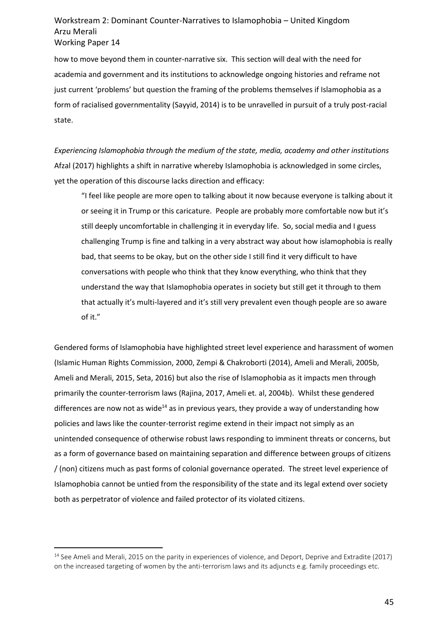how to move beyond them in counter-narrative six. This section will deal with the need for academia and government and its institutions to acknowledge ongoing histories and reframe not just current 'problems' but question the framing of the problems themselves if Islamophobia as a form of racialised governmentality (Sayyid, 2014) is to be unravelled in pursuit of a truly post-racial state.

*Experiencing Islamophobia through the medium of the state, media, academy and other institutions* Afzal (2017) highlights a shift in narrative whereby Islamophobia is acknowledged in some circles, yet the operation of this discourse lacks direction and efficacy:

"I feel like people are more open to talking about it now because everyone is talking about it or seeing it in Trump or this caricature. People are probably more comfortable now but it's still deeply uncomfortable in challenging it in everyday life. So, social media and I guess challenging Trump is fine and talking in a very abstract way about how islamophobia is really bad, that seems to be okay, but on the other side I still find it very difficult to have conversations with people who think that they know everything, who think that they understand the way that Islamophobia operates in society but still get it through to them that actually it's multi-layered and it's still very prevalent even though people are so aware of it."

Gendered forms of Islamophobia have highlighted street level experience and harassment of women (Islamic Human Rights Commission, 2000, Zempi & Chakroborti (2014), Ameli and Merali, 2005b, Ameli and Merali, 2015, Seta, 2016) but also the rise of Islamophobia as it impacts men through primarily the counter-terrorism laws (Rajina, 2017, Ameli et. al, 2004b). Whilst these gendered differences are now not as wide<sup>14</sup> as in previous years, they provide a way of understanding how policies and laws like the counter-terrorist regime extend in their impact not simply as an unintended consequence of otherwise robust laws responding to imminent threats or concerns, but as a form of governance based on maintaining separation and difference between groups of citizens / (non) citizens much as past forms of colonial governance operated. The street level experience of Islamophobia cannot be untied from the responsibility of the state and its legal extend over society both as perpetrator of violence and failed protector of its violated citizens.

l

<sup>&</sup>lt;sup>14</sup> See Ameli and Merali, 2015 on the parity in experiences of violence, and Deport, Deprive and Extradite (2017) on the increased targeting of women by the anti-terrorism laws and its adjuncts e.g. family proceedings etc.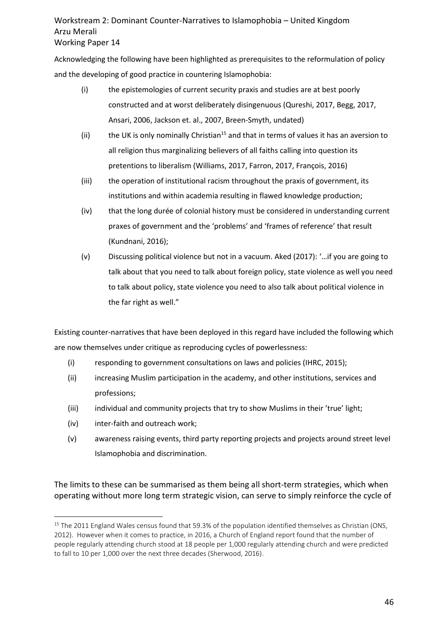Acknowledging the following have been highlighted as prerequisites to the reformulation of policy and the developing of good practice in countering Islamophobia:

- (i) the epistemologies of current security praxis and studies are at best poorly constructed and at worst deliberately disingenuous (Qureshi, 2017, Begg, 2017, Ansari, 2006, Jackson et. al., 2007, Breen-Smyth, undated)
- (ii) the UK is only nominally Christian<sup>15</sup> and that in terms of values it has an aversion to all religion thus marginalizing believers of all faiths calling into question its pretentions to liberalism (Williams, 2017, Farron, 2017, François, 2016)
- (iii) the operation of institutional racism throughout the praxis of government, its institutions and within academia resulting in flawed knowledge production;
- (iv) that the long durée of colonial history must be considered in understanding current praxes of government and the 'problems' and 'frames of reference' that result (Kundnani, 2016);
- (v) Discussing political violence but not in a vacuum. Aked (2017): '…if you are going to talk about that you need to talk about foreign policy, state violence as well you need to talk about policy, state violence you need to also talk about political violence in the far right as well."

Existing counter-narratives that have been deployed in this regard have included the following which are now themselves under critique as reproducing cycles of powerlessness:

- (i) responding to government consultations on laws and policies (IHRC, 2015);
- (ii) increasing Muslim participation in the academy, and other institutions, services and professions;
- (iii) individual and community projects that try to show Muslims in their 'true' light;
- (iv) inter-faith and outreach work;

 $\overline{a}$ 

(v) awareness raising events, third party reporting projects and projects around street level Islamophobia and discrimination.

The limits to these can be summarised as them being all short-term strategies, which when operating without more long term strategic vision, can serve to simply reinforce the cycle of

<sup>&</sup>lt;sup>15</sup> The 2011 England Wales census found that 59.3% of the population identified themselves as Christian (ONS, 2012). However when it comes to practice, in 2016, a Church of England report found that the number of people regularly attending church stood at 18 people per 1,000 regularly attending church and were predicted to fall to 10 per 1,000 over the next three decades (Sherwood, 2016).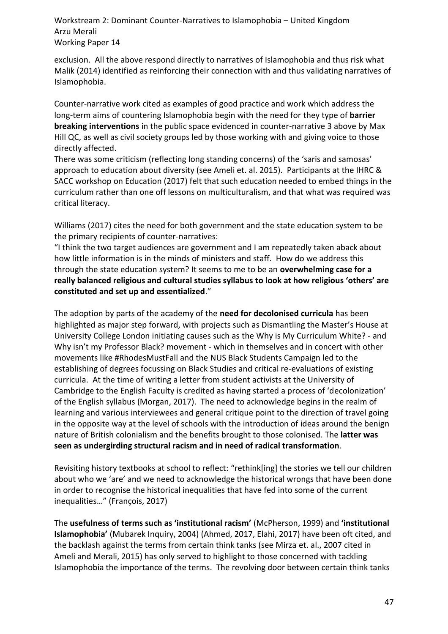exclusion. All the above respond directly to narratives of Islamophobia and thus risk what Malik (2014) identified as reinforcing their connection with and thus validating narratives of Islamophobia.

Counter-narrative work cited as examples of good practice and work which address the long-term aims of countering Islamophobia begin with the need for they type of **barrier breaking interventions** in the public space evidenced in counter-narrative 3 above by Max Hill QC, as well as civil society groups led by those working with and giving voice to those directly affected.

There was some criticism (reflecting long standing concerns) of the 'saris and samosas' approach to education about diversity (see Ameli et. al. 2015). Participants at the IHRC & SACC workshop on Education (2017) felt that such education needed to embed things in the curriculum rather than one off lessons on multiculturalism, and that what was required was critical literacy.

Williams (2017) cites the need for both government and the state education system to be the primary recipients of counter-narratives:

"I think the two target audiences are government and I am repeatedly taken aback about how little information is in the minds of ministers and staff. How do we address this through the state education system? It seems to me to be an **overwhelming case for a really balanced religious and cultural studies syllabus to look at how religious 'others' are constituted and set up and essentialized**."

The adoption by parts of the academy of the **need for decolonised curricula** has been highlighted as major step forward, with projects such as Dismantling the Master's House at University College London initiating causes such as the Why is My Curriculum White? - and Why isn't my Professor Black? movement - which in themselves and in concert with other movements like #RhodesMustFall and the NUS Black Students Campaign led to the establishing of degrees focussing on Black Studies and critical re-evaluations of existing curricula. At the time of writing a letter from student activists at the University of Cambridge to the English Faculty is credited as having started a process of 'decolonization' of the English syllabus (Morgan, 2017). The need to acknowledge begins in the realm of learning and various interviewees and general critique point to the direction of travel going in the opposite way at the level of schools with the introduction of ideas around the benign nature of British colonialism and the benefits brought to those colonised. The **latter was seen as undergirding structural racism and in need of radical transformation**.

Revisiting history textbooks at school to reflect: "rethink[ing] the stories we tell our children about who we 'are' and we need to acknowledge the historical wrongs that have been done in order to recognise the historical inequalities that have fed into some of the current inequalities…" (François, 2017)

The **usefulness of terms such as 'institutional racism'** (McPherson, 1999) and **'institutional Islamophobia'** (Mubarek Inquiry, 2004) (Ahmed, 2017, Elahi, 2017) have been oft cited, and the backlash against the terms from certain think tanks (see Mirza et. al., 2007 cited in Ameli and Merali, 2015) has only served to highlight to those concerned with tackling Islamophobia the importance of the terms. The revolving door between certain think tanks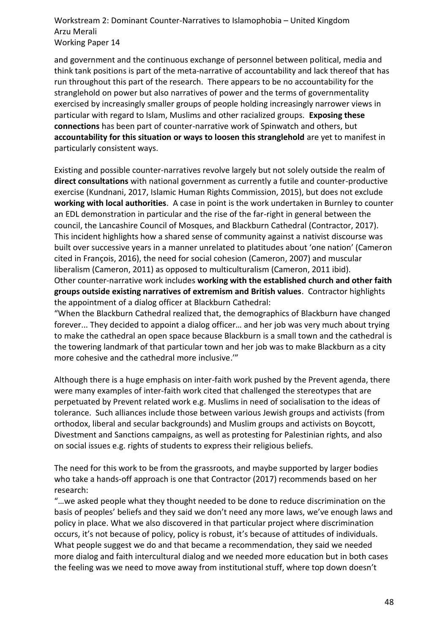and government and the continuous exchange of personnel between political, media and think tank positions is part of the meta-narrative of accountability and lack thereof that has run throughout this part of the research. There appears to be no accountability for the stranglehold on power but also narratives of power and the terms of governmentality exercised by increasingly smaller groups of people holding increasingly narrower views in particular with regard to Islam, Muslims and other racialized groups. **Exposing these connections** has been part of counter-narrative work of Spinwatch and others, but **accountability for this situation or ways to loosen this stranglehold** are yet to manifest in particularly consistent ways.

Existing and possible counter-narratives revolve largely but not solely outside the realm of **direct consultations** with national government as currently a futile and counter-productive exercise (Kundnani, 2017, Islamic Human Rights Commission, 2015), but does not exclude **working with local authorities**. A case in point is the work undertaken in Burnley to counter an EDL demonstration in particular and the rise of the far-right in general between the council, the Lancashire Council of Mosques, and Blackburn Cathedral (Contractor, 2017). This incident highlights how a shared sense of community against a nativist discourse was built over successive years in a manner unrelated to platitudes about 'one nation' (Cameron cited in François, 2016), the need for social cohesion (Cameron, 2007) and muscular liberalism (Cameron, 2011) as opposed to multiculturalism (Cameron, 2011 ibid). Other counter-narrative work includes **working with the established church and other faith groups outside existing narratives of extremism and British values**. Contractor highlights the appointment of a dialog officer at Blackburn Cathedral:

"When the Blackburn Cathedral realized that, the demographics of Blackburn have changed forever... They decided to appoint a dialog officer… and her job was very much about trying to make the cathedral an open space because Blackburn is a small town and the cathedral is the towering landmark of that particular town and her job was to make Blackburn as a city more cohesive and the cathedral more inclusive.'"

Although there is a huge emphasis on inter-faith work pushed by the Prevent agenda, there were many examples of inter-faith work cited that challenged the stereotypes that are perpetuated by Prevent related work e.g. Muslims in need of socialisation to the ideas of tolerance. Such alliances include those between various Jewish groups and activists (from orthodox, liberal and secular backgrounds) and Muslim groups and activists on Boycott, Divestment and Sanctions campaigns, as well as protesting for Palestinian rights, and also on social issues e.g. rights of students to express their religious beliefs.

The need for this work to be from the grassroots, and maybe supported by larger bodies who take a hands-off approach is one that Contractor (2017) recommends based on her research:

"…we asked people what they thought needed to be done to reduce discrimination on the basis of peoples' beliefs and they said we don't need any more laws, we've enough laws and policy in place. What we also discovered in that particular project where discrimination occurs, it's not because of policy, policy is robust, it's because of attitudes of individuals. What people suggest we do and that became a recommendation, they said we needed more dialog and faith intercultural dialog and we needed more education but in both cases the feeling was we need to move away from institutional stuff, where top down doesn't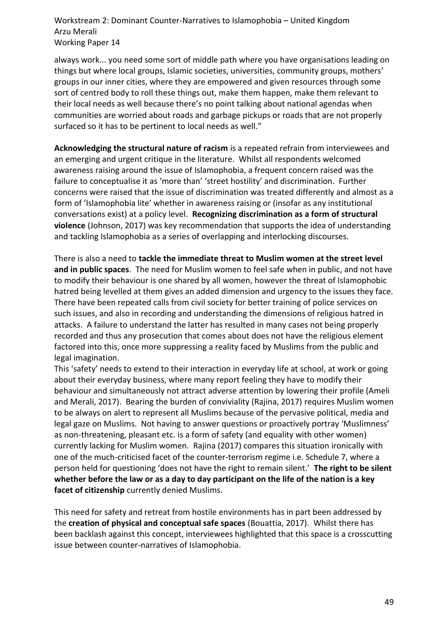always work... you need some sort of middle path where you have organisations leading on things but where local groups, Islamic societies, universities, community groups, mothers' groups in our inner cities, where they are empowered and given resources through some sort of centred body to roll these things out, make them happen, make them relevant to their local needs as well because there's no point talking about national agendas when communities are worried about roads and garbage pickups or roads that are not properly surfaced so it has to be pertinent to local needs as well."

**Acknowledging the structural nature of racism** is a repeated refrain from interviewees and an emerging and urgent critique in the literature. Whilst all respondents welcomed awareness raising around the issue of Islamophobia, a frequent concern raised was the failure to conceptualise it as 'more than' 'street hostility' and discrimination. Further concerns were raised that the issue of discrimination was treated differently and almost as a form of 'Islamophobia lite' whether in awareness raising or (insofar as any institutional conversations exist) at a policy level. **Recognizing discrimination as a form of structural violence** (Johnson, 2017) was key recommendation that supports the idea of understanding and tackling Islamophobia as a series of overlapping and interlocking discourses.

There is also a need to **tackle the immediate threat to Muslim women at the street level and in public spaces**. The need for Muslim women to feel safe when in public, and not have to modify their behaviour is one shared by all women, however the threat of Islamophobic hatred being levelled at them gives an added dimension and urgency to the issues they face. There have been repeated calls from civil society for better training of police services on such issues, and also in recording and understanding the dimensions of religious hatred in attacks. A failure to understand the latter has resulted in many cases not being properly recorded and thus any prosecution that comes about does not have the religious element factored into this, once more suppressing a reality faced by Muslims from the public and legal imagination.

This 'safety' needs to extend to their interaction in everyday life at school, at work or going about their everyday business, where many report feeling they have to modify their behaviour and simultaneously not attract adverse attention by lowering their profile (Ameli and Merali, 2017). Bearing the burden of conviviality (Rajina, 2017) requires Muslim women to be always on alert to represent all Muslims because of the pervasive political, media and legal gaze on Muslims. Not having to answer questions or proactively portray 'Muslimness' as non-threatening, pleasant etc. is a form of safety (and equality with other women) currently lacking for Muslim women. Rajina (2017) compares this situation ironically with one of the much-criticised facet of the counter-terrorism regime i.e. Schedule 7, where a person held for questioning 'does not have the right to remain silent.' **The right to be silent whether before the law or as a day to day participant on the life of the nation is a key facet of citizenship** currently denied Muslims.

This need for safety and retreat from hostile environments has in part been addressed by the **creation of physical and conceptual safe spaces** (Bouattia, 2017). Whilst there has been backlash against this concept, interviewees highlighted that this space is a crosscutting issue between counter-narratives of Islamophobia.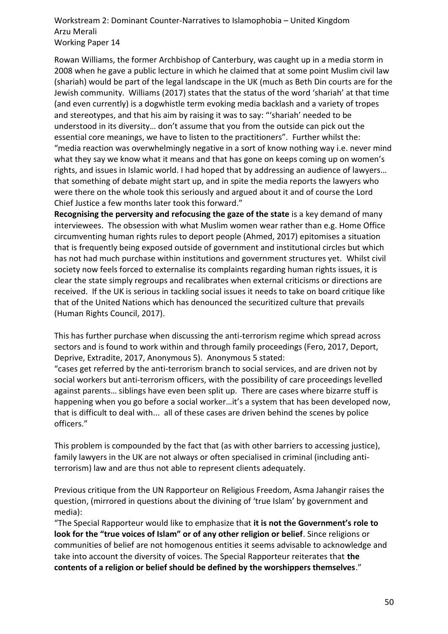Rowan Williams, the former Archbishop of Canterbury, was caught up in a media storm in 2008 when he gave a public lecture in which he claimed that at some point Muslim civil law (shariah) would be part of the legal landscape in the UK (much as Beth Din courts are for the Jewish community. Williams (2017) states that the status of the word 'shariah' at that time (and even currently) is a dogwhistle term evoking media backlash and a variety of tropes and stereotypes, and that his aim by raising it was to say: "'shariah' needed to be understood in its diversity… don't assume that you from the outside can pick out the essential core meanings, we have to listen to the practitioners". Further whilst the: "media reaction was overwhelmingly negative in a sort of know nothing way i.e. never mind what they say we know what it means and that has gone on keeps coming up on women's rights, and issues in Islamic world. I had hoped that by addressing an audience of lawyers… that something of debate might start up, and in spite the media reports the lawyers who were there on the whole took this seriously and argued about it and of course the Lord Chief Justice a few months later took this forward."

**Recognising the perversity and refocusing the gaze of the state** is a key demand of many interviewees. The obsession with what Muslim women wear rather than e.g. Home Office circumventing human rights rules to deport people (Ahmed, 2017) epitomises a situation that is frequently being exposed outside of government and institutional circles but which has not had much purchase within institutions and government structures yet. Whilst civil society now feels forced to externalise its complaints regarding human rights issues, it is clear the state simply regroups and recalibrates when external criticisms or directions are received. If the UK is serious in tackling social issues it needs to take on board critique like that of the United Nations which has denounced the securitized culture that prevails (Human Rights Council, 2017).

This has further purchase when discussing the anti-terrorism regime which spread across sectors and is found to work within and through family proceedings (Fero, 2017, Deport, Deprive, Extradite, 2017, Anonymous 5). Anonymous 5 stated:

"cases get referred by the anti-terrorism branch to social services, and are driven not by social workers but anti-terrorism officers, with the possibility of care proceedings levelled against parents… siblings have even been split up. There are cases where bizarre stuff is happening when you go before a social worker…it's a system that has been developed now, that is difficult to deal with... all of these cases are driven behind the scenes by police officers."

This problem is compounded by the fact that (as with other barriers to accessing justice), family lawyers in the UK are not always or often specialised in criminal (including antiterrorism) law and are thus not able to represent clients adequately.

Previous critique from the UN Rapporteur on Religious Freedom, Asma Jahangir raises the question, (mirrored in questions about the divining of 'true Islam' by government and media):

"The Special Rapporteur would like to emphasize that **it is not the Government's role to look for the "true voices of Islam" or of any other religion or belief**. Since religions or communities of belief are not homogenous entities it seems advisable to acknowledge and take into account the diversity of voices. The Special Rapporteur reiterates that **the contents of a religion or belief should be defined by the worshippers themselves**."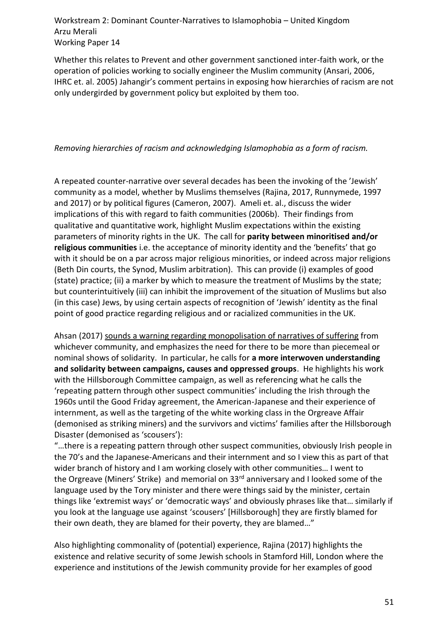Whether this relates to Prevent and other government sanctioned inter-faith work, or the operation of policies working to socially engineer the Muslim community (Ansari, 2006, IHRC et. al. 2005) Jahangir's comment pertains in exposing how hierarchies of racism are not only undergirded by government policy but exploited by them too.

#### *Removing hierarchies of racism and acknowledging Islamophobia as a form of racism.*

A repeated counter-narrative over several decades has been the invoking of the 'Jewish' community as a model, whether by Muslims themselves (Rajina, 2017, Runnymede, 1997 and 2017) or by political figures (Cameron, 2007). Ameli et. al., discuss the wider implications of this with regard to faith communities (2006b). Their findings from qualitative and quantitative work, highlight Muslim expectations within the existing parameters of minority rights in the UK. The call for **parity between minoritised and/or religious communities** i.e. the acceptance of minority identity and the 'benefits' that go with it should be on a par across major religious minorities, or indeed across major religions (Beth Din courts, the Synod, Muslim arbitration). This can provide (i) examples of good (state) practice; (ii) a marker by which to measure the treatment of Muslims by the state; but counterintuitively (iii) can inhibit the improvement of the situation of Muslims but also (in this case) Jews, by using certain aspects of recognition of 'Jewish' identity as the final point of good practice regarding religious and or racialized communities in the UK.

Ahsan (2017) sounds a warning regarding monopolisation of narratives of suffering from whichever community, and emphasizes the need for there to be more than piecemeal or nominal shows of solidarity. In particular, he calls for **a more interwoven understanding and solidarity between campaigns, causes and oppressed groups**. He highlights his work with the Hillsborough Committee campaign, as well as referencing what he calls the 'repeating pattern through other suspect communities' including the Irish through the 1960s until the Good Friday agreement, the American-Japanese and their experience of internment, as well as the targeting of the white working class in the Orgreave Affair (demonised as striking miners) and the survivors and victims' families after the Hillsborough Disaster (demonised as 'scousers'):

"…there is a repeating pattern through other suspect communities, obviously Irish people in the 70's and the Japanese-Americans and their internment and so I view this as part of that wider branch of history and I am working closely with other communities… I went to the Orgreave (Miners' Strike) and memorial on 33<sup>rd</sup> anniversary and I looked some of the language used by the Tory minister and there were things said by the minister, certain things like 'extremist ways' or 'democratic ways' and obviously phrases like that… similarly if you look at the language use against 'scousers' [Hillsborough] they are firstly blamed for their own death, they are blamed for their poverty, they are blamed…"

Also highlighting commonality of (potential) experience, Rajina (2017) highlights the existence and relative security of some Jewish schools in Stamford Hill, London where the experience and institutions of the Jewish community provide for her examples of good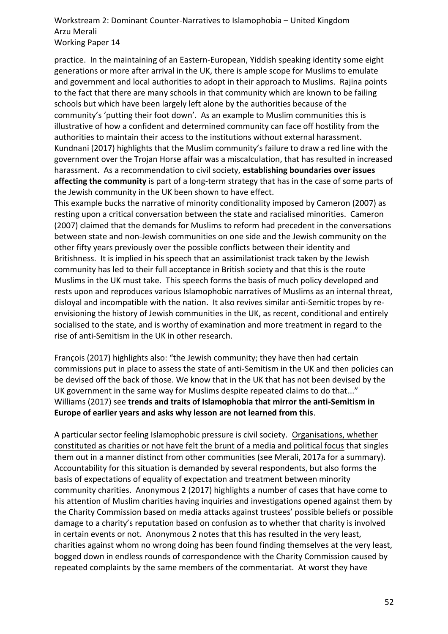practice. In the maintaining of an Eastern-European, Yiddish speaking identity some eight generations or more after arrival in the UK, there is ample scope for Muslims to emulate and government and local authorities to adopt in their approach to Muslims. Rajina points to the fact that there are many schools in that community which are known to be failing schools but which have been largely left alone by the authorities because of the community's 'putting their foot down'. As an example to Muslim communities this is illustrative of how a confident and determined community can face off hostility from the authorities to maintain their access to the institutions without external harassment. Kundnani (2017) highlights that the Muslim community's failure to draw a red line with the government over the Trojan Horse affair was a miscalculation, that has resulted in increased harassment. As a recommendation to civil society, **establishing boundaries over issues affecting the community** is part of a long-term strategy that has in the case of some parts of the Jewish community in the UK been shown to have effect.

This example bucks the narrative of minority conditionality imposed by Cameron (2007) as resting upon a critical conversation between the state and racialised minorities. Cameron (2007) claimed that the demands for Muslims to reform had precedent in the conversations between state and non-Jewish communities on one side and the Jewish community on the other fifty years previously over the possible conflicts between their identity and Britishness. It is implied in his speech that an assimilationist track taken by the Jewish community has led to their full acceptance in British society and that this is the route Muslims in the UK must take. This speech forms the basis of much policy developed and rests upon and reproduces various Islamophobic narratives of Muslims as an internal threat, disloyal and incompatible with the nation. It also revives similar anti-Semitic tropes by reenvisioning the history of Jewish communities in the UK, as recent, conditional and entirely socialised to the state, and is worthy of examination and more treatment in regard to the rise of anti-Semitism in the UK in other research.

François (2017) highlights also: "the Jewish community; they have then had certain commissions put in place to assess the state of anti-Semitism in the UK and then policies can be devised off the back of those. We know that in the UK that has not been devised by the UK government in the same way for Muslims despite repeated claims to do that..." Williams (2017) see **trends and traits of Islamophobia that mirror the anti-Semitism in Europe of earlier years and asks why lesson are not learned from this**.

A particular sector feeling Islamophobic pressure is civil society. Organisations, whether constituted as charities or not have felt the brunt of a media and political focus that singles them out in a manner distinct from other communities (see Merali, 2017a for a summary). Accountability for this situation is demanded by several respondents, but also forms the basis of expectations of equality of expectation and treatment between minority community charities. Anonymous 2 (2017) highlights a number of cases that have come to his attention of Muslim charities having inquiries and investigations opened against them by the Charity Commission based on media attacks against trustees' possible beliefs or possible damage to a charity's reputation based on confusion as to whether that charity is involved in certain events or not. Anonymous 2 notes that this has resulted in the very least, charities against whom no wrong doing has been found finding themselves at the very least, bogged down in endless rounds of correspondence with the Charity Commission caused by repeated complaints by the same members of the commentariat. At worst they have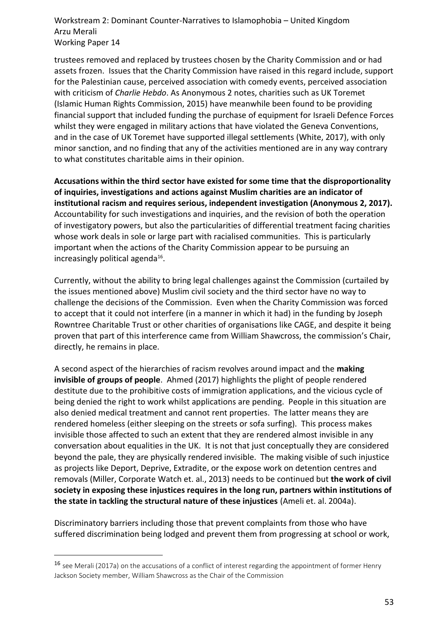trustees removed and replaced by trustees chosen by the Charity Commission and or had assets frozen. Issues that the Charity Commission have raised in this regard include, support for the Palestinian cause, perceived association with comedy events, perceived association with criticism of *Charlie Hebdo*. As Anonymous 2 notes, charities such as UK Toremet (Islamic Human Rights Commission, 2015) have meanwhile been found to be providing financial support that included funding the purchase of equipment for Israeli Defence Forces whilst they were engaged in military actions that have violated the Geneva Conventions, and in the case of UK Toremet have supported illegal settlements (White, 2017), with only minor sanction, and no finding that any of the activities mentioned are in any way contrary to what constitutes charitable aims in their opinion.

**Accusations within the third sector have existed for some time that the disproportionality of inquiries, investigations and actions against Muslim charities are an indicator of institutional racism and requires serious, independent investigation (Anonymous 2, 2017).** Accountability for such investigations and inquiries, and the revision of both the operation of investigatory powers, but also the particularities of differential treatment facing charities whose work deals in sole or large part with racialised communities. This is particularly important when the actions of the Charity Commission appear to be pursuing an increasingly political agenda $^{16}$ .

Currently, without the ability to bring legal challenges against the Commission (curtailed by the issues mentioned above) Muslim civil society and the third sector have no way to challenge the decisions of the Commission. Even when the Charity Commission was forced to accept that it could not interfere (in a manner in which it had) in the funding by Joseph Rowntree Charitable Trust or other charities of organisations like CAGE, and despite it being proven that part of this interference came from William Shawcross, the commission's Chair, directly, he remains in place.

A second aspect of the hierarchies of racism revolves around impact and the **making invisible of groups of people**. Ahmed (2017) highlights the plight of people rendered destitute due to the prohibitive costs of immigration applications, and the vicious cycle of being denied the right to work whilst applications are pending. People in this situation are also denied medical treatment and cannot rent properties. The latter means they are rendered homeless (either sleeping on the streets or sofa surfing). This process makes invisible those affected to such an extent that they are rendered almost invisible in any conversation about equalities in the UK. It is not that just conceptually they are considered beyond the pale, they are physically rendered invisible. The making visible of such injustice as projects like Deport, Deprive, Extradite, or the expose work on detention centres and removals (Miller, Corporate Watch et. al., 2013) needs to be continued but **the work of civil society in exposing these injustices requires in the long run, partners within institutions of the state in tackling the structural nature of these injustices** (Ameli et. al. 2004a).

Discriminatory barriers including those that prevent complaints from those who have suffered discrimination being lodged and prevent them from progressing at school or work,

 $\overline{a}$ 

<sup>&</sup>lt;sup>16</sup> see Merali (2017a) on the accusations of a conflict of interest regarding the appointment of former Henry Jackson Society member, William Shawcross as the Chair of the Commission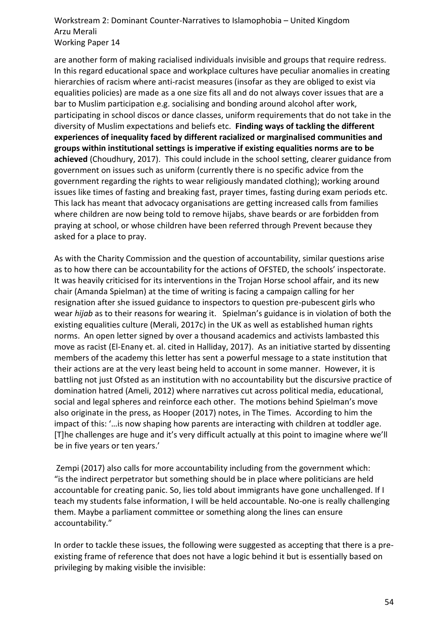are another form of making racialised individuals invisible and groups that require redress. In this regard educational space and workplace cultures have peculiar anomalies in creating hierarchies of racism where anti-racist measures (insofar as they are obliged to exist via equalities policies) are made as a one size fits all and do not always cover issues that are a bar to Muslim participation e.g. socialising and bonding around alcohol after work, participating in school discos or dance classes, uniform requirements that do not take in the diversity of Muslim expectations and beliefs etc. **Finding ways of tackling the different experiences of inequality faced by different racialized or marginalised communities and groups within institutional settings is imperative if existing equalities norms are to be achieved** (Choudhury, 2017). This could include in the school setting, clearer guidance from government on issues such as uniform (currently there is no specific advice from the government regarding the rights to wear religiously mandated clothing); working around issues like times of fasting and breaking fast, prayer times, fasting during exam periods etc. This lack has meant that advocacy organisations are getting increased calls from families where children are now being told to remove hijabs, shave beards or are forbidden from praying at school, or whose children have been referred through Prevent because they asked for a place to pray.

As with the Charity Commission and the question of accountability, similar questions arise as to how there can be accountability for the actions of OFSTED, the schools' inspectorate. It was heavily criticised for its interventions in the Trojan Horse school affair, and its new chair (Amanda Spielman) at the time of writing is facing a campaign calling for her resignation after she issued guidance to inspectors to question pre-pubescent girls who wear *hijab* as to their reasons for wearing it. Spielman's guidance is in violation of both the existing equalities culture (Merali, 2017c) in the UK as well as established human rights norms. An open letter signed by over a thousand academics and activists lambasted this move as racist (El-Enany et. al. cited in Halliday, 2017). As an initiative started by dissenting members of the academy this letter has sent a powerful message to a state institution that their actions are at the very least being held to account in some manner. However, it is battling not just Ofsted as an institution with no accountability but the discursive practice of domination hatred (Ameli, 2012) where narratives cut across political media, educational, social and legal spheres and reinforce each other. The motions behind Spielman's move also originate in the press, as Hooper (2017) notes, in The Times. According to him the impact of this: '…is now shaping how parents are interacting with children at toddler age. [T]he challenges are huge and it's very difficult actually at this point to imagine where we'll be in five years or ten years.'

Zempi (2017) also calls for more accountability including from the government which: "is the indirect perpetrator but something should be in place where politicians are held accountable for creating panic. So, lies told about immigrants have gone unchallenged. If I teach my students false information, I will be held accountable. No-one is really challenging them. Maybe a parliament committee or something along the lines can ensure accountability."

In order to tackle these issues, the following were suggested as accepting that there is a preexisting frame of reference that does not have a logic behind it but is essentially based on privileging by making visible the invisible: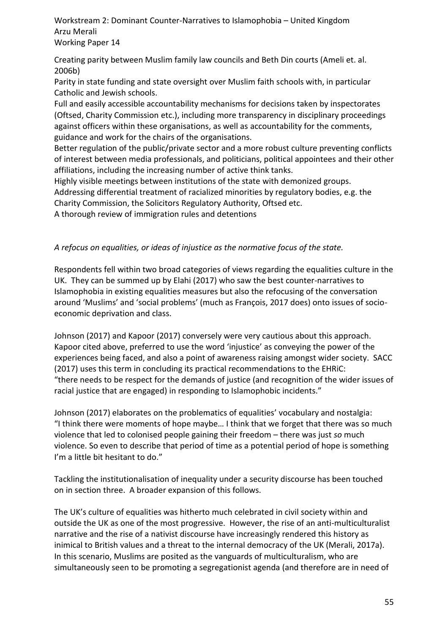Creating parity between Muslim family law councils and Beth Din courts (Ameli et. al. 2006b)

Parity in state funding and state oversight over Muslim faith schools with, in particular Catholic and Jewish schools.

Full and easily accessible accountability mechanisms for decisions taken by inspectorates (Oftsed, Charity Commission etc.), including more transparency in disciplinary proceedings against officers within these organisations, as well as accountability for the comments, guidance and work for the chairs of the organisations.

Better regulation of the public/private sector and a more robust culture preventing conflicts of interest between media professionals, and politicians, political appointees and their other affiliations, including the increasing number of active think tanks.

Highly visible meetings between institutions of the state with demonized groups.

Addressing differential treatment of racialized minorities by regulatory bodies, e.g. the Charity Commission, the Solicitors Regulatory Authority, Oftsed etc.

A thorough review of immigration rules and detentions

# *A refocus on equalities, or ideas of injustice as the normative focus of the state.*

Respondents fell within two broad categories of views regarding the equalities culture in the UK. They can be summed up by Elahi (2017) who saw the best counter-narratives to Islamophobia in existing equalities measures but also the refocusing of the conversation around 'Muslims' and 'social problems' (much as François, 2017 does) onto issues of socioeconomic deprivation and class.

Johnson (2017) and Kapoor (2017) conversely were very cautious about this approach. Kapoor cited above, preferred to use the word 'injustice' as conveying the power of the experiences being faced, and also a point of awareness raising amongst wider society. SACC (2017) uses this term in concluding its practical recommendations to the EHRiC: "there needs to be respect for the demands of justice (and recognition of the wider issues of racial justice that are engaged) in responding to Islamophobic incidents."

Johnson (2017) elaborates on the problematics of equalities' vocabulary and nostalgia: "I think there were moments of hope maybe… I think that we forget that there was so much violence that led to colonised people gaining their freedom – there was just *so* much violence. So even to describe that period of time as a potential period of hope is something I'm a little bit hesitant to do."

Tackling the institutionalisation of inequality under a security discourse has been touched on in section three. A broader expansion of this follows.

The UK's culture of equalities was hitherto much celebrated in civil society within and outside the UK as one of the most progressive. However, the rise of an anti-multiculturalist narrative and the rise of a nativist discourse have increasingly rendered this history as inimical to British values and a threat to the internal democracy of the UK (Merali, 2017a). In this scenario, Muslims are posited as the vanguards of multiculturalism, who are simultaneously seen to be promoting a segregationist agenda (and therefore are in need of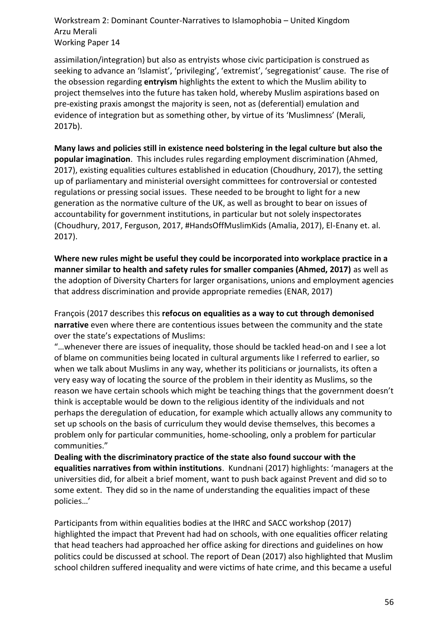assimilation/integration) but also as entryists whose civic participation is construed as seeking to advance an 'Islamist', 'privileging', 'extremist', 'segregationist' cause. The rise of the obsession regarding **entryism** highlights the extent to which the Muslim ability to project themselves into the future has taken hold, whereby Muslim aspirations based on pre-existing praxis amongst the majority is seen, not as (deferential) emulation and evidence of integration but as something other, by virtue of its 'Muslimness' (Merali, 2017b).

**Many laws and policies still in existence need bolstering in the legal culture but also the popular imagination**. This includes rules regarding employment discrimination (Ahmed, 2017), existing equalities cultures established in education (Choudhury, 2017), the setting up of parliamentary and ministerial oversight committees for controversial or contested regulations or pressing social issues. These needed to be brought to light for a new generation as the normative culture of the UK, as well as brought to bear on issues of accountability for government institutions, in particular but not solely inspectorates (Choudhury, 2017, Ferguson, 2017, #HandsOffMuslimKids (Amalia, 2017), El-Enany et. al. 2017).

**Where new rules might be useful they could be incorporated into workplace practice in a manner similar to health and safety rules for smaller companies (Ahmed, 2017)** as well as the adoption of Diversity Charters for larger organisations, unions and employment agencies that address discrimination and provide appropriate remedies (ENAR, 2017)

François (2017 describes this **refocus on equalities as a way to cut through demonised narrative** even where there are contentious issues between the community and the state over the state's expectations of Muslims:

"…whenever there are issues of inequality, those should be tackled head-on and I see a lot of blame on communities being located in cultural arguments like I referred to earlier, so when we talk about Muslims in any way, whether its politicians or journalists, its often a very easy way of locating the source of the problem in their identity as Muslims, so the reason we have certain schools which might be teaching things that the government doesn't think is acceptable would be down to the religious identity of the individuals and not perhaps the deregulation of education, for example which actually allows any community to set up schools on the basis of curriculum they would devise themselves, this becomes a problem only for particular communities, home-schooling, only a problem for particular communities."

**Dealing with the discriminatory practice of the state also found succour with the equalities narratives from within institutions**. Kundnani (2017) highlights: 'managers at the universities did, for albeit a brief moment, want to push back against Prevent and did so to some extent. They did so in the name of understanding the equalities impact of these policies…'

Participants from within equalities bodies at the IHRC and SACC workshop (2017) highlighted the impact that Prevent had had on schools, with one equalities officer relating that head teachers had approached her office asking for directions and guidelines on how politics could be discussed at school. The report of Dean (2017) also highlighted that Muslim school children suffered inequality and were victims of hate crime, and this became a useful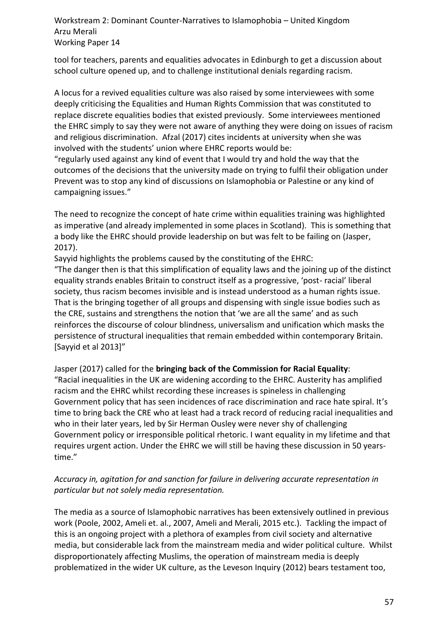tool for teachers, parents and equalities advocates in Edinburgh to get a discussion about school culture opened up, and to challenge institutional denials regarding racism.

A locus for a revived equalities culture was also raised by some interviewees with some deeply criticising the Equalities and Human Rights Commission that was constituted to replace discrete equalities bodies that existed previously. Some interviewees mentioned the EHRC simply to say they were not aware of anything they were doing on issues of racism and religious discrimination. Afzal (2017) cites incidents at university when she was involved with the students' union where EHRC reports would be:

"regularly used against any kind of event that I would try and hold the way that the outcomes of the decisions that the university made on trying to fulfil their obligation under Prevent was to stop any kind of discussions on Islamophobia or Palestine or any kind of campaigning issues."

The need to recognize the concept of hate crime within equalities training was highlighted as imperative (and already implemented in some places in Scotland). This is something that a body like the EHRC should provide leadership on but was felt to be failing on (Jasper, 2017).

Sayyid highlights the problems caused by the constituting of the EHRC:

"The danger then is that this simplification of equality laws and the joining up of the distinct equality strands enables Britain to construct itself as a progressive, 'post- racial' liberal society, thus racism becomes invisible and is instead understood as a human rights issue. That is the bringing together of all groups and dispensing with single issue bodies such as the CRE, sustains and strengthens the notion that 'we are all the same' and as such reinforces the discourse of colour blindness, universalism and unification which masks the persistence of structural inequalities that remain embedded within contemporary Britain. [Sayyid et al 2013]"

Jasper (2017) called for the **bringing back of the Commission for Racial Equality**:

"Racial inequalities in the UK are widening according to the EHRC. Austerity has amplified racism and the EHRC whilst recording these increases is spineless in challenging Government policy that has seen incidences of race discrimination and race hate spiral. It's time to bring back the CRE who at least had a track record of reducing racial inequalities and who in their later years, led by Sir Herman Ousley were never shy of challenging Government policy or irresponsible political rhetoric. I want equality in my lifetime and that requires urgent action. Under the EHRC we will still be having these discussion in 50 yearstime."

# *Accuracy in, agitation for and sanction for failure in delivering accurate representation in particular but not solely media representation.*

The media as a source of Islamophobic narratives has been extensively outlined in previous work (Poole, 2002, Ameli et. al., 2007, Ameli and Merali, 2015 etc.). Tackling the impact of this is an ongoing project with a plethora of examples from civil society and alternative media, but considerable lack from the mainstream media and wider political culture. Whilst disproportionately affecting Muslims, the operation of mainstream media is deeply problematized in the wider UK culture, as the Leveson Inquiry (2012) bears testament too,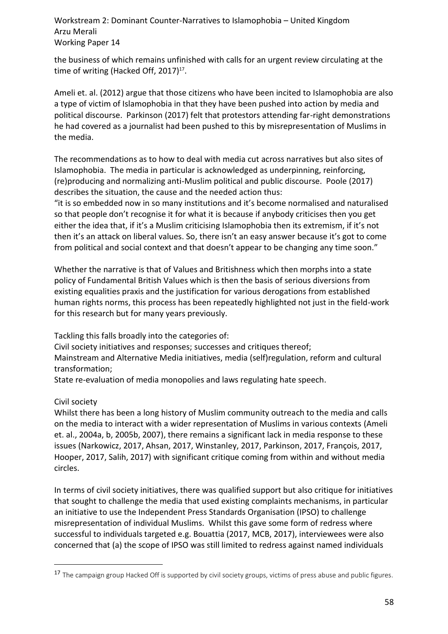the business of which remains unfinished with calls for an urgent review circulating at the time of writing (Hacked Off, 2017) $^{17}$ .

Ameli et. al. (2012) argue that those citizens who have been incited to Islamophobia are also a type of victim of Islamophobia in that they have been pushed into action by media and political discourse. Parkinson (2017) felt that protestors attending far-right demonstrations he had covered as a journalist had been pushed to this by misrepresentation of Muslims in the media.

The recommendations as to how to deal with media cut across narratives but also sites of Islamophobia. The media in particular is acknowledged as underpinning, reinforcing, (re)producing and normalizing anti-Muslim political and public discourse. Poole (2017) describes the situation, the cause and the needed action thus:

"it is so embedded now in so many institutions and it's become normalised and naturalised so that people don't recognise it for what it is because if anybody criticises then you get either the idea that, if it's a Muslim criticising Islamophobia then its extremism, if it's not then it's an attack on liberal values. So, there isn't an easy answer because it's got to come from political and social context and that doesn't appear to be changing any time soon."

Whether the narrative is that of Values and Britishness which then morphs into a state policy of Fundamental British Values which is then the basis of serious diversions from existing equalities praxis and the justification for various derogations from established human rights norms, this process has been repeatedly highlighted not just in the field-work for this research but for many years previously.

Tackling this falls broadly into the categories of:

Civil society initiatives and responses; successes and critiques thereof;

Mainstream and Alternative Media initiatives, media (self)regulation, reform and cultural transformation;

State re-evaluation of media monopolies and laws regulating hate speech.

# Civil society

 $\overline{a}$ 

Whilst there has been a long history of Muslim community outreach to the media and calls on the media to interact with a wider representation of Muslims in various contexts (Ameli et. al., 2004a, b, 2005b, 2007), there remains a significant lack in media response to these issues (Narkowicz, 2017, Ahsan, 2017, Winstanley, 2017, Parkinson, 2017, François, 2017, Hooper, 2017, Salih, 2017) with significant critique coming from within and without media circles.

In terms of civil society initiatives, there was qualified support but also critique for initiatives that sought to challenge the media that used existing complaints mechanisms, in particular an initiative to use the Independent Press Standards Organisation (IPSO) to challenge misrepresentation of individual Muslims. Whilst this gave some form of redress where successful to individuals targeted e.g. Bouattia (2017, MCB, 2017), interviewees were also concerned that (a) the scope of IPSO was still limited to redress against named individuals

<sup>&</sup>lt;sup>17</sup> The campaign group Hacked Off is supported by civil society groups, victims of press abuse and public figures.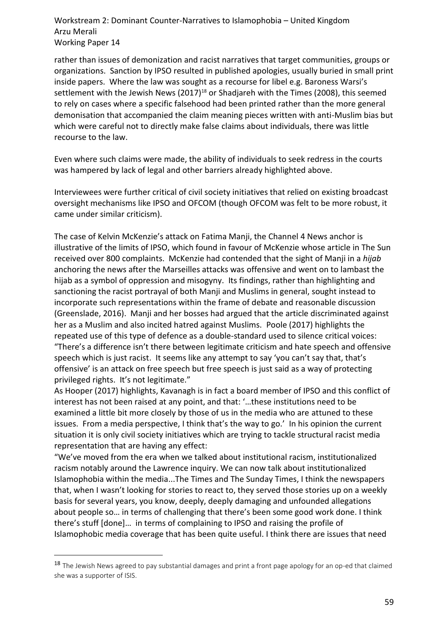rather than issues of demonization and racist narratives that target communities, groups or organizations. Sanction by IPSO resulted in published apologies, usually buried in small print inside papers. Where the law was sought as a recourse for libel e.g. Baroness Warsi's settlement with the Jewish News (2017)<sup>18</sup> or Shadjareh with the Times (2008), this seemed to rely on cases where a specific falsehood had been printed rather than the more general demonisation that accompanied the claim meaning pieces written with anti-Muslim bias but which were careful not to directly make false claims about individuals, there was little recourse to the law.

Even where such claims were made, the ability of individuals to seek redress in the courts was hampered by lack of legal and other barriers already highlighted above.

Interviewees were further critical of civil society initiatives that relied on existing broadcast oversight mechanisms like IPSO and OFCOM (though OFCOM was felt to be more robust, it came under similar criticism).

The case of Kelvin McKenzie's attack on Fatima Manji, the Channel 4 News anchor is illustrative of the limits of IPSO, which found in favour of McKenzie whose article in The Sun received over 800 complaints. McKenzie had contended that the sight of Manji in a *hijab* anchoring the news after the Marseilles attacks was offensive and went on to lambast the hijab as a symbol of oppression and misogyny. Its findings, rather than highlighting and sanctioning the racist portrayal of both Manji and Muslims in general, sought instead to incorporate such representations within the frame of debate and reasonable discussion (Greenslade, 2016). Manji and her bosses had argued that the article discriminated against her as a Muslim and also incited hatred against Muslims. Poole (2017) highlights the repeated use of this type of defence as a double-standard used to silence critical voices: "There's a difference isn't there between legitimate criticism and hate speech and offensive speech which is just racist. It seems like any attempt to say 'you can't say that, that's offensive' is an attack on free speech but free speech is just said as a way of protecting privileged rights. It's not legitimate."

As Hooper (2017) highlights, Kavanagh is in fact a board member of IPSO and this conflict of interest has not been raised at any point, and that: '…these institutions need to be examined a little bit more closely by those of us in the media who are attuned to these issues. From a media perspective, I think that's the way to go.' In his opinion the current situation it is only civil society initiatives which are trying to tackle structural racist media representation that are having any effect:

"We've moved from the era when we talked about institutional racism, institutionalized racism notably around the Lawrence inquiry. We can now talk about institutionalized Islamophobia within the media...The Times and The Sunday Times, I think the newspapers that, when I wasn't looking for stories to react to, they served those stories up on a weekly basis for several years, you know, deeply, deeply damaging and unfounded allegations about people so… in terms of challenging that there's been some good work done. I think there's stuff [done]… in terms of complaining to IPSO and raising the profile of Islamophobic media coverage that has been quite useful. I think there are issues that need

 $\overline{a}$ 

<sup>&</sup>lt;sup>18</sup> The Jewish News agreed to pay substantial damages and print a front page apology for an op-ed that claimed she was a supporter of ISIS.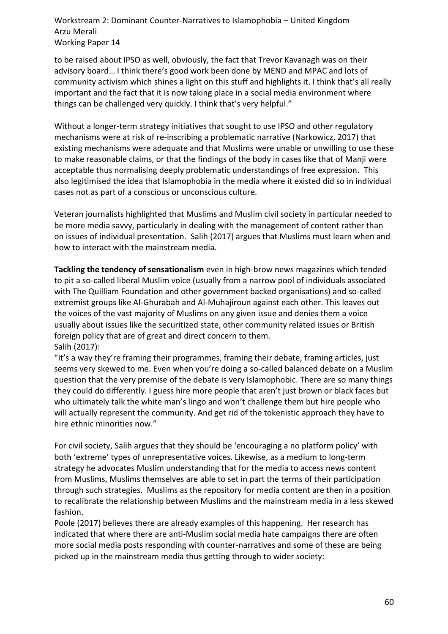to be raised about IPSO as well, obviously, the fact that Trevor Kavanagh was on their advisory board… I think there's good work been done by MEND and MPAC and lots of community activism which shines a light on this stuff and highlights it. I think that's all really important and the fact that it is now taking place in a social media environment where things can be challenged very quickly. I think that's very helpful."

Without a longer-term strategy initiatives that sought to use IPSO and other regulatory mechanisms were at risk of re-inscribing a problematic narrative (Narkowicz, 2017) that existing mechanisms were adequate and that Muslims were unable or unwilling to use these to make reasonable claims, or that the findings of the body in cases like that of Manji were acceptable thus normalising deeply problematic understandings of free expression. This also legitimised the idea that Islamophobia in the media where it existed did so in individual cases not as part of a conscious or unconscious culture.

Veteran journalists highlighted that Muslims and Muslim civil society in particular needed to be more media savvy, particularly in dealing with the management of content rather than on issues of individual presentation. Salih (2017) argues that Muslims must learn when and how to interact with the mainstream media.

**Tackling the tendency of sensationalism** even in high-brow news magazines which tended to pit a so-called liberal Muslim voice (usually from a narrow pool of individuals associated with The Quilliam Foundation and other government backed organisations) and so-called extremist groups like Al-Ghurabah and Al-Muhajiroun against each other. This leaves out the voices of the vast majority of Muslims on any given issue and denies them a voice usually about issues like the securitized state, other community related issues or British foreign policy that are of great and direct concern to them. Salih (2017):

"It's a way they're framing their programmes, framing their debate, framing articles, just seems very skewed to me. Even when you're doing a so-called balanced debate on a Muslim question that the very premise of the debate is very Islamophobic. There are so many things they could do differently. I guess hire more people that aren't just brown or black faces but who ultimately talk the white man's lingo and won't challenge them but hire people who will actually represent the community. And get rid of the tokenistic approach they have to hire ethnic minorities now."

For civil society, Salih argues that they should be 'encouraging a no platform policy' with both 'extreme' types of unrepresentative voices. Likewise, as a medium to long-term strategy he advocates Muslim understanding that for the media to access news content from Muslims, Muslims themselves are able to set in part the terms of their participation through such strategies. Muslims as the repository for media content are then in a position to recalibrate the relationship between Muslims and the mainstream media in a less skewed fashion.

Poole (2017) believes there are already examples of this happening. Her research has indicated that where there are anti-Muslim social media hate campaigns there are often more social media posts responding with counter-narratives and some of these are being picked up in the mainstream media thus getting through to wider society: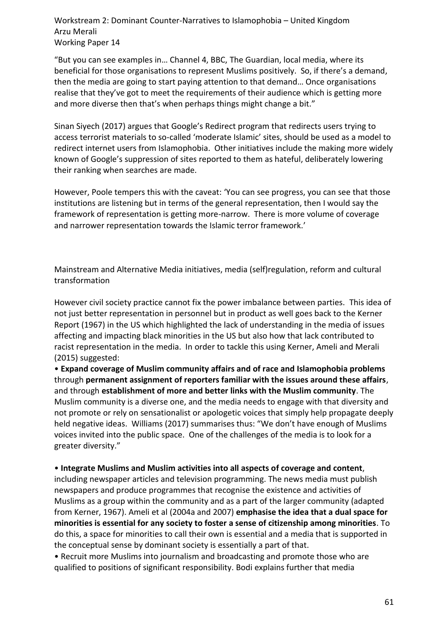"But you can see examples in… Channel 4, BBC, The Guardian, local media, where its beneficial for those organisations to represent Muslims positively. So, if there's a demand, then the media are going to start paying attention to that demand… Once organisations realise that they've got to meet the requirements of their audience which is getting more and more diverse then that's when perhaps things might change a bit."

Sinan Siyech (2017) argues that Google's Redirect program that redirects users trying to access terrorist materials to so-called 'moderate Islamic' sites, should be used as a model to redirect internet users from Islamophobia. Other initiatives include the making more widely known of Google's suppression of sites reported to them as hateful, deliberately lowering their ranking when searches are made.

However, Poole tempers this with the caveat: 'You can see progress, you can see that those institutions are listening but in terms of the general representation, then I would say the framework of representation is getting more-narrow. There is more volume of coverage and narrower representation towards the Islamic terror framework.'

Mainstream and Alternative Media initiatives, media (self)regulation, reform and cultural transformation

However civil society practice cannot fix the power imbalance between parties. This idea of not just better representation in personnel but in product as well goes back to the Kerner Report (1967) in the US which highlighted the lack of understanding in the media of issues affecting and impacting black minorities in the US but also how that lack contributed to racist representation in the media. In order to tackle this using Kerner, Ameli and Merali (2015) suggested:

• **Expand coverage of Muslim community affairs and of race and Islamophobia problems** through **permanent assignment of reporters familiar with the issues around these affairs**, and through **establishment of more and better links with the Muslim community**. The Muslim community is a diverse one, and the media needs to engage with that diversity and not promote or rely on sensationalist or apologetic voices that simply help propagate deeply held negative ideas. Williams (2017) summarises thus: "We don't have enough of Muslims voices invited into the public space. One of the challenges of the media is to look for a greater diversity."

• **Integrate Muslims and Muslim activities into all aspects of coverage and content**, including newspaper articles and television programming. The news media must publish newspapers and produce programmes that recognise the existence and activities of Muslims as a group within the community and as a part of the larger community (adapted from Kerner, 1967). Ameli et al (2004a and 2007) **emphasise the idea that a dual space for minorities is essential for any society to foster a sense of citizenship among minorities**. To do this, a space for minorities to call their own is essential and a media that is supported in the conceptual sense by dominant society is essentially a part of that.

• Recruit more Muslims into journalism and broadcasting and promote those who are qualified to positions of significant responsibility. Bodi explains further that media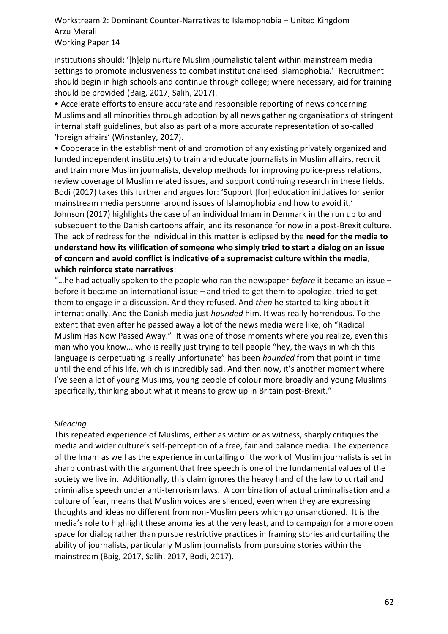institutions should: '[h]elp nurture Muslim journalistic talent within mainstream media settings to promote inclusiveness to combat institutionalised Islamophobia.' Recruitment should begin in high schools and continue through college; where necessary, aid for training should be provided (Baig, 2017, Salih, 2017).

• Accelerate efforts to ensure accurate and responsible reporting of news concerning Muslims and all minorities through adoption by all news gathering organisations of stringent internal staff guidelines, but also as part of a more accurate representation of so-called 'foreign affairs' (Winstanley, 2017).

• Cooperate in the establishment of and promotion of any existing privately organized and funded independent institute(s) to train and educate journalists in Muslim affairs, recruit and train more Muslim journalists, develop methods for improving police-press relations, review coverage of Muslim related issues, and support continuing research in these fields. Bodi (2017) takes this further and argues for: 'Support [for] education initiatives for senior mainstream media personnel around issues of Islamophobia and how to avoid it.' Johnson (2017) highlights the case of an individual Imam in Denmark in the run up to and subsequent to the Danish cartoons affair, and its resonance for now in a post-Brexit culture. The lack of redress for the individual in this matter is eclipsed by the **need for the media to understand how its vilification of someone who simply tried to start a dialog on an issue of concern and avoid conflict is indicative of a supremacist culture within the media**, **which reinforce state narratives**:

"…he had actually spoken to the people who ran the newspaper *before* it became an issue – before it became an international issue – and tried to get them to apologize, tried to get them to engage in a discussion. And they refused. And *then* he started talking about it internationally. And the Danish media just *hounded* him. It was really horrendous. To the extent that even after he passed away a lot of the news media were like, oh "Radical Muslim Has Now Passed Away." It was one of those moments where you realize, even this man who you know... who is really just trying to tell people "hey, the ways in which this language is perpetuating is really unfortunate" has been *hounded* from that point in time until the end of his life, which is incredibly sad. And then now, it's another moment where I've seen a lot of young Muslims, young people of colour more broadly and young Muslims specifically, thinking about what it means to grow up in Britain post-Brexit."

#### *Silencing*

This repeated experience of Muslims, either as victim or as witness, sharply critiques the media and wider culture's self-perception of a free, fair and balance media. The experience of the Imam as well as the experience in curtailing of the work of Muslim journalists is set in sharp contrast with the argument that free speech is one of the fundamental values of the society we live in. Additionally, this claim ignores the heavy hand of the law to curtail and criminalise speech under anti-terrorism laws. A combination of actual criminalisation and a culture of fear, means that Muslim voices are silenced, even when they are expressing thoughts and ideas no different from non-Muslim peers which go unsanctioned. It is the media's role to highlight these anomalies at the very least, and to campaign for a more open space for dialog rather than pursue restrictive practices in framing stories and curtailing the ability of journalists, particularly Muslim journalists from pursuing stories within the mainstream (Baig, 2017, Salih, 2017, Bodi, 2017).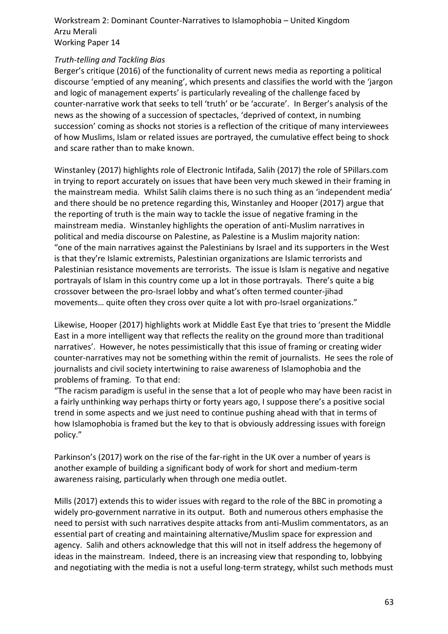# *Truth-telling and Tackling Bias*

Berger's critique (2016) of the functionality of current news media as reporting a political discourse 'emptied of any meaning', which presents and classifies the world with the 'jargon and logic of management experts' is particularly revealing of the challenge faced by counter-narrative work that seeks to tell 'truth' or be 'accurate'. In Berger's analysis of the news as the showing of a succession of spectacles, 'deprived of context, in numbing succession' coming as shocks not stories is a reflection of the critique of many interviewees of how Muslims, Islam or related issues are portrayed, the cumulative effect being to shock and scare rather than to make known.

Winstanley (2017) highlights role of Electronic Intifada, Salih (2017) the role of 5Pillars.com in trying to report accurately on issues that have been very much skewed in their framing in the mainstream media. Whilst Salih claims there is no such thing as an 'independent media' and there should be no pretence regarding this, Winstanley and Hooper (2017) argue that the reporting of truth is the main way to tackle the issue of negative framing in the mainstream media. Winstanley highlights the operation of anti-Muslim narratives in political and media discourse on Palestine, as Palestine is a Muslim majority nation: "one of the main narratives against the Palestinians by Israel and its supporters in the West is that they're Islamic extremists, Palestinian organizations are Islamic terrorists and Palestinian resistance movements are terrorists. The issue is Islam is negative and negative portrayals of Islam in this country come up a lot in those portrayals. There's quite a big crossover between the pro-Israel lobby and what's often termed counter-jihad movements… quite often they cross over quite a lot with pro-Israel organizations."

Likewise, Hooper (2017) highlights work at Middle East Eye that tries to 'present the Middle East in a more intelligent way that reflects the reality on the ground more than traditional narratives'. However, he notes pessimistically that this issue of framing or creating wider counter-narratives may not be something within the remit of journalists. He sees the role of journalists and civil society intertwining to raise awareness of Islamophobia and the problems of framing. To that end:

"The racism paradigm is useful in the sense that a lot of people who may have been racist in a fairly unthinking way perhaps thirty or forty years ago, I suppose there's a positive social trend in some aspects and we just need to continue pushing ahead with that in terms of how Islamophobia is framed but the key to that is obviously addressing issues with foreign policy."

Parkinson's (2017) work on the rise of the far-right in the UK over a number of years is another example of building a significant body of work for short and medium-term awareness raising, particularly when through one media outlet.

Mills (2017) extends this to wider issues with regard to the role of the BBC in promoting a widely pro-government narrative in its output. Both and numerous others emphasise the need to persist with such narratives despite attacks from anti-Muslim commentators, as an essential part of creating and maintaining alternative/Muslim space for expression and agency. Salih and others acknowledge that this will not in itself address the hegemony of ideas in the mainstream. Indeed, there is an increasing view that responding to, lobbying and negotiating with the media is not a useful long-term strategy, whilst such methods must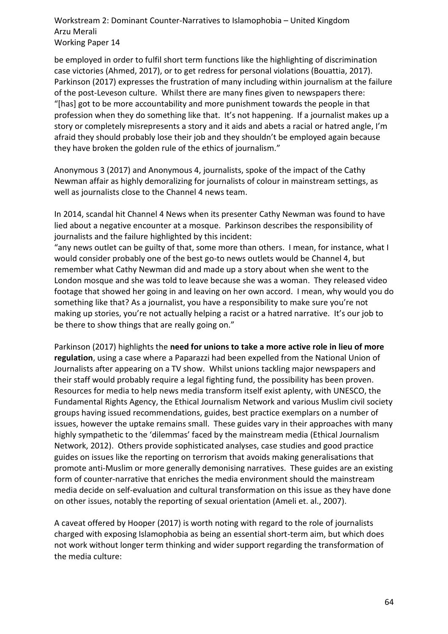be employed in order to fulfil short term functions like the highlighting of discrimination case victories (Ahmed, 2017), or to get redress for personal violations (Bouattia, 2017). Parkinson (2017) expresses the frustration of many including within journalism at the failure of the post-Leveson culture. Whilst there are many fines given to newspapers there: "[has] got to be more accountability and more punishment towards the people in that profession when they do something like that. It's not happening. If a journalist makes up a story or completely misrepresents a story and it aids and abets a racial or hatred angle, I'm afraid they should probably lose their job and they shouldn't be employed again because they have broken the golden rule of the ethics of journalism."

Anonymous 3 (2017) and Anonymous 4, journalists, spoke of the impact of the Cathy Newman affair as highly demoralizing for journalists of colour in mainstream settings, as well as journalists close to the Channel 4 news team.

In 2014, scandal hit Channel 4 News when its presenter Cathy Newman was found to have lied about a negative encounter at a mosque. Parkinson describes the responsibility of journalists and the failure highlighted by this incident:

"any news outlet can be guilty of that, some more than others. I mean, for instance, what I would consider probably one of the best go-to news outlets would be Channel 4, but remember what Cathy Newman did and made up a story about when she went to the London mosque and she was told to leave because she was a woman. They released video footage that showed her going in and leaving on her own accord. I mean, why would you do something like that? As a journalist, you have a responsibility to make sure you're not making up stories, you're not actually helping a racist or a hatred narrative. It's our job to be there to show things that are really going on."

Parkinson (2017) highlights the **need for unions to take a more active role in lieu of more regulation**, using a case where a Paparazzi had been expelled from the National Union of Journalists after appearing on a TV show. Whilst unions tackling major newspapers and their staff would probably require a legal fighting fund, the possibility has been proven. Resources for media to help news media transform itself exist aplenty, with UNESCO, the Fundamental Rights Agency, the Ethical Journalism Network and various Muslim civil society groups having issued recommendations, guides, best practice exemplars on a number of issues, however the uptake remains small. These guides vary in their approaches with many highly sympathetic to the 'dilemmas' faced by the mainstream media (Ethical Journalism Network, 2012). Others provide sophisticated analyses, case studies and good practice guides on issues like the reporting on terrorism that avoids making generalisations that promote anti-Muslim or more generally demonising narratives. These guides are an existing form of counter-narrative that enriches the media environment should the mainstream media decide on self-evaluation and cultural transformation on this issue as they have done on other issues, notably the reporting of sexual orientation (Ameli et. al., 2007).

A caveat offered by Hooper (2017) is worth noting with regard to the role of journalists charged with exposing Islamophobia as being an essential short-term aim, but which does not work without longer term thinking and wider support regarding the transformation of the media culture: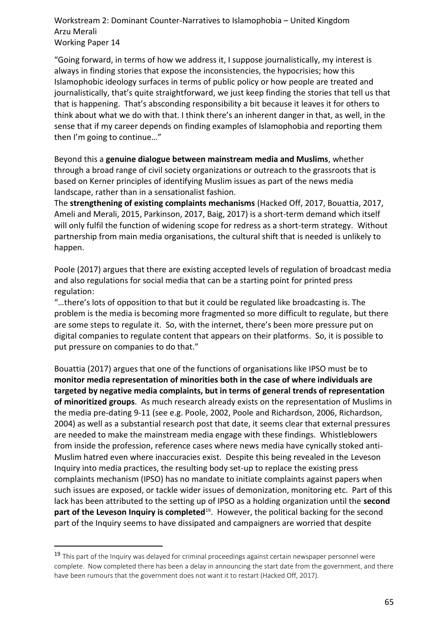"Going forward, in terms of how we address it, I suppose journalistically, my interest is always in finding stories that expose the inconsistencies, the hypocrisies; how this Islamophobic ideology surfaces in terms of public policy or how people are treated and journalistically, that's quite straightforward, we just keep finding the stories that tell us that that is happening. That's absconding responsibility a bit because it leaves it for others to think about what we do with that. I think there's an inherent danger in that, as well, in the sense that if my career depends on finding examples of Islamophobia and reporting them then I'm going to continue…"

Beyond this a **genuine dialogue between mainstream media and Muslims**, whether through a broad range of civil society organizations or outreach to the grassroots that is based on Kerner principles of identifying Muslim issues as part of the news media landscape, rather than in a sensationalist fashion.

The **strengthening of existing complaints mechanisms** (Hacked Off, 2017, Bouattia, 2017, Ameli and Merali, 2015, Parkinson, 2017, Baig, 2017) is a short-term demand which itself will only fulfil the function of widening scope for redress as a short-term strategy. Without partnership from main media organisations, the cultural shift that is needed is unlikely to happen.

Poole (2017) argues that there are existing accepted levels of regulation of broadcast media and also regulations for social media that can be a starting point for printed press regulation:

"…there's lots of opposition to that but it could be regulated like broadcasting is. The problem is the media is becoming more fragmented so more difficult to regulate, but there are some steps to regulate it. So, with the internet, there's been more pressure put on digital companies to regulate content that appears on their platforms. So, it is possible to put pressure on companies to do that."

Bouattia (2017) argues that one of the functions of organisations like IPSO must be to **monitor media representation of minorities both in the case of where individuals are targeted by negative media complaints, but in terms of general trends of representation of minoritized groups**. As much research already exists on the representation of Muslims in the media pre-dating 9-11 (see e.g. Poole, 2002, Poole and Richardson, 2006, Richardson, 2004) as well as a substantial research post that date, it seems clear that external pressures are needed to make the mainstream media engage with these findings. Whistleblowers from inside the profession, reference cases where news media have cynically stoked anti-Muslim hatred even where inaccuracies exist. Despite this being revealed in the Leveson Inquiry into media practices, the resulting body set-up to replace the existing press complaints mechanism (IPSO) has no mandate to initiate complaints against papers when such issues are exposed, or tackle wider issues of demonization, monitoring etc. Part of this lack has been attributed to the setting up of IPSO as a holding organization until the **second**  part of the Leveson Inquiry is completed<sup>19</sup>. However, the political backing for the second part of the Inquiry seems to have dissipated and campaigners are worried that despite

 $\overline{a}$ 

<sup>&</sup>lt;sup>19</sup> This part of the Inquiry was delayed for criminal proceedings against certain newspaper personnel were complete. Now completed there has been a delay in announcing the start date from the government, and there have been rumours that the government does not want it to restart (Hacked Off, 2017).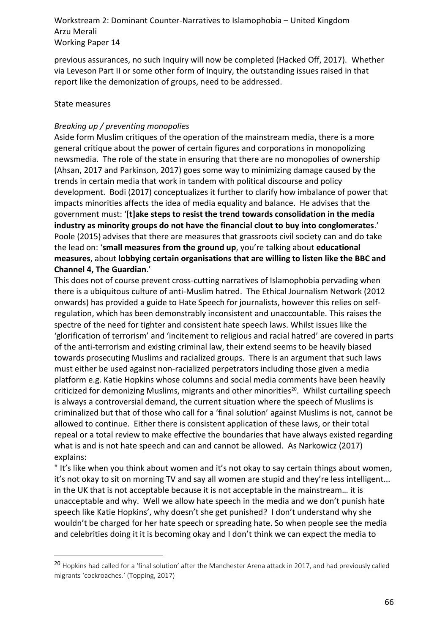previous assurances, no such Inquiry will now be completed (Hacked Off, 2017). Whether via Leveson Part II or some other form of Inquiry, the outstanding issues raised in that report like the demonization of groups, need to be addressed.

## State measures

 $\overline{a}$ 

# *Breaking up / preventing monopolies*

Aside form Muslim critiques of the operation of the mainstream media, there is a more general critique about the power of certain figures and corporations in monopolizing newsmedia. The role of the state in ensuring that there are no monopolies of ownership (Ahsan, 2017 and Parkinson, 2017) goes some way to minimizing damage caused by the trends in certain media that work in tandem with political discourse and policy development. Bodi (2017) conceptualizes it further to clarify how imbalance of power that impacts minorities affects the idea of media equality and balance. He advises that the government must: '[**t]ake steps to resist the trend towards consolidation in the media industry as minority groups do not have the financial clout to buy into conglomerates**.' Poole (2015) advises that there are measures that grassroots civil society can and do take the lead on: '**small measures from the ground up**, you're talking about **educational measures**, about **lobbying certain organisations that are willing to listen like the BBC and Channel 4, The Guardian**.'

This does not of course prevent cross-cutting narratives of Islamophobia pervading when there is a ubiquitous culture of anti-Muslim hatred. The Ethical Journalism Network (2012 onwards) has provided a guide to Hate Speech for journalists, however this relies on selfregulation, which has been demonstrably inconsistent and unaccountable. This raises the spectre of the need for tighter and consistent hate speech laws. Whilst issues like the 'glorification of terrorism' and 'incitement to religious and racial hatred' are covered in parts of the anti-terrorism and existing criminal law, their extend seems to be heavily biased towards prosecuting Muslims and racialized groups. There is an argument that such laws must either be used against non-racialized perpetrators including those given a media platform e.g. Katie Hopkins whose columns and social media comments have been heavily criticized for demonizing Muslims, migrants and other minorities<sup>20</sup>. Whilst curtailing speech is always a controversial demand, the current situation where the speech of Muslims is criminalized but that of those who call for a 'final solution' against Muslims is not, cannot be allowed to continue. Either there is consistent application of these laws, or their total repeal or a total review to make effective the boundaries that have always existed regarding what is and is not hate speech and can and cannot be allowed. As Narkowicz (2017) explains:

" It's like when you think about women and it's not okay to say certain things about women, it's not okay to sit on morning TV and say all women are stupid and they're less intelligent... in the UK that is not acceptable because it is not acceptable in the mainstream… it is unacceptable and why. Well we allow hate speech in the media and we don't punish hate speech like Katie Hopkins', why doesn't she get punished? I don't understand why she wouldn't be charged for her hate speech or spreading hate. So when people see the media and celebrities doing it it is becoming okay and I don't think we can expect the media to

<sup>&</sup>lt;sup>20</sup> Hopkins had called for a 'final solution' after the Manchester Arena attack in 2017, and had previously called migrants 'cockroaches.' (Topping, 2017)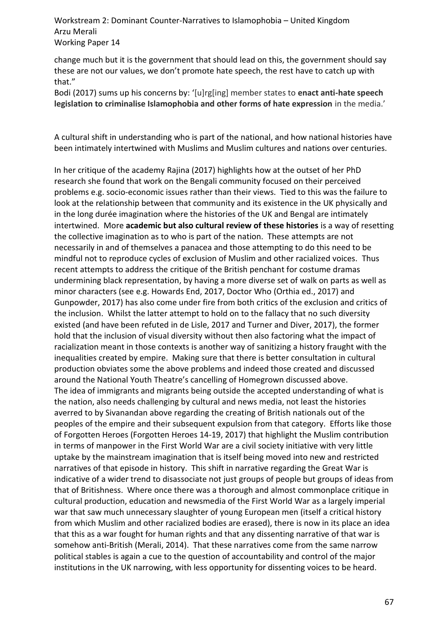change much but it is the government that should lead on this, the government should say these are not our values, we don't promote hate speech, the rest have to catch up with that."

Bodi (2017) sums up his concerns by: '[u]rg[ing] member states to **enact anti-hate speech legislation to criminalise Islamophobia and other forms of hate expression** in the media.'

A cultural shift in understanding who is part of the national, and how national histories have been intimately intertwined with Muslims and Muslim cultures and nations over centuries.

In her critique of the academy Rajina (2017) highlights how at the outset of her PhD research she found that work on the Bengali community focused on their perceived problems e.g. socio-economic issues rather than their views. Tied to this was the failure to look at the relationship between that community and its existence in the UK physically and in the long durée imagination where the histories of the UK and Bengal are intimately intertwined. More **academic but also cultural review of these histories** is a way of resetting the collective imagination as to who is part of the nation. These attempts are not necessarily in and of themselves a panacea and those attempting to do this need to be mindful not to reproduce cycles of exclusion of Muslim and other racialized voices. Thus recent attempts to address the critique of the British penchant for costume dramas undermining black representation, by having a more diverse set of walk on parts as well as minor characters (see e.g. Howards End, 2017, Doctor Who (Orthia ed., 2017) and Gunpowder, 2017) has also come under fire from both critics of the exclusion and critics of the inclusion. Whilst the latter attempt to hold on to the fallacy that no such diversity existed (and have been refuted in de Lisle, 2017 and Turner and Diver, 2017), the former hold that the inclusion of visual diversity without then also factoring what the impact of racialization meant in those contexts is another way of sanitizing a history fraught with the inequalities created by empire. Making sure that there is better consultation in cultural production obviates some the above problems and indeed those created and discussed around the National Youth Theatre's cancelling of Homegrown discussed above. The idea of immigrants and migrants being outside the accepted understanding of what is the nation, also needs challenging by cultural and news media, not least the histories averred to by Sivanandan above regarding the creating of British nationals out of the peoples of the empire and their subsequent expulsion from that category. Efforts like those of Forgotten Heroes (Forgotten Heroes 14-19, 2017) that highlight the Muslim contribution in terms of manpower in the First World War are a civil society initiative with very little uptake by the mainstream imagination that is itself being moved into new and restricted narratives of that episode in history. This shift in narrative regarding the Great War is indicative of a wider trend to disassociate not just groups of people but groups of ideas from that of Britishness. Where once there was a thorough and almost commonplace critique in cultural production, education and newsmedia of the First World War as a largely imperial war that saw much unnecessary slaughter of young European men (itself a critical history from which Muslim and other racialized bodies are erased), there is now in its place an idea that this as a war fought for human rights and that any dissenting narrative of that war is somehow anti-British (Merali, 2014). That these narratives come from the same narrow political stables is again a cue to the question of accountability and control of the major institutions in the UK narrowing, with less opportunity for dissenting voices to be heard.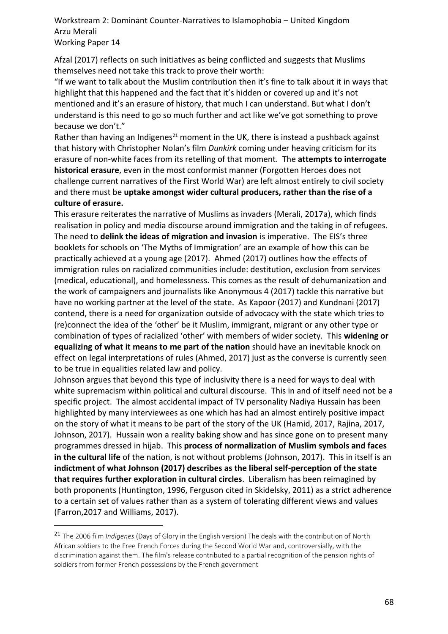Afzal (2017) reflects on such initiatives as being conflicted and suggests that Muslims themselves need not take this track to prove their worth:

"If we want to talk about the Muslim contribution then it's fine to talk about it in ways that highlight that this happened and the fact that it's hidden or covered up and it's not mentioned and it's an erasure of history, that much I can understand. But what I don't understand is this need to go so much further and act like we've got something to prove because we don't."

Rather than having an Indigenes<sup>21</sup> moment in the UK, there is instead a pushback against that history with Christopher Nolan's film *Dunkirk* coming under heaving criticism for its erasure of non-white faces from its retelling of that moment. The **attempts to interrogate historical erasure**, even in the most conformist manner (Forgotten Heroes does not challenge current narratives of the First World War) are left almost entirely to civil society and there must be **uptake amongst wider cultural producers, rather than the rise of a culture of erasure.**

This erasure reiterates the narrative of Muslims as invaders (Merali, 2017a), which finds realisation in policy and media discourse around immigration and the taking in of refugees. The need to **delink the ideas of migration and invasion** is imperative. The EIS's three booklets for schools on 'The Myths of Immigration' are an example of how this can be practically achieved at a young age (2017). Ahmed (2017) outlines how the effects of immigration rules on racialized communities include: destitution, exclusion from services (medical, educational), and homelessness. This comes as the result of dehumanization and the work of campaigners and journalists like Anonymous 4 (2017) tackle this narrative but have no working partner at the level of the state. As Kapoor (2017) and Kundnani (2017) contend, there is a need for organization outside of advocacy with the state which tries to (re)connect the idea of the 'other' be it Muslim, immigrant, migrant or any other type or combination of types of racialized 'other' with members of wider society. This **widening or equalizing of what it means to me part of the nation** should have an inevitable knock on effect on legal interpretations of rules (Ahmed, 2017) just as the converse is currently seen to be true in equalities related law and policy.

Johnson argues that beyond this type of inclusivity there is a need for ways to deal with white supremacism within political and cultural discourse. This in and of itself need not be a specific project. The almost accidental impact of TV personality Nadiya Hussain has been highlighted by many interviewees as one which has had an almost entirely positive impact on the story of what it means to be part of the story of the UK (Hamid, 2017, Rajina, 2017, Johnson, 2017). Hussain won a reality baking show and has since gone on to present many programmes dressed in hijab. This **process of normalization of Muslim symbols and faces in the cultural life** of the nation, is not without problems (Johnson, 2017). This in itself is an **indictment of what Johnson (2017) describes as the liberal self-perception of the state that requires further exploration in cultural circles**. Liberalism has been reimagined by both proponents (Huntington, 1996, Ferguson cited in Skidelsky, 2011) as a strict adherence to a certain set of values rather than as a system of tolerating different views and values (Farron,2017 and Williams, 2017).

l

<sup>21</sup> The 2006 film *Indigenes* (Days of Glory in the English version) The deals with the contribution of North African soldiers to the Free French Forces during the Second World War and, controversially, with the discrimination against them. The film's release contributed to a partial recognition of the pension rights of soldiers from former French possessions by the French government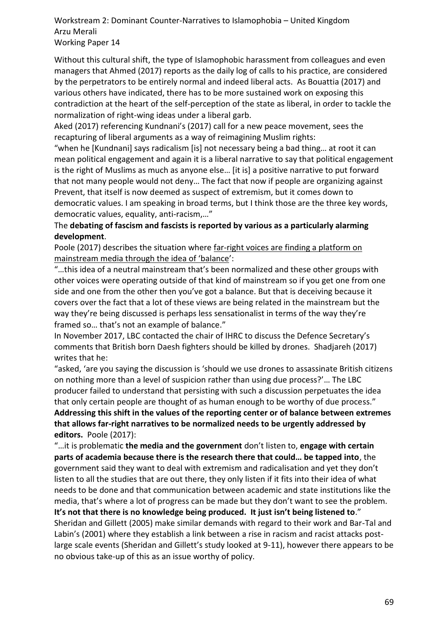Without this cultural shift, the type of Islamophobic harassment from colleagues and even managers that Ahmed (2017) reports as the daily log of calls to his practice, are considered by the perpetrators to be entirely normal and indeed liberal acts. As Bouattia (2017) and various others have indicated, there has to be more sustained work on exposing this contradiction at the heart of the self-perception of the state as liberal, in order to tackle the normalization of right-wing ideas under a liberal garb.

Aked (2017) referencing Kundnani's (2017) call for a new peace movement, sees the recapturing of liberal arguments as a way of reimagining Muslim rights:

"when he [Kundnani] says radicalism [is] not necessary being a bad thing… at root it can mean political engagement and again it is a liberal narrative to say that political engagement is the right of Muslims as much as anyone else… [it is] a positive narrative to put forward that not many people would not deny… The fact that now if people are organizing against Prevent, that itself is now deemed as suspect of extremism, but it comes down to democratic values. I am speaking in broad terms, but I think those are the three key words, democratic values, equality, anti-racism,…"

The **debating of fascism and fascists is reported by various as a particularly alarming development**.

Poole (2017) describes the situation where far-right voices are finding a platform on mainstream media through the idea of 'balance':

"…this idea of a neutral mainstream that's been normalized and these other groups with other voices were operating outside of that kind of mainstream so if you get one from one side and one from the other then you've got a balance. But that is deceiving because it covers over the fact that a lot of these views are being related in the mainstream but the way they're being discussed is perhaps less sensationalist in terms of the way they're framed so… that's not an example of balance."

In November 2017, LBC contacted the chair of IHRC to discuss the Defence Secretary's comments that British born Daesh fighters should be killed by drones. Shadjareh (2017) writes that he:

"asked, 'are you saying the discussion is 'should we use drones to assassinate British citizens on nothing more than a level of suspicion rather than using due process?'… The LBC producer failed to understand that persisting with such a discussion perpetuates the idea that only certain people are thought of as human enough to be worthy of due process." **Addressing this shift in the values of the reporting center or of balance between extremes that allows far-right narratives to be normalized needs to be urgently addressed by editors.** Poole (2017):

"…it is problematic **the media and the government** don't listen to, **engage with certain parts of academia because there is the research there that could… be tapped into**, the government said they want to deal with extremism and radicalisation and yet they don't listen to all the studies that are out there, they only listen if it fits into their idea of what needs to be done and that communication between academic and state institutions like the media, that's where a lot of progress can be made but they don't want to see the problem. **It's not that there is no knowledge being produced. It just isn't being listened to**." Sheridan and Gillett (2005) make similar demands with regard to their work and Bar-Tal and Labin's (2001) where they establish a link between a rise in racism and racist attacks postlarge scale events (Sheridan and Gillett's study looked at 9-11), however there appears to be no obvious take-up of this as an issue worthy of policy.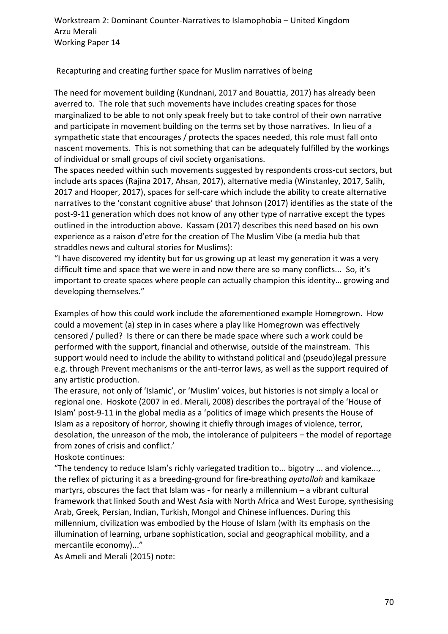Recapturing and creating further space for Muslim narratives of being

The need for movement building (Kundnani, 2017 and Bouattia, 2017) has already been averred to. The role that such movements have includes creating spaces for those marginalized to be able to not only speak freely but to take control of their own narrative and participate in movement building on the terms set by those narratives. In lieu of a sympathetic state that encourages / protects the spaces needed, this role must fall onto nascent movements. This is not something that can be adequately fulfilled by the workings of individual or small groups of civil society organisations.

The spaces needed within such movements suggested by respondents cross-cut sectors, but include arts spaces (Rajina 2017, Ahsan, 2017), alternative media (Winstanley, 2017, Salih, 2017 and Hooper, 2017), spaces for self-care which include the ability to create alternative narratives to the 'constant cognitive abuse' that Johnson (2017) identifies as the state of the post-9-11 generation which does not know of any other type of narrative except the types outlined in the introduction above. Kassam (2017) describes this need based on his own experience as a raison d'etre for the creation of The Muslim Vibe (a media hub that straddles news and cultural stories for Muslims):

"I have discovered my identity but for us growing up at least my generation it was a very difficult time and space that we were in and now there are so many conflicts... So, it's important to create spaces where people can actually champion this identity… growing and developing themselves."

Examples of how this could work include the aforementioned example Homegrown. How could a movement (a) step in in cases where a play like Homegrown was effectively censored / pulled? Is there or can there be made space where such a work could be performed with the support, financial and otherwise, outside of the mainstream. This support would need to include the ability to withstand political and (pseudo)legal pressure e.g. through Prevent mechanisms or the anti-terror laws, as well as the support required of any artistic production.

The erasure, not only of 'Islamic', or 'Muslim' voices, but histories is not simply a local or regional one. Hoskote (2007 in ed. Merali, 2008) describes the portrayal of the 'House of Islam' post-9-11 in the global media as a 'politics of image which presents the House of Islam as a repository of horror, showing it chiefly through images of violence, terror, desolation, the unreason of the mob, the intolerance of pulpiteers – the model of reportage from zones of crisis and conflict.'

Hoskote continues:

"The tendency to reduce Islam's richly variegated tradition to... bigotry ... and violence..., the reflex of picturing it as a breeding-ground for fire-breathing *ayatollah* and kamikaze martyrs, obscures the fact that Islam was - for nearly a millennium – a vibrant cultural framework that linked South and West Asia with North Africa and West Europe, synthesising Arab, Greek, Persian, Indian, Turkish, Mongol and Chinese influences. During this millennium, civilization was embodied by the House of Islam (with its emphasis on the illumination of learning, urbane sophistication, social and geographical mobility, and a mercantile economy)..."

As Ameli and Merali (2015) note: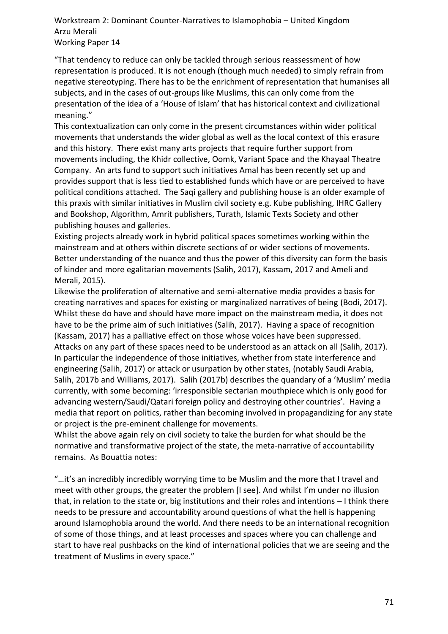"That tendency to reduce can only be tackled through serious reassessment of how representation is produced. It is not enough (though much needed) to simply refrain from negative stereotyping. There has to be the enrichment of representation that humanises all subjects, and in the cases of out-groups like Muslims, this can only come from the presentation of the idea of a 'House of Islam' that has historical context and civilizational meaning."

This contextualization can only come in the present circumstances within wider political movements that understands the wider global as well as the local context of this erasure and this history. There exist many arts projects that require further support from movements including, the Khidr collective, Oomk, Variant Space and the Khayaal Theatre Company. An arts fund to support such initiatives Amal has been recently set up and provides support that is less tied to established funds which have or are perceived to have political conditions attached. The Saqi gallery and publishing house is an older example of this praxis with similar initiatives in Muslim civil society e.g. Kube publishing, IHRC Gallery and Bookshop, Algorithm, Amrit publishers, Turath, Islamic Texts Society and other publishing houses and galleries.

Existing projects already work in hybrid political spaces sometimes working within the mainstream and at others within discrete sections of or wider sections of movements. Better understanding of the nuance and thus the power of this diversity can form the basis of kinder and more egalitarian movements (Salih, 2017), Kassam, 2017 and Ameli and Merali, 2015).

Likewise the proliferation of alternative and semi-alternative media provides a basis for creating narratives and spaces for existing or marginalized narratives of being (Bodi, 2017). Whilst these do have and should have more impact on the mainstream media, it does not have to be the prime aim of such initiatives (Salih, 2017). Having a space of recognition (Kassam, 2017) has a palliative effect on those whose voices have been suppressed. Attacks on any part of these spaces need to be understood as an attack on all (Salih, 2017). In particular the independence of those initiatives, whether from state interference and engineering (Salih, 2017) or attack or usurpation by other states, (notably Saudi Arabia, Salih, 2017b and Williams, 2017). Salih (2017b) describes the quandary of a 'Muslim' media currently, with some becoming: 'irresponsible sectarian mouthpiece which is only good for advancing western/Saudi/Qatari foreign policy and destroying other countries'. Having a media that report on politics, rather than becoming involved in propagandizing for any state or project is the pre-eminent challenge for movements.

Whilst the above again rely on civil society to take the burden for what should be the normative and transformative project of the state, the meta-narrative of accountability remains. As Bouattia notes:

"…it's an incredibly incredibly worrying time to be Muslim and the more that I travel and meet with other groups, the greater the problem [I see]. And whilst I'm under no illusion that, in relation to the state or, big institutions and their roles and intentions – I think there needs to be pressure and accountability around questions of what the hell is happening around Islamophobia around the world. And there needs to be an international recognition of some of those things, and at least processes and spaces where you can challenge and start to have real pushbacks on the kind of international policies that we are seeing and the treatment of Muslims in every space."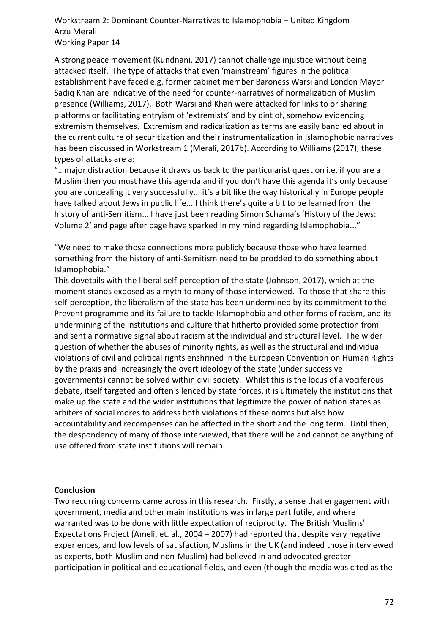A strong peace movement (Kundnani, 2017) cannot challenge injustice without being attacked itself. The type of attacks that even 'mainstream' figures in the political establishment have faced e.g. former cabinet member Baroness Warsi and London Mayor Sadiq Khan are indicative of the need for counter-narratives of normalization of Muslim presence (Williams, 2017). Both Warsi and Khan were attacked for links to or sharing platforms or facilitating entryism of 'extremists' and by dint of, somehow evidencing extremism themselves. Extremism and radicalization as terms are easily bandied about in the current culture of securitization and their instrumentalization in Islamophobic narratives has been discussed in Workstream 1 (Merali, 2017b). According to Williams (2017), these types of attacks are a:

"…major distraction because it draws us back to the particularist question i.e. if you are a Muslim then you must have this agenda and if you don't have this agenda it's only because you are concealing it very successfully... it's a bit like the way historically in Europe people have talked about Jews in public life... I think there's quite a bit to be learned from the history of anti-Semitism... I have just been reading Simon Schama's 'History of the Jews: Volume 2' and page after page have sparked in my mind regarding Islamophobia..."

"We need to make those connections more publicly because those who have learned something from the history of anti-Semitism need to be prodded to do something about Islamophobia."

This dovetails with the liberal self-perception of the state (Johnson, 2017), which at the moment stands exposed as a myth to many of those interviewed. To those that share this self-perception, the liberalism of the state has been undermined by its commitment to the Prevent programme and its failure to tackle Islamophobia and other forms of racism, and its undermining of the institutions and culture that hitherto provided some protection from and sent a normative signal about racism at the individual and structural level. The wider question of whether the abuses of minority rights, as well as the structural and individual violations of civil and political rights enshrined in the European Convention on Human Rights by the praxis and increasingly the overt ideology of the state (under successive governments) cannot be solved within civil society. Whilst this is the locus of a vociferous debate, itself targeted and often silenced by state forces, it is ultimately the institutions that make up the state and the wider institutions that legitimize the power of nation states as arbiters of social mores to address both violations of these norms but also how accountability and recompenses can be affected in the short and the long term. Until then, the despondency of many of those interviewed, that there will be and cannot be anything of use offered from state institutions will remain.

#### **Conclusion**

Two recurring concerns came across in this research. Firstly, a sense that engagement with government, media and other main institutions was in large part futile, and where warranted was to be done with little expectation of reciprocity. The British Muslims' Expectations Project (Ameli, et. al., 2004 – 2007) had reported that despite very negative experiences, and low levels of satisfaction, Muslims in the UK (and indeed those interviewed as experts, both Muslim and non-Muslim) had believed in and advocated greater participation in political and educational fields, and even (though the media was cited as the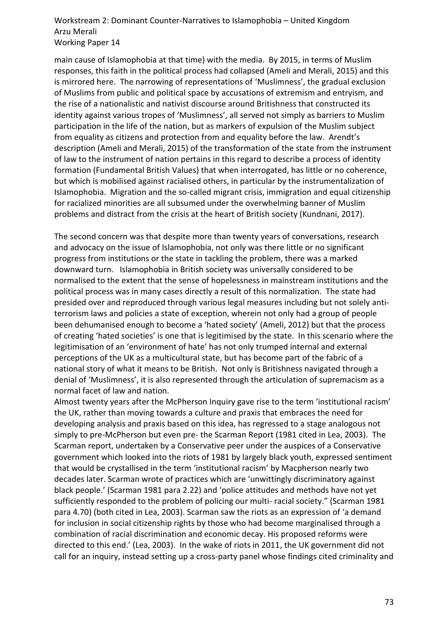main cause of Islamophobia at that time) with the media. By 2015, in terms of Muslim responses, this faith in the political process had collapsed (Ameli and Merali, 2015) and this is mirrored here. The narrowing of representations of 'Muslimness', the gradual exclusion of Muslims from public and political space by accusations of extremism and entryism, and the rise of a nationalistic and nativist discourse around Britishness that constructed its identity against various tropes of 'Muslimness', all served not simply as barriers to Muslim participation in the life of the nation, but as markers of expulsion of the Muslim subject from equality as citizens and protection from and equality before the law. Arendt's description (Ameli and Merali, 2015) of the transformation of the state from the instrument of law to the instrument of nation pertains in this regard to describe a process of identity formation (Fundamental British Values) that when interrogated, has little or no coherence, but which is mobilised against racialised others, in particular by the instrumentalization of Islamophobia. Migration and the so-called migrant crisis, immigration and equal citizenship for racialized minorities are all subsumed under the overwhelming banner of Muslim problems and distract from the crisis at the heart of British society (Kundnani, 2017).

The second concern was that despite more than twenty years of conversations, research and advocacy on the issue of Islamophobia, not only was there little or no significant progress from institutions or the state in tackling the problem, there was a marked downward turn. Islamophobia in British society was universally considered to be normalised to the extent that the sense of hopelessness in mainstream institutions and the political process was in many cases directly a result of this normalization. The state had presided over and reproduced through various legal measures including but not solely antiterrorism laws and policies a state of exception, wherein not only had a group of people been dehumanised enough to become a 'hated society' (Ameli, 2012) but that the process of creating 'hated societies' is one that is legitimised by the state. In this scenario where the legitimisation of an 'environment of hate' has not only trumped internal and external perceptions of the UK as a multicultural state, but has become part of the fabric of a national story of what it means to be British. Not only is Britishness navigated through a denial of 'Muslimness', it is also represented through the articulation of supremacism as a normal facet of law and nation.

Almost twenty years after the McPherson Inquiry gave rise to the term 'institutional racism' the UK, rather than moving towards a culture and praxis that embraces the need for developing analysis and praxis based on this idea, has regressed to a stage analogous not simply to pre-McPherson but even pre- the Scarman Report (1981 cited in Lea, 2003). The Scarman report, undertaken by a Conservative peer under the auspices of a Conservative government which looked into the riots of 1981 by largely black youth, expressed sentiment that would be crystallised in the term 'institutional racism' by Macpherson nearly two decades later. Scarman wrote of practices which are 'unwittingly discriminatory against black people.' (Scarman 1981 para 2.22) and 'police attitudes and methods have not yet sufficiently responded to the problem of policing our multi- racial society." (Scarman 1981 para 4.70) (both cited in Lea, 2003). Scarman saw the riots as an expression of 'a demand for inclusion in social citizenship rights by those who had become marginalised through a combination of racial discrimination and economic decay. His proposed reforms were directed to this end.' (Lea, 2003). In the wake of riots in 2011, the UK government did not call for an inquiry, instead setting up a cross-party panel whose findings cited criminality and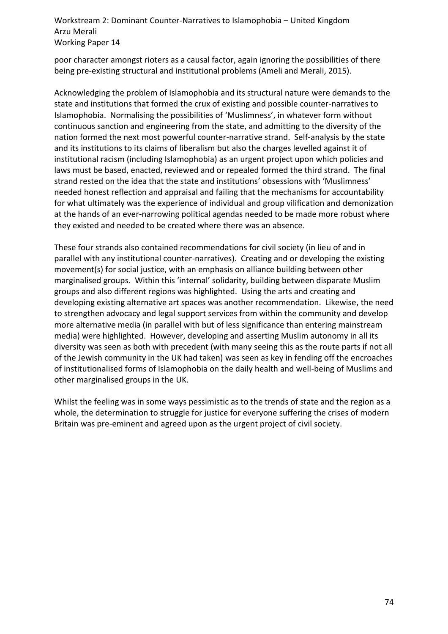poor character amongst rioters as a causal factor, again ignoring the possibilities of there being pre-existing structural and institutional problems (Ameli and Merali, 2015).

Acknowledging the problem of Islamophobia and its structural nature were demands to the state and institutions that formed the crux of existing and possible counter-narratives to Islamophobia. Normalising the possibilities of 'Muslimness', in whatever form without continuous sanction and engineering from the state, and admitting to the diversity of the nation formed the next most powerful counter-narrative strand. Self-analysis by the state and its institutions to its claims of liberalism but also the charges levelled against it of institutional racism (including Islamophobia) as an urgent project upon which policies and laws must be based, enacted, reviewed and or repealed formed the third strand. The final strand rested on the idea that the state and institutions' obsessions with 'Muslimness' needed honest reflection and appraisal and failing that the mechanisms for accountability for what ultimately was the experience of individual and group vilification and demonization at the hands of an ever-narrowing political agendas needed to be made more robust where they existed and needed to be created where there was an absence.

These four strands also contained recommendations for civil society (in lieu of and in parallel with any institutional counter-narratives). Creating and or developing the existing movement(s) for social justice, with an emphasis on alliance building between other marginalised groups. Within this 'internal' solidarity, building between disparate Muslim groups and also different regions was highlighted. Using the arts and creating and developing existing alternative art spaces was another recommendation. Likewise, the need to strengthen advocacy and legal support services from within the community and develop more alternative media (in parallel with but of less significance than entering mainstream media) were highlighted. However, developing and asserting Muslim autonomy in all its diversity was seen as both with precedent (with many seeing this as the route parts if not all of the Jewish community in the UK had taken) was seen as key in fending off the encroaches of institutionalised forms of Islamophobia on the daily health and well-being of Muslims and other marginalised groups in the UK.

Whilst the feeling was in some ways pessimistic as to the trends of state and the region as a whole, the determination to struggle for justice for everyone suffering the crises of modern Britain was pre-eminent and agreed upon as the urgent project of civil society.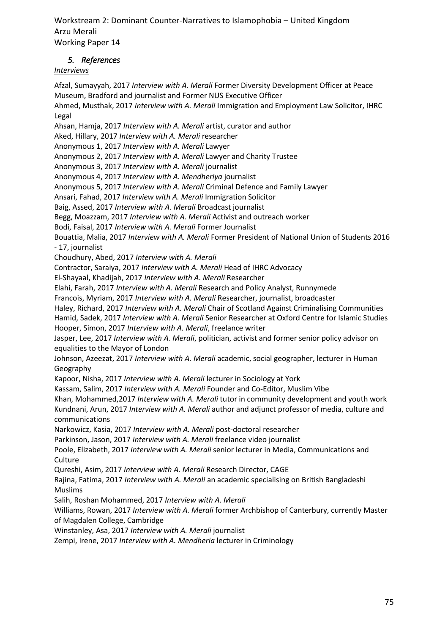## *5. References*

## *Interviews*

Afzal, Sumayyah, 2017 *Interview with A. Merali* Former Diversity Development Officer at Peace Museum, Bradford and journalist and Former NUS Executive Officer Ahmed, Musthak, 2017 *Interview with A. Merali* Immigration and Employment Law Solicitor, IHRC Legal Ahsan, Hamja, 2017 *Interview with A. Merali* artist, curator and author Aked, Hillary, 2017 *Interview with A. Merali* researcher Anonymous 1, 2017 *Interview with A. Merali* Lawyer Anonymous 2, 2017 *Interview with A. Merali* Lawyer and Charity Trustee Anonymous 3, 2017 *Interview with A. Merali* journalist Anonymous 4, 2017 *Interview with A. Mendheriya* journalist Anonymous 5, 2017 *Interview with A. Merali* Criminal Defence and Family Lawyer Ansari, Fahad, 2017 *Interview with A. Merali* Immigration Solicitor Baig, Assed, 2017 *Interview with A. Merali* Broadcast journalist Begg, Moazzam, 2017 *Interview with A. Merali* Activist and outreach worker

Bodi, Faisal, 2017 *Interview with A. Merali* Former Journalist

Bouattia, Malia, 2017 *Interview with A. Merali* Former President of National Union of Students 2016 - 17, journalist

Choudhury, Abed, 2017 *Interview with A. Merali*

Contractor, Saraiya, 2017 *Interview with A. Merali* Head of IHRC Advocacy

El-Shayaal, Khadijah, 2017 *Interview with A. Merali* Researcher

Elahi, Farah, 2017 *Interview with A. Merali* Research and Policy Analyst, Runnymede

Francois, Myriam, 2017 *Interview with A. Merali* Researcher, journalist, broadcaster

Haley, Richard, 2017 *Interview with A. Merali* Chair of Scotland Against Criminalising Communities

Hamid, Sadek, 2017 *Interview with A. Merali* Senior Researcher at Oxford Centre for Islamic Studies Hooper, Simon, 2017 *Interview with A. Merali*, freelance writer

Jasper, Lee, 2017 *Interview with A. Merali*, politician, activist and former senior policy advisor on equalities to the Mayor of London

Johnson, Azeezat, 2017 *Interview with A. Merali* academic, social geographer, lecturer in Human Geography

Kapoor, Nisha, 2017 *Interview with A. Merali* lecturer in Sociology at York

Kassam, Salim, 2017 *Interview with A. Merali* Founder and Co-Editor, Muslim Vibe

Khan, Mohammed,2017 *Interview with A. Merali* tutor in community development and youth work Kundnani, Arun, 2017 *Interview with A. Merali* author and adjunct professor of media, culture and communications

Narkowicz, Kasia, 2017 *Interview with A. Merali* post-doctoral researcher

Parkinson, Jason, 2017 *Interview with A. Merali* freelance video journalist

Poole, Elizabeth, 2017 *Interview with A. Merali* senior lecturer in Media, Communications and **Culture** 

Qureshi, Asim, 2017 *Interview with A. Merali* Research Director, CAGE

Rajina, Fatima, 2017 *Interview with A. Merali* an academic specialising on British Bangladeshi Muslims

Salih, Roshan Mohammed, 2017 *Interview with A. Merali*

Williams, Rowan, 2017 *Interview with A. Merali* former Archbishop of Canterbury, currently Master of Magdalen College, Cambridge

Winstanley, Asa, 2017 *Interview with A. Merali* journalist

Zempi, Irene, 2017 *Interview with A. Mendheria* lecturer in Criminology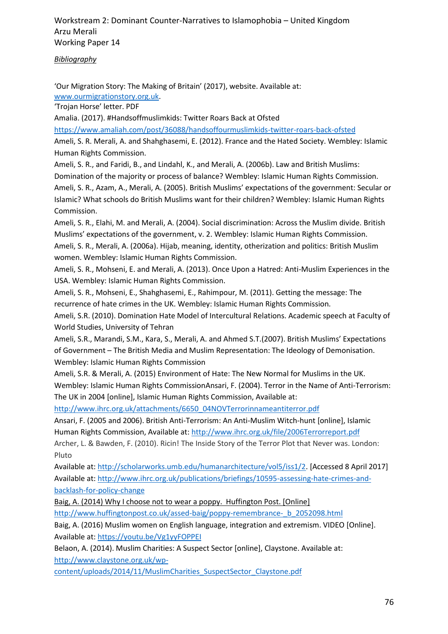*Bibliography*

'Our Migration Story: The Making of Britain' (2017), website. Available at: [www.ourmigrationstory.org.uk.](http://www.ourmigrationstory.org.uk/)

'Trojan Horse' letter. PDF

Amalia. (2017). #Handsoffmuslimkids: Twitter Roars Back at Ofsted

<https://www.amaliah.com/post/36088/handsoffourmuslimkids-twitter-roars-back-ofsted>

Ameli, S. R. Merali, A. and Shahghasemi, E. (2012). France and the Hated Society. Wembley: Islamic Human Rights Commission.

Ameli, S. R., and Faridi, B., and Lindahl, K., and Merali, A. (2006b). Law and British Muslims: Domination of the majority or process of balance? Wembley: Islamic Human Rights Commission. Ameli, S. R., Azam, A., Merali, A. (2005). British Muslims' expectations of the government: Secular or Islamic? What schools do British Muslims want for their children? Wembley: Islamic Human Rights Commission.

Ameli, S. R., Elahi, M. and Merali, A. (2004). Social discrimination: Across the Muslim divide. British Muslims' expectations of the government, v. 2. Wembley: Islamic Human Rights Commission. Ameli, S. R., Merali, A. (2006a). Hijab, meaning, identity, otherization and politics: British Muslim women. Wembley: Islamic Human Rights Commission.

Ameli, S. R., Mohseni, E. and Merali, A. (2013). Once Upon a Hatred: Anti-Muslim Experiences in the USA. Wembley: Islamic Human Rights Commission.

Ameli, S. R., Mohseni, E., Shahghasemi, E., Rahimpour, M. (2011). Getting the message: The recurrence of hate crimes in the UK. Wembley: Islamic Human Rights Commission.

Ameli, S.R. (2010). Domination Hate Model of Intercultural Relations. Academic speech at Faculty of World Studies, University of Tehran

Ameli, S.R., Marandi, S.M., Kara, S., Merali, A. and Ahmed S.T.(2007). British Muslims' Expectations of Government – The British Media and Muslim Representation: The Ideology of Demonisation. Wembley: Islamic Human Rights Commission

Ameli, S.R. & Merali, A. (2015) Environment of Hate: The New Normal for Muslims in the UK. Wembley: Islamic Human Rights CommissionAnsari, F. (2004). Terror in the Name of Anti-Terrorism: The UK in 2004 [online], Islamic Human Rights Commission, Available at:

[http://www.ihrc.org.uk/attachments/6650\\_04NOVTerrorinnameantiterror.pdf](http://www.ihrc.org.uk/attachments/6650_04NOVTerrorinnameantiterror.pdf)

Ansari, F. (2005 and 2006). British Anti-Terrorism: An Anti-Muslim Witch-hunt [online], Islamic Human Rights Commission, Available at:<http://www.ihrc.org.uk/file/2006Terrorreport.pdf>

Archer, L. & Bawden, F. (2010). Ricin! The Inside Story of the Terror Plot that Never was. London: Pluto

Available at[: http://scholarworks.umb.edu/humanarchitecture/vol5/iss1/2.](http://scholarworks.umb.edu/humanarchitecture/vol5/iss1/2) [Accessed 8 April 2017] Available at[: http://www.ihrc.org.uk/publications/briefings/10595-assessing-hate-crimes-and](http://www.ihrc.org.uk/publications/briefings/10595-assessing-hate-crimes-and-backlash-for-policy-change)[backlash-for-policy-change](http://www.ihrc.org.uk/publications/briefings/10595-assessing-hate-crimes-and-backlash-for-policy-change)

Baig, A. (2014) Why I choose not to wear a poppy. Huffington Post. [Online]

[http://www.huffingtonpost.co.uk/assed-baig/poppy-remembrance-\\_b\\_2052098.html](http://www.huffingtonpost.co.uk/assed-baig/poppy-remembrance-_b_2052098.html)

Baig, A. (2016) Muslim women on English language, integration and extremism. VIDEO [Online]. Available at[: https://youtu.be/Vg1yyFOPPEI](https://youtu.be/Vg1yyFOPPEI)

Belaon, A. (2014). Muslim Charities: A Suspect Sector [online], Claystone. Available at: [http://www.claystone.org.uk/wp-](http://www.claystone.org.uk/wp-content/uploads/2014/11/MuslimCharities_SuspectSector_Claystone.pdf)

[content/uploads/2014/11/MuslimCharities\\_SuspectSector\\_Claystone.pdf](http://www.claystone.org.uk/wp-content/uploads/2014/11/MuslimCharities_SuspectSector_Claystone.pdf)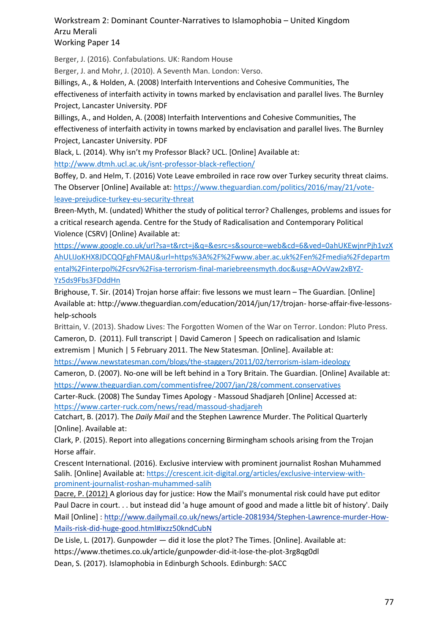Berger, J. (2016). Confabulations. UK: Random House

Berger, J. and Mohr, J. (2010). A Seventh Man. London: Verso.

Billings, A., & Holden, A. (2008) Interfaith Interventions and Cohesive Communities, The effectiveness of interfaith activity in towns marked by enclavisation and parallel lives. The Burnley Project, Lancaster University. PDF

Billings, A., and Holden, A. (2008) Interfaith Interventions and Cohesive Communities, The effectiveness of interfaith activity in towns marked by enclavisation and parallel lives. The Burnley Project, Lancaster University. PDF

Black, L. (2014). Why isn't my Professor Black? UCL. [Online] Available at:

<http://www.dtmh.ucl.ac.uk/isnt-professor-black-reflection/>

Boffey, D. and Helm, T. (2016) Vote Leave embroiled in race row over Turkey security threat claims. The Observer [Online] Available at[: https://www.theguardian.com/politics/2016/may/21/vote](https://www.theguardian.com/politics/2016/may/21/vote-leave-prejudice-turkey-eu-security-threat)[leave-prejudice-turkey-eu-security-threat](https://www.theguardian.com/politics/2016/may/21/vote-leave-prejudice-turkey-eu-security-threat)

Breen-Myth, M. (undated) Whither the study of political terror? Challenges, problems and issues for a critical research agenda. Centre for the Study of Radicalisation and Contemporary Political Violence (CSRV) [Online} Available at:

[https://www.google.co.uk/url?sa=t&rct=j&q=&esrc=s&source=web&cd=6&ved=0ahUKEwjnrPjh1vzX](https://www.google.co.uk/url?sa=t&rct=j&q=&esrc=s&source=web&cd=6&ved=0ahUKEwjnrPjh1vzXAhULIJoKHX8JDCQQFghFMAU&url=https%3A%2F%2Fwww.aber.ac.uk%2Fen%2Fmedia%2Fdepartmental%2Finterpol%2Fcsrv%2Fisa-terrorism-final-mariebreensmyth.doc&usg=AOvVaw2xBYZ-Yz5ds9Fbs3FDddHn) [AhULIJoKHX8JDCQQFghFMAU&url=https%3A%2F%2Fwww.aber.ac.uk%2Fen%2Fmedia%2Fdepartm](https://www.google.co.uk/url?sa=t&rct=j&q=&esrc=s&source=web&cd=6&ved=0ahUKEwjnrPjh1vzXAhULIJoKHX8JDCQQFghFMAU&url=https%3A%2F%2Fwww.aber.ac.uk%2Fen%2Fmedia%2Fdepartmental%2Finterpol%2Fcsrv%2Fisa-terrorism-final-mariebreensmyth.doc&usg=AOvVaw2xBYZ-Yz5ds9Fbs3FDddHn) [ental%2Finterpol%2Fcsrv%2Fisa-terrorism-final-mariebreensmyth.doc&usg=AOvVaw2xBYZ-](https://www.google.co.uk/url?sa=t&rct=j&q=&esrc=s&source=web&cd=6&ved=0ahUKEwjnrPjh1vzXAhULIJoKHX8JDCQQFghFMAU&url=https%3A%2F%2Fwww.aber.ac.uk%2Fen%2Fmedia%2Fdepartmental%2Finterpol%2Fcsrv%2Fisa-terrorism-final-mariebreensmyth.doc&usg=AOvVaw2xBYZ-Yz5ds9Fbs3FDddHn)[Yz5ds9Fbs3FDddHn](https://www.google.co.uk/url?sa=t&rct=j&q=&esrc=s&source=web&cd=6&ved=0ahUKEwjnrPjh1vzXAhULIJoKHX8JDCQQFghFMAU&url=https%3A%2F%2Fwww.aber.ac.uk%2Fen%2Fmedia%2Fdepartmental%2Finterpol%2Fcsrv%2Fisa-terrorism-final-mariebreensmyth.doc&usg=AOvVaw2xBYZ-Yz5ds9Fbs3FDddHn)

Brighouse, T. Sir. (2014) Trojan horse affair: five lessons we must learn – The Guardian. [Online] Available at: http://www.theguardian.com/education/2014/jun/17/trojan- horse-affair-five-lessonshelp-schools

Brittain, V. (2013). Shadow Lives: The Forgotten Women of the War on Terror. London: Pluto Press. Cameron, D. (2011). Full transcript | David Cameron | Speech on radicalisation and Islamic

extremism | Munich | 5 February 2011. The New Statesman. [Online]. Available at:

<https://www.newstatesman.com/blogs/the-staggers/2011/02/terrorism-islam-ideology>

Cameron, D. (2007). No-one will be left behind in a Tory Britain. The Guardian. [Online] Available at: <https://www.theguardian.com/commentisfree/2007/jan/28/comment.conservatives>

Carter-Ruck. (2008) The Sunday Times Apology - Massoud Shadjareh [Online] Accessed at: <https://www.carter-ruck.com/news/read/massoud-shadjareh>

Catchart, B. (2017). The *Daily Mail* and the Stephen Lawrence Murder. The Political Quarterly [Online]. Available at:

Clark, P. (2015). Report into allegations concerning Birmingham schools arising from the Trojan Horse affair.

Crescent International. (2016). Exclusive interview with prominent journalist Roshan Muhammed Salih. [Online] Available at[: https://crescent.icit-digital.org/articles/exclusive-interview-with](https://crescent.icit-digital.org/articles/exclusive-interview-with-prominent-journalist-roshan-muhammed-salih)[prominent-journalist-roshan-muhammed-salih](https://crescent.icit-digital.org/articles/exclusive-interview-with-prominent-journalist-roshan-muhammed-salih)

Dacre, P. (2012) A glorious day for justice: How the Mail's monumental risk could have put editor Paul Dacre in court. . . but instead did 'a huge amount of good and made a little bit of history'. Daily Mail [Online] : [http://www.dailymail.co.uk/news/article-2081934/Stephen-Lawrence-murder-How-](http://www.dailymail.co.uk/news/article-2081934/Stephen-Lawrence-murder-How-Mails-risk-did-huge-good.html#ixzz50kndCubN)[Mails-risk-did-huge-good.html#ixzz50kndCubN](http://www.dailymail.co.uk/news/article-2081934/Stephen-Lawrence-murder-How-Mails-risk-did-huge-good.html#ixzz50kndCubN)

De Lisle, L. (2017). Gunpowder — did it lose the plot? The Times. [Online]. Available at: https://www.thetimes.co.uk/article/gunpowder-did-it-lose-the-plot-3rg8qg0dl Dean, S. (2017). Islamophobia in Edinburgh Schools. Edinburgh: SACC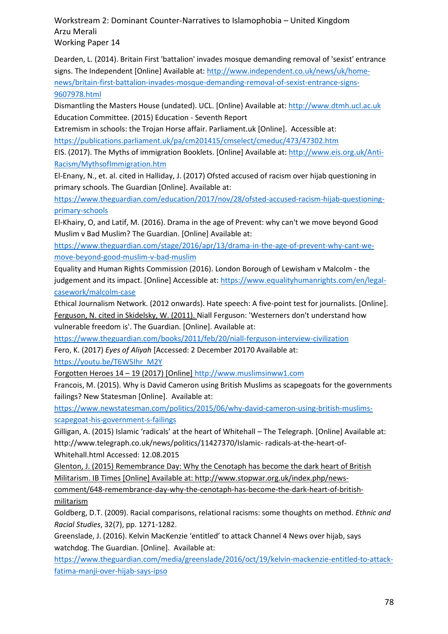Dearden, L. (2014). Britain First 'battalion' invades mosque demanding removal of 'sexist' entrance signs. The Independent [Online] Available at[: http://www.independent.co.uk/news/uk/home](http://www.independent.co.uk/news/uk/home-news/britain-first-battalion-invades-mosque-demanding-removal-of-sexist-entrance-signs-9607978.html)[news/britain-first-battalion-invades-mosque-demanding-removal-of-sexist-entrance-signs-](http://www.independent.co.uk/news/uk/home-news/britain-first-battalion-invades-mosque-demanding-removal-of-sexist-entrance-signs-9607978.html)[9607978.html](http://www.independent.co.uk/news/uk/home-news/britain-first-battalion-invades-mosque-demanding-removal-of-sexist-entrance-signs-9607978.html)

Dismantling the Masters House (undated). UCL. [Online} Available at: [http://www.dtmh.ucl.ac.uk](http://www.dtmh.ucl.ac.uk/) Education Committee. (2015) Education - Seventh Report

Extremism in schools: the Trojan Horse affair. Parliament.uk [Online]. Accessible at: <https://publications.parliament.uk/pa/cm201415/cmselect/cmeduc/473/47302.htm>

EIS. (2017). The Myths of immigration Booklets. [Online] Available at: [http://www.eis.org.uk/Anti-](http://www.eis.org.uk/Anti-Racism/MythsofImmigration.htm)[Racism/MythsofImmigration.htm](http://www.eis.org.uk/Anti-Racism/MythsofImmigration.htm)

El-Enany, N., et. al. cited in Halliday, J. (2017) Ofsted accused of racism over hijab questioning in primary schools. The Guardian [Online]. Available at:

[https://www.theguardian.com/education/2017/nov/28/ofsted-accused-racism-hijab-questioning](https://www.theguardian.com/education/2017/nov/28/ofsted-accused-racism-hijab-questioning-primary-schools)[primary-schools](https://www.theguardian.com/education/2017/nov/28/ofsted-accused-racism-hijab-questioning-primary-schools)

El-Khairy, O, and Latif, M. (2016). Drama in the age of Prevent: why can't we move beyond Good Muslim v Bad Muslim? The Guardian. [Online] Available at:

[https://www.theguardian.com/stage/2016/apr/13/drama-in-the-age-of-prevent-why-cant-we](https://www.theguardian.com/stage/2016/apr/13/drama-in-the-age-of-prevent-why-cant-we-move-beyond-good-muslim-v-bad-muslim)[move-beyond-good-muslim-v-bad-muslim](https://www.theguardian.com/stage/2016/apr/13/drama-in-the-age-of-prevent-why-cant-we-move-beyond-good-muslim-v-bad-muslim)

Equality and Human Rights Commission (2016). London Borough of Lewisham v Malcolm - the judgement and its impact. [Online] Accessible at: [https://www.equalityhumanrights.com/en/legal](https://www.equalityhumanrights.com/en/legal-casework/malcolm-case)[casework/malcolm-case](https://www.equalityhumanrights.com/en/legal-casework/malcolm-case)

Ethical Journalism Network. (2012 onwards). Hate speech: A five-point test for journalists. [Online]. Ferguson, N. cited in Skidelsky, W. (2011). Niall Ferguson: 'Westerners don't understand how vulnerable freedom is'. The Guardian. [Online]. Available at:

<https://www.theguardian.com/books/2011/feb/20/niall-ferguson-interview-civilization>

Fero, K. (2017) *Eyes of Aliyah* [Accessed: 2 December 20170 Available at:

[https://youtu.be/T6W5Ihr\\_M2Y](https://youtu.be/T6W5Ihr_M2Y)

Forgotten Heroes 14 – 19 (2017) [Online] [http://www.muslimsinww1.com](http://www.muslimsinww1.com/)

Francois, M. (2015). Why is David Cameron using British Muslims as scapegoats for the governments failings? New Statesman [Online]. Available at:

[https://www.newstatesman.com/politics/2015/06/why-david-cameron-using-british-muslims](https://www.newstatesman.com/politics/2015/06/why-david-cameron-using-british-muslims-scapegoat-his-government-s-failings)[scapegoat-his-government-s-failings](https://www.newstatesman.com/politics/2015/06/why-david-cameron-using-british-muslims-scapegoat-his-government-s-failings)

Gilligan, A. (2015) Islamic 'radicals' at the heart of Whitehall – The Telegraph. [Online] Available at: http://www.telegraph.co.uk/news/politics/11427370/Islamic- radicals-at-the-heart-of-Whitehall.html Accessed: 12.08.2015

Glenton, J. (2015) Remembrance Day: Why the Cenotaph has become the dark heart of British

Militarism. IB Times [Online] Available at: http://www.stopwar.org.uk/index.php/news-

comment/648-remembrance-day-why-the-cenotaph-has-become-the-dark-heart-of-britishmilitarism

Goldberg, D.T. (2009). Racial comparisons, relational racisms: some thoughts on method. *Ethnic and Racial Studies*, 32(7), pp. 1271-1282.

Greenslade, J. (2016). Kelvin MacKenzie 'entitled' to attack Channel 4 News over hijab, says watchdog. The Guardian. [Online]. Available at:

[https://www.theguardian.com/media/greenslade/2016/oct/19/kelvin-mackenzie-entitled-to-attack](https://www.theguardian.com/media/greenslade/2016/oct/19/kelvin-mackenzie-entitled-to-attack-fatima-manji-over-hijab-says-ipso)[fatima-manji-over-hijab-says-ipso](https://www.theguardian.com/media/greenslade/2016/oct/19/kelvin-mackenzie-entitled-to-attack-fatima-manji-over-hijab-says-ipso)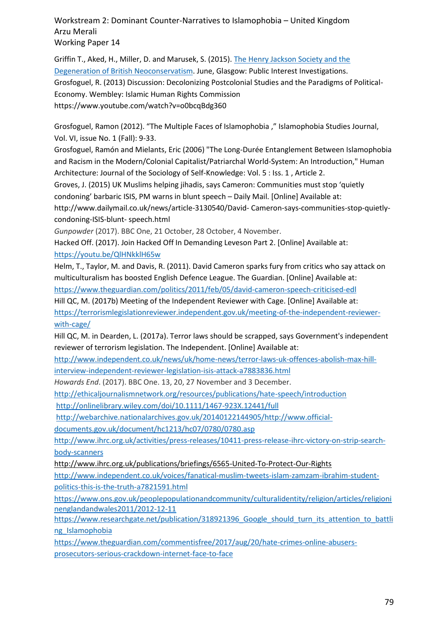Griffin T., Aked, H., Miller, D. and Marusek, S. (2015)[. The Henry Jackson Society and the](http://www.spinwatch.org/images/Reports/HJS_spinwatch%20report_web_2015.pdf)  [Degeneration of British Neoconservatism.](http://www.spinwatch.org/images/Reports/HJS_spinwatch%20report_web_2015.pdf) June, Glasgow: Public Interest Investigations. Grosfoguel, R. (2013) Discussion: Decolonizing Postcolonial Studies and the Paradigms of Political-Economy. Wembley: Islamic Human Rights Commission https://www.youtube.com/watch?v=o0bcqBdg360

Grosfoguel, Ramon (2012). "The Multiple Faces of Islamophobia ," Islamophobia Studies Journal, Vol. VI, issue No. 1 (Fall): 9-33.

Grosfoguel, Ramón and Mielants, Eric (2006) "The Long-Durée Entanglement Between Islamophobia and Racism in the Modern/Colonial Capitalist/Patriarchal World-System: An Introduction," Human Architecture: Journal of the Sociology of Self-Knowledge: Vol. 5 : Iss. 1 , Article 2.

Groves, J. (2015) UK Muslims helping jihadis, says Cameron: Communities must stop 'quietly condoning' barbaric ISIS, PM warns in blunt speech – Daily Mail. [Online] Available at:

http://www.dailymail.co.uk/news/article-3130540/David- Cameron-says-communities-stop-quietlycondoning-ISIS-blunt- speech.html

*Gunpowder* (2017). BBC One, 21 October, 28 October, 4 November.

Hacked Off. (2017). Join Hacked Off In Demanding Leveson Part 2. [Online] Available at: <https://youtu.be/QlHNkklH65w>

Helm, T., Taylor, M. and Davis, R. (2011). David Cameron sparks fury from critics who say attack on multiculturalism has boosted English Defence League. The Guardian. [Online] Available at:

<https://www.theguardian.com/politics/2011/feb/05/david-cameron-speech-criticised-edl>

Hill QC, M. (2017b) Meeting of the Independent Reviewer with Cage. [Online] Available at: [https://terrorismlegislationreviewer.independent.gov.uk/meeting-of-the-independent-reviewer](https://terrorismlegislationreviewer.independent.gov.uk/meeting-of-the-independent-reviewer-with-cage/)[with-cage/](https://terrorismlegislationreviewer.independent.gov.uk/meeting-of-the-independent-reviewer-with-cage/)

Hill QC, M. in Dearden, L. (2017a). Terror laws should be scrapped, says Government's independent reviewer of terrorism legislation. The Independent. [Online] Available at:

[http://www.independent.co.uk/news/uk/home-news/terror-laws-uk-offences-abolish-max-hill](http://www.independent.co.uk/news/uk/home-news/terror-laws-uk-offences-abolish-max-hill-interview-independent-reviewer-legislation-isis-attack-a7883836.html)[interview-independent-reviewer-legislation-isis-attack-a7883836.html](http://www.independent.co.uk/news/uk/home-news/terror-laws-uk-offences-abolish-max-hill-interview-independent-reviewer-legislation-isis-attack-a7883836.html)

*Howards End*. (2017). BBC One. 13, 20, 27 November and 3 December.

<http://ethicaljournalismnetwork.org/resources/publications/hate-speech/introduction>

<http://onlinelibrary.wiley.com/doi/10.1111/1467-923X.12441/full>

[http://webarchive.nationalarchives.gov.uk/20140122144905/http://www.official-](http://webarchive.nationalarchives.gov.uk/20140122144905/http:/www.official-documents.gov.uk/document/hc1213/hc07/0780/0780.asp)

[documents.gov.uk/document/hc1213/hc07/0780/0780.asp](http://webarchive.nationalarchives.gov.uk/20140122144905/http:/www.official-documents.gov.uk/document/hc1213/hc07/0780/0780.asp)

[http://www.ihrc.org.uk/activities/press-releases/10411-press-release-ihrc-victory-on-strip-search](http://www.ihrc.org.uk/activities/press-releases/10411-press-release-ihrc-victory-on-strip-search-body-scanners)[body-scanners](http://www.ihrc.org.uk/activities/press-releases/10411-press-release-ihrc-victory-on-strip-search-body-scanners)

http://www.ihrc.org.uk/publications/briefings/6565-United-To-Protect-Our-Rights

[http://www.independent.co.uk/voices/fanatical-muslim-tweets-islam-zamzam-ibrahim-student](http://www.independent.co.uk/voices/fanatical-muslim-tweets-islam-zamzam-ibrahim-student-politics-this-is-the-truth-a7821591.html)[politics-this-is-the-truth-a7821591.html](http://www.independent.co.uk/voices/fanatical-muslim-tweets-islam-zamzam-ibrahim-student-politics-this-is-the-truth-a7821591.html)

[https://www.ons.gov.uk/peoplepopulationandcommunity/culturalidentity/religion/articles/religioni](https://www.ons.gov.uk/peoplepopulationandcommunity/culturalidentity/religion/articles/religioninenglandandwales2011/2012-12-11) [nenglandandwales2011/2012-12-11](https://www.ons.gov.uk/peoplepopulationandcommunity/culturalidentity/religion/articles/religioninenglandandwales2011/2012-12-11)

https://www.researchgate.net/publication/318921396 Google should turn its attention to battli ng Islamophobia

[https://www.theguardian.com/commentisfree/2017/aug/20/hate-crimes-online-abusers](https://www.theguardian.com/commentisfree/2017/aug/20/hate-crimes-online-abusers-prosecutors-serious-crackdown-internet-face-to-face)[prosecutors-serious-crackdown-internet-face-to-face](https://www.theguardian.com/commentisfree/2017/aug/20/hate-crimes-online-abusers-prosecutors-serious-crackdown-internet-face-to-face)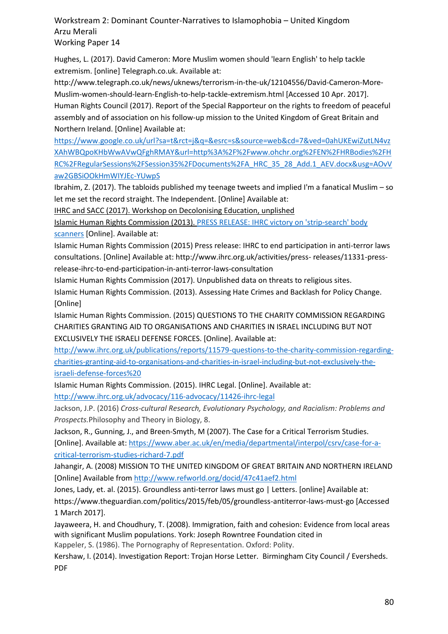Hughes, L. (2017). David Cameron: More Muslim women should 'learn English' to help tackle extremism. [online] Telegraph.co.uk. Available at:

http://www.telegraph.co.uk/news/uknews/terrorism-in-the-uk/12104556/David-Cameron-More-Muslim-women-should-learn-English-to-help-tackle-extremism.html [Accessed 10 Apr. 2017]. Human Rights Council (2017). Report of the Special Rapporteur on the rights to freedom of peaceful assembly and of association on his follow-up mission to the United Kingdom of Great Britain and Northern Ireland. [Online] Available at:

[https://www.google.co.uk/url?sa=t&rct=j&q=&esrc=s&source=web&cd=7&ved=0ahUKEwiZutLN4vz](https://www.google.co.uk/url?sa=t&rct=j&q=&esrc=s&source=web&cd=7&ved=0ahUKEwiZutLN4vzXAhWBQpoKHbWwAVwQFghRMAY&url=http%3A%2F%2Fwww.ohchr.org%2FEN%2FHRBodies%2FHRC%2FRegularSessions%2FSession35%2FDocuments%2FA_HRC_35_28_Add.1_AEV.docx&usg=AOvVaw2GBSiOOkHmWIYJEc-YUwpS) [XAhWBQpoKHbWwAVwQFghRMAY&url=http%3A%2F%2Fwww.ohchr.org%2FEN%2FHRBodies%2FH](https://www.google.co.uk/url?sa=t&rct=j&q=&esrc=s&source=web&cd=7&ved=0ahUKEwiZutLN4vzXAhWBQpoKHbWwAVwQFghRMAY&url=http%3A%2F%2Fwww.ohchr.org%2FEN%2FHRBodies%2FHRC%2FRegularSessions%2FSession35%2FDocuments%2FA_HRC_35_28_Add.1_AEV.docx&usg=AOvVaw2GBSiOOkHmWIYJEc-YUwpS) [RC%2FRegularSessions%2FSession35%2FDocuments%2FA\\_HRC\\_35\\_28\\_Add.1\\_AEV.docx&usg=AOvV](https://www.google.co.uk/url?sa=t&rct=j&q=&esrc=s&source=web&cd=7&ved=0ahUKEwiZutLN4vzXAhWBQpoKHbWwAVwQFghRMAY&url=http%3A%2F%2Fwww.ohchr.org%2FEN%2FHRBodies%2FHRC%2FRegularSessions%2FSession35%2FDocuments%2FA_HRC_35_28_Add.1_AEV.docx&usg=AOvVaw2GBSiOOkHmWIYJEc-YUwpS) [aw2GBSiOOkHmWIYJEc-YUwpS](https://www.google.co.uk/url?sa=t&rct=j&q=&esrc=s&source=web&cd=7&ved=0ahUKEwiZutLN4vzXAhWBQpoKHbWwAVwQFghRMAY&url=http%3A%2F%2Fwww.ohchr.org%2FEN%2FHRBodies%2FHRC%2FRegularSessions%2FSession35%2FDocuments%2FA_HRC_35_28_Add.1_AEV.docx&usg=AOvVaw2GBSiOOkHmWIYJEc-YUwpS)

Ibrahim, Z. (2017). The tabloids published my teenage tweets and implied I'm a fanatical Muslim – so let me set the record straight. The Independent. [Online] Available at:

IHRC and SACC (2017). Workshop on Decolonising Education, unplished

Islamic Human Rights Commission (2013)[. PRESS RELEASE: IHRC victory on 'strip-search' body](http://www.ihrc.org.uk/activities/press-releases/10411-press-release-ihrc-victory-on-strip-search-body-scanners)  [scanners](http://www.ihrc.org.uk/activities/press-releases/10411-press-release-ihrc-victory-on-strip-search-body-scanners) [Online]. Available at:

Islamic Human Rights Commission (2015) Press release: IHRC to end participation in anti-terror laws consultations. [Online] Available at: http://www.ihrc.org.uk/activities/press- releases/11331-pressrelease-ihrc-to-end-participation-in-anti-terror-laws-consultation

Islamic Human Rights Commission (2017). Unpublished data on threats to religious sites.

Islamic Human Rights Commission. (2013). Assessing Hate Crimes and Backlash for Policy Change. [Online]

Islamic Human Rights Commission. (2015) QUESTIONS TO THE CHARITY COMMISSION REGARDING CHARITIES GRANTING AID TO ORGANISATIONS AND CHARITIES IN ISRAEL INCLUDING BUT NOT EXCLUSIVELY THE ISRAELI DEFENSE FORCES. [Online]. Available at:

[http://www.ihrc.org.uk/publications/reports/11579-questions-to-the-charity-commission-regarding](http://www.ihrc.org.uk/publications/reports/11579-questions-to-the-charity-commission-regarding-charities-granting-aid-to-organisations-and-charities-in-israel-including-but-not-exclusively-the-israeli-defense-forces)[charities-granting-aid-to-organisations-and-charities-in-israel-including-but-not-exclusively-the](http://www.ihrc.org.uk/publications/reports/11579-questions-to-the-charity-commission-regarding-charities-granting-aid-to-organisations-and-charities-in-israel-including-but-not-exclusively-the-israeli-defense-forces)[israeli-defense-forces%20](http://www.ihrc.org.uk/publications/reports/11579-questions-to-the-charity-commission-regarding-charities-granting-aid-to-organisations-and-charities-in-israel-including-but-not-exclusively-the-israeli-defense-forces)

Islamic Human Rights Commission. (2015). IHRC Legal. [Online]. Available at:

<http://www.ihrc.org.uk/advocacy/116-advocacy/11426-ihrc-legal>

Jackson, J.P. (2016) *Cross-cultural Research, Evolutionary Psychology, and Racialism: Problems and Prospects.*Philosophy and Theory in Biology, 8.

Jackson, R., Gunning, J., and Breen-Smyth, M (2007). The Case for a Critical Terrorism Studies.

[Online]. Available at: [https://www.aber.ac.uk/en/media/departmental/interpol/csrv/case-for-a](https://www.aber.ac.uk/en/media/departmental/interpol/csrv/case-for-a-critical-terrorism-studies-richard-7.pdf)[critical-terrorism-studies-richard-7.pdf](https://www.aber.ac.uk/en/media/departmental/interpol/csrv/case-for-a-critical-terrorism-studies-richard-7.pdf)

Jahangir, A. (2008) MISSION TO THE UNITED KINGDOM OF GREAT BRITAIN AND NORTHERN IRELAND [Online] Available from<http://www.refworld.org/docid/47c41aef2.html>

Jones, Lady, et. al. (2015). Groundless anti-terror laws must go | Letters. [online] Available at:

https://www.theguardian.com/politics/2015/feb/05/groundless-antiterror-laws-must-go [Accessed 1 March 2017].

Jayaweera, H. and Choudhury, T. (2008). Immigration, faith and cohesion: Evidence from local areas with significant Muslim populations. York: Joseph Rowntree Foundation cited in

Kappeler, S. (1986). The Pornography of Representation. Oxford: Polity.

Kershaw, I. (2014). Investigation Report: Trojan Horse Letter. Birmingham City Council / Eversheds. PDF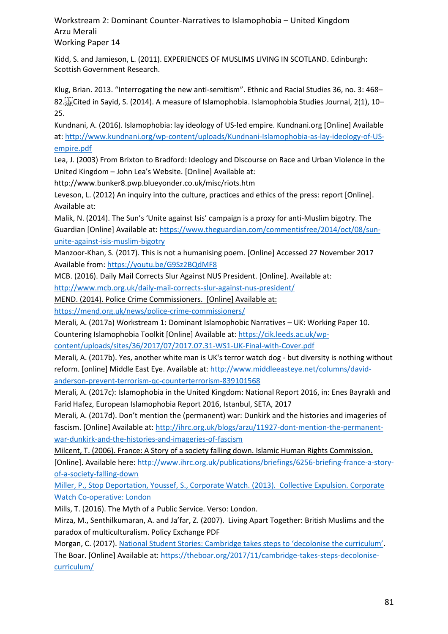Kidd, S. and Jamieson, L. (2011). EXPERIENCES OF MUSLIMS LIVING IN SCOTLAND. Edinburgh: Scottish Government Research.

Klug, Brian. 2013. "Interrogating the new anti-semitism". Ethnic and Racial Studies 36, no. 3: 468– 82. Cited in Sayid, S. (2014). A measure of Islamophobia. Islamophobia Studies Journal, 2(1), 10– 25.

Kundnani, A. (2016). Islamophobia: lay ideology of US-led empire. Kundnani.org [Online] Available at: [http://www.kundnani.org/wp-content/uploads/Kundnani-Islamophobia-as-lay-ideology-of-US](http://www.kundnani.org/wp-content/uploads/Kundnani-Islamophobia-as-lay-ideology-of-US-empire.pdf)[empire.pdf](http://www.kundnani.org/wp-content/uploads/Kundnani-Islamophobia-as-lay-ideology-of-US-empire.pdf)

Lea, J. (2003) From Brixton to Bradford: Ideology and Discourse on Race and Urban Violence in the United Kingdom – John Lea's Website. [Online] Available at:

http://www.bunker8.pwp.blueyonder.co.uk/misc/riots.htm

Leveson, L. (2012) An inquiry into the culture, practices and ethics of the press: report [Online]. Available at:

Malik, N. (2014). The Sun's 'Unite against Isis' campaign is a proxy for anti-Muslim bigotry. The Guardian [Online] Available at: [https://www.theguardian.com/commentisfree/2014/oct/08/sun](https://www.theguardian.com/commentisfree/2014/oct/08/sun-unite-against-isis-muslim-bigotry)[unite-against-isis-muslim-bigotry](https://www.theguardian.com/commentisfree/2014/oct/08/sun-unite-against-isis-muslim-bigotry)

Manzoor-Khan, S. (2017). This is not a humanising poem. [Online] Accessed 27 November 2017 Available from[: https://youtu.be/G9Sz2BQdMF8](https://youtu.be/G9Sz2BQdMF8)

MCB. (2016). Daily Mail Corrects Slur Against NUS President. [Online]. Available at:

<http://www.mcb.org.uk/daily-mail-corrects-slur-against-nus-president/>

MEND. (2014). Police Crime Commissioners. [Online] Available at:

<https://mend.org.uk/news/police-crime-commissioners/>

Merali, A. (2017a) Workstream 1: Dominant Islamophobic Narratives – UK: Working Paper 10.

Countering Islamophobia Toolkit [Online] Available at[: https://cik.leeds.ac.uk/wp-](https://cik.leeds.ac.uk/wp-content/uploads/sites/36/2017/07/2017.07.31-WS1-UK-Final-with-Cover.pdf)

[content/uploads/sites/36/2017/07/2017.07.31-WS1-UK-Final-with-Cover.pdf](https://cik.leeds.ac.uk/wp-content/uploads/sites/36/2017/07/2017.07.31-WS1-UK-Final-with-Cover.pdf)

Merali, A. (2017b). Yes, another white man is UK's terror watch dog - but diversity is nothing without reform. [online] Middle East Eye. Available at: [http://www.middleeasteye.net/columns/david](http://www.middleeasteye.net/columns/david-anderson-prevent-terrorism-qc-counterterrorism-839101568)[anderson-prevent-terrorism-qc-counterterrorism-839101568](http://www.middleeasteye.net/columns/david-anderson-prevent-terrorism-qc-counterterrorism-839101568)

Merali, A. (2017c): Islamophobia in the United Kingdom: National Report 2016, in: Enes Bayraklı and Farid Hafez, European Islamophobia Report 2016, Istanbul, SETA, 2017

Merali, A. (2017d). Don't mention the (permanent) war: Dunkirk and the histories and imageries of fascism. [Online] Available at[: http://ihrc.org.uk/blogs/arzu/11927-dont-mention-the-permanent](http://ihrc.org.uk/blogs/arzu/11927-dont-mention-the-permanent-war-dunkirk-and-the-histories-and-imageries-of-fascism)[war-dunkirk-and-the-histories-and-imageries-of-fascism](http://ihrc.org.uk/blogs/arzu/11927-dont-mention-the-permanent-war-dunkirk-and-the-histories-and-imageries-of-fascism)

Milcent, T. (2006). France: A Story of a society falling down. Islamic Human Rights Commission.

[Online]. Available here[: http://www.ihrc.org.uk/publications/briefings/6256-briefing-france-a-story](http://www.ihrc.org.uk/publications/briefings/6256-briefing-france-a-story-of-a-society-falling-down)[of-a-society-falling-down](http://www.ihrc.org.uk/publications/briefings/6256-briefing-france-a-story-of-a-society-falling-down)

Miller, P., Stop Deportation, Youssef, S., Corporate Watch. (2013). Collective Expulsion. Corporate Watch Co-operative: London

Mills, T. (2016). The Myth of a Public Service. Verso: London.

Mirza, M., Senthilkumaran, A. and Ja'far, Z. (2007). Living Apart Together: British Muslims and the paradox of multiculturalism. Policy Exchange PDF

Morgan, C. (2017). [National Student Stories: Cambridge takes steps to 'decolonise the curriculum'](https://theboar.org/2017/11/cambridge-takes-steps-decolonise-curriculum/). The Boar. [Online] Available at: [https://theboar.org/2017/11/cambridge-takes-steps-decolonise](https://theboar.org/2017/11/cambridge-takes-steps-decolonise-curriculum/)[curriculum/](https://theboar.org/2017/11/cambridge-takes-steps-decolonise-curriculum/)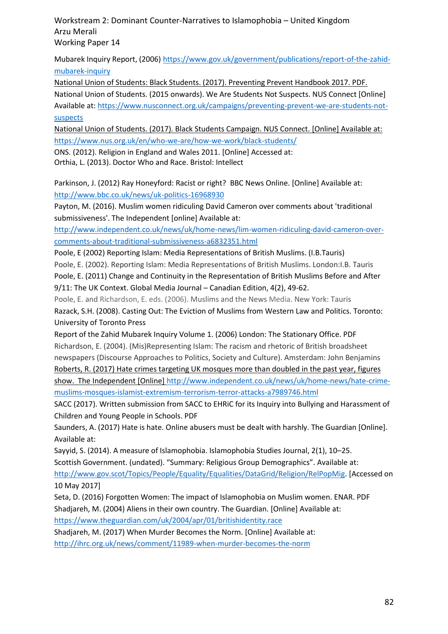Mubarek Inquiry Report, (2006) [https://www.gov.uk/government/publications/report-of-the-zahid](https://www.gov.uk/government/publications/report-of-the-zahid-mubarek-inquiry)[mubarek-inquiry](https://www.gov.uk/government/publications/report-of-the-zahid-mubarek-inquiry)

National Union of Students: Black Students. (2017). Preventing Prevent Handbook 2017. PDF. National Union of Students. (2015 onwards). We Are Students Not Suspects. NUS Connect [Online] Available at[: https://www.nusconnect.org.uk/campaigns/preventing-prevent-we-are-students-not](https://www.nusconnect.org.uk/campaigns/preventing-prevent-we-are-students-not-suspects)[suspects](https://www.nusconnect.org.uk/campaigns/preventing-prevent-we-are-students-not-suspects)

National Union of Students. (2017). Black Students Campaign. NUS Connect. [Online] Available at: <https://www.nus.org.uk/en/who-we-are/how-we-work/black-students/>

ONS. (2012). Religion in England and Wales 2011. [Online] Accessed at:

Orthia, L. (2013). Doctor Who and Race. Bristol: Intellect

Parkinson, J. (2012) Ray Honeyford: Racist or right? BBC News Online. [Online] Available at: <http://www.bbc.co.uk/news/uk-politics-16968930>

Payton, M. (2016). Muslim women ridiculing David Cameron over comments about 'traditional submissiveness'. The Independent [online] Available at:

[http://www.independent.co.uk/news/uk/home-news/lim-women-ridiculing-david-cameron-over](http://www.independent.co.uk/news/uk/home-news/lim-women-ridiculing-david-cameron-over-comments-about-traditional-submissiveness-a6832351.html)[comments-about-traditional-submissiveness-a6832351.html](http://www.independent.co.uk/news/uk/home-news/lim-women-ridiculing-david-cameron-over-comments-about-traditional-submissiveness-a6832351.html)

Poole, E (2002) Reporting Islam: Media Representations of British Muslims. (I.B.Tauris)

Poole, E. (2002). Reporting Islam: Media Representations of British Muslims. London:I.B. Tauris

Poole, E. (2011) Change and Continuity in the Representation of British Muslims Before and After 9/11: The UK Context. Global Media Journal – Canadian Edition, 4(2), 49-62.

Poole, E. and Richardson, E. eds. (2006). Muslims and the News Media. New York: Tauris Razack, S.H. (2008). Casting Out: The Eviction of Muslims from Western Law and Politics. Toronto:

University of Toronto Press Report of the Zahid Mubarek Inquiry Volume 1. (2006) London: The Stationary Office. PDF Richardson, E. (2004). (Mis)Representing Islam: The racism and rhetoric of British broadsheet newspapers (Discourse Approaches to Politics, Society and Culture). Amsterdam: John Benjamins

Roberts, R. (2017) Hate crimes targeting UK mosques more than doubled in the past year, figures show. The Independent [Online] [http://www.independent.co.uk/news/uk/home-news/hate-crime](http://www.independent.co.uk/news/uk/home-news/hate-crime-muslims-mosques-islamist-extremism-terrorism-terror-attacks-a7989746.html)[muslims-mosques-islamist-extremism-terrorism-terror-attacks-a7989746.html](http://www.independent.co.uk/news/uk/home-news/hate-crime-muslims-mosques-islamist-extremism-terrorism-terror-attacks-a7989746.html)

SACC (2017). Written submission from SACC to EHRiC for its Inquiry into Bullying and Harassment of Children and Young People in Schools. PDF

Saunders, A. (2017) Hate is hate. Online abusers must be dealt with harshly. The Guardian [Online]. Available at:

Sayyid, S. (2014). A measure of Islamophobia. Islamophobia Studies Journal, 2(1), 10–25.

Scottish Government. (undated). "Summary: Religious Group Demographics". Available at:

[http://www.gov.scot/Topics/People/Equality/Equalities/DataGrid/Religion/RelPopMig.](http://www.gov.scot/Topics/People/Equality/Equalities/DataGrid/Religion/RelPopMig) [Accessed on 10 May 2017]

Seta, D. (2016) Forgotten Women: The impact of Islamophobia on Muslim women. ENAR. PDF Shadjareh, M. (2004) Aliens in their own country. The Guardian. [Online] Available at:

<https://www.theguardian.com/uk/2004/apr/01/britishidentity.race>

Shadjareh, M. (2017) When Murder Becomes the Norm. [Online] Available at:

<http://ihrc.org.uk/news/comment/11989-when-murder-becomes-the-norm>